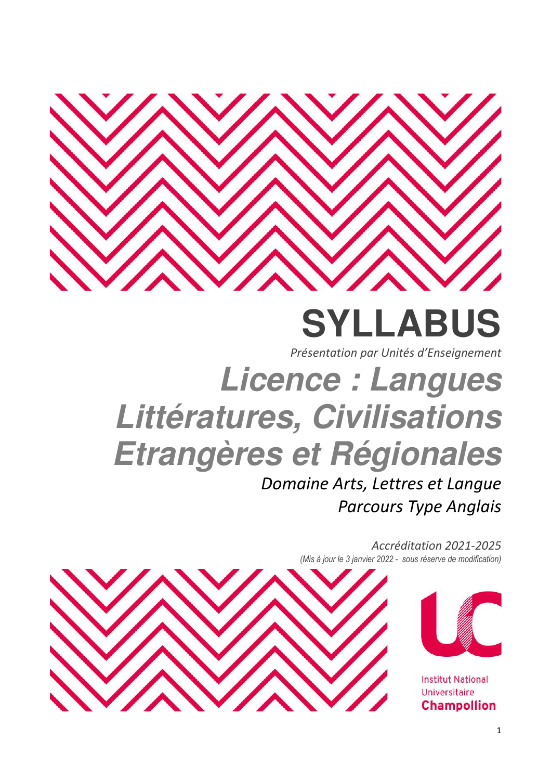

# **SYLLABUS**

*Présentation par Unités d'Enseignement* 

# **Licence : Langues Littératures, Civilisations Etrangères et Régionales**

*Domaine Arts, Lettres et Langue Parcours Type Anglais* 

> *Accréditation 2021-2025 (Mis à jour le 3 janvier 2022 - sous réserve de modification)*



**Institut National** Universitaire **Champollion** 

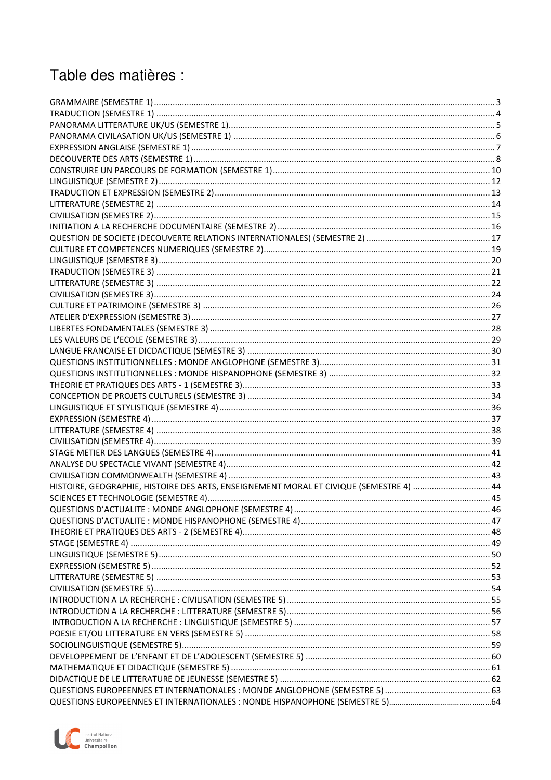## Table des matières :

| HISTOIRE, GEOGRAPHIE, HISTOIRE DES ARTS, ENSEIGNEMENT MORAL ET CIVIQUE (SEMESTRE 4)  44 |  |
|-----------------------------------------------------------------------------------------|--|
|                                                                                         |  |
|                                                                                         |  |
|                                                                                         |  |
|                                                                                         |  |
|                                                                                         |  |
|                                                                                         |  |
|                                                                                         |  |
|                                                                                         |  |
|                                                                                         |  |
|                                                                                         |  |
|                                                                                         |  |
|                                                                                         |  |
|                                                                                         |  |
|                                                                                         |  |
|                                                                                         |  |
|                                                                                         |  |
|                                                                                         |  |
|                                                                                         |  |
|                                                                                         |  |

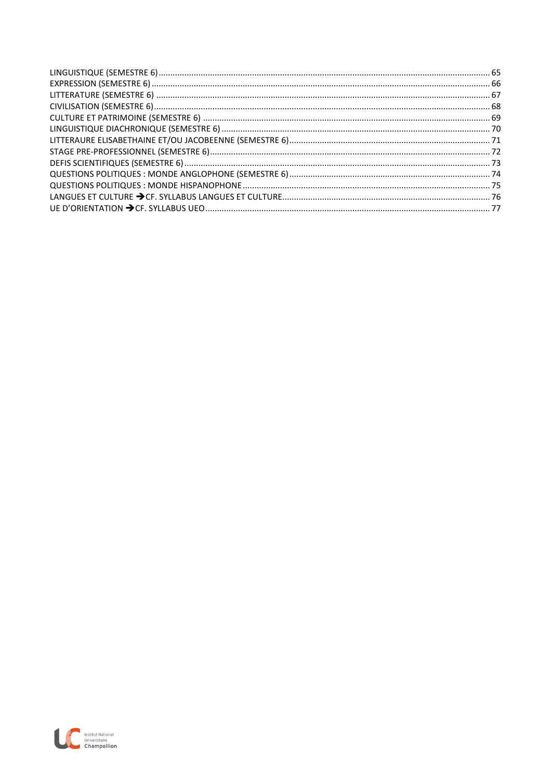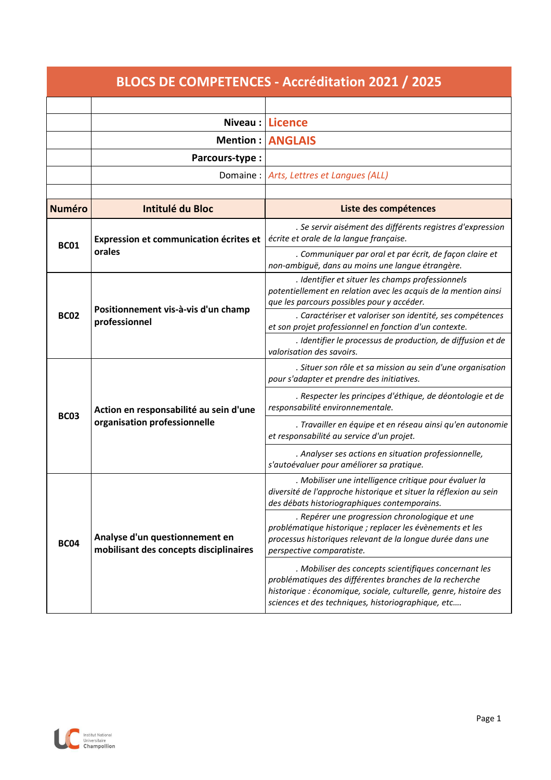|               | <b>BLOCS DE COMPETENCES - Accréditation 2021 / 2025</b>                  |                                                                                                                                                                                                                                             |  |  |  |  |
|---------------|--------------------------------------------------------------------------|---------------------------------------------------------------------------------------------------------------------------------------------------------------------------------------------------------------------------------------------|--|--|--|--|
|               |                                                                          |                                                                                                                                                                                                                                             |  |  |  |  |
|               | Niveau:                                                                  | <b>Licence</b>                                                                                                                                                                                                                              |  |  |  |  |
|               | Mention:                                                                 | <b>ANGLAIS</b>                                                                                                                                                                                                                              |  |  |  |  |
|               | Parcours-type:                                                           |                                                                                                                                                                                                                                             |  |  |  |  |
|               | Domaine:                                                                 | Arts, Lettres et Langues (ALL)                                                                                                                                                                                                              |  |  |  |  |
|               |                                                                          |                                                                                                                                                                                                                                             |  |  |  |  |
| <b>Numéro</b> | <b>Intitulé du Bloc</b>                                                  | Liste des compétences                                                                                                                                                                                                                       |  |  |  |  |
| <b>BC01</b>   | Expression et communication écrites et                                   | . Se servir aisément des différents registres d'expression<br>écrite et orale de la langue française.                                                                                                                                       |  |  |  |  |
|               | orales                                                                   | . Communiquer par oral et par écrit, de façon claire et<br>non-ambiguë, dans au moins une langue étrangère.                                                                                                                                 |  |  |  |  |
|               | Positionnement vis-à-vis d'un champ                                      | . Identifier et situer les champs professionnels<br>potentiellement en relation avec les acquis de la mention ainsi<br>que les parcours possibles pour y accéder.                                                                           |  |  |  |  |
| <b>BC02</b>   | professionnel                                                            | . Caractériser et valoriser son identité, ses compétences<br>et son projet professionnel en fonction d'un contexte.                                                                                                                         |  |  |  |  |
|               |                                                                          | . Identifier le processus de production, de diffusion et de<br>valorisation des savoirs.                                                                                                                                                    |  |  |  |  |
|               |                                                                          | . Situer son rôle et sa mission au sein d'une organisation<br>pour s'adapter et prendre des initiatives.                                                                                                                                    |  |  |  |  |
| <b>BC03</b>   | Action en responsabilité au sein d'une<br>organisation professionnelle   | . Respecter les principes d'éthique, de déontologie et de<br>responsabilité environnementale.                                                                                                                                               |  |  |  |  |
|               |                                                                          | . Travailler en équipe et en réseau ainsi qu'en autonomie<br>et responsabilité au service d'un projet.                                                                                                                                      |  |  |  |  |
|               |                                                                          | . Analyser ses actions en situation professionnelle,<br>s'autoévaluer pour améliorer sa pratique.                                                                                                                                           |  |  |  |  |
| <b>BC04</b>   |                                                                          | Mobiliser une intelligence critique pour évaluer la<br>diversité de l'approche historique et situer la réflexion au sein<br>des débats historiographiques contemporains.                                                                    |  |  |  |  |
|               | Analyse d'un questionnement en<br>mobilisant des concepts disciplinaires | . Repérer une progression chronologique et une<br>problématique historique ; replacer les évènements et les<br>processus historiques relevant de la longue durée dans une<br>perspective comparatiste.                                      |  |  |  |  |
|               |                                                                          | . Mobiliser des concepts scientifiques concernant les<br>problématiques des différentes branches de la recherche<br>historique : économique, sociale, culturelle, genre, histoire des<br>sciences et des techniques, historiographique, etc |  |  |  |  |

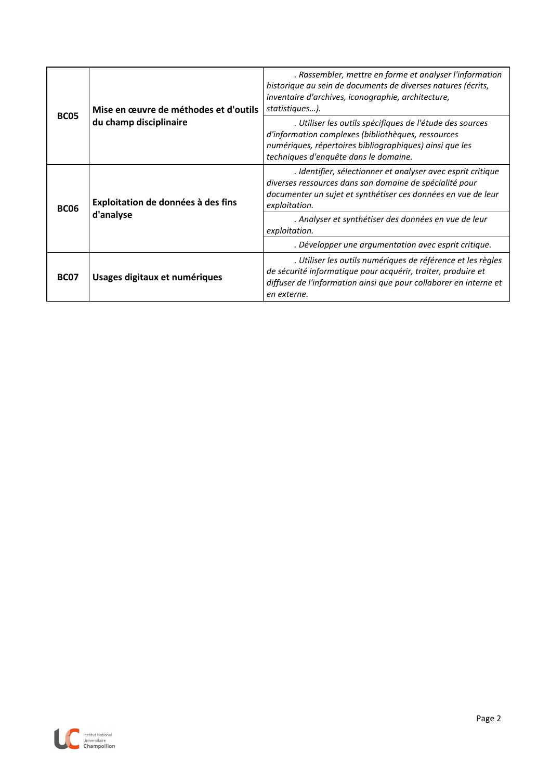|             | Mise en œuvre de méthodes et d'outils | . Rassembler, mettre en forme et analyser l'information<br>historique au sein de documents de diverses natures (écrits,<br>inventaire d'archives, iconographie, architecture,<br>statistiques).                    |  |  |  |
|-------------|---------------------------------------|--------------------------------------------------------------------------------------------------------------------------------------------------------------------------------------------------------------------|--|--|--|
| <b>BC05</b> | du champ disciplinaire                | . Utiliser les outils spécifiques de l'étude des sources<br>d'information complexes (bibliothèques, ressources<br>numériques, répertoires bibliographiques) ainsi que les<br>techniques d'enquête dans le domaine. |  |  |  |
| <b>BC06</b> | Exploitation de données à des fins    | . Identifier, sélectionner et analyser avec esprit critique<br>diverses ressources dans son domaine de spécialité pour<br>documenter un sujet et synthétiser ces données en vue de leur<br>exploitation.           |  |  |  |
|             | d'analyse                             | . Analyser et synthétiser des données en vue de leur<br>exploitation.                                                                                                                                              |  |  |  |
|             |                                       | . Développer une argumentation avec esprit critique.                                                                                                                                                               |  |  |  |
| <b>BC07</b> | Usages digitaux et numériques         | . Utiliser les outils numériques de référence et les règles<br>de sécurité informatique pour acquérir, traiter, produire et<br>diffuser de l'information ainsi que pour collaborer en interne et<br>en externe.    |  |  |  |

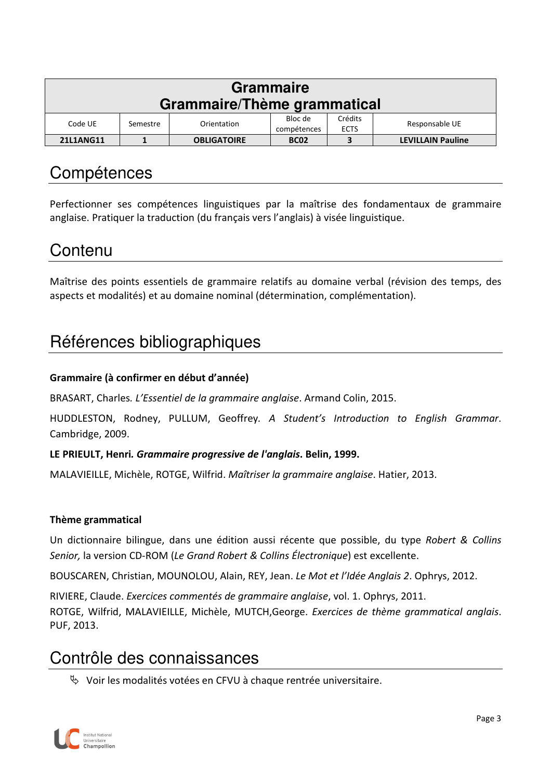| <b>Grammaire</b><br>Grammaire/Thème grammatical |                                                                                               |                    |             |   |                          |
|-------------------------------------------------|-----------------------------------------------------------------------------------------------|--------------------|-------------|---|--------------------------|
| Code UE                                         | Crédits<br>Bloc de<br>Responsable UE<br>Orientation<br>Semestre<br><b>ECTS</b><br>compétences |                    |             |   |                          |
| 21L1ANG11                                       |                                                                                               | <b>OBLIGATOIRE</b> | <b>BC02</b> | 3 | <b>LEVILLAIN Pauline</b> |

Perfectionner ses compétences linguistiques par la maîtrise des fondamentaux de grammaire anglaise. Pratiquer la traduction (du français vers l'anglais) à visée linguistique.

### Contenu

Maîtrise des points essentiels de grammaire relatifs au domaine verbal (révision des temps, des aspects et modalités) et au domaine nominal (détermination, complémentation).

# Références bibliographiques

#### **Grammaire (à confirmer en début d'année)**

BRASART, Charles*. L'Essentiel de la grammaire anglaise*. Armand Colin, 2015.

HUDDLESTON, Rodney, PULLUM, Geoffrey*. A Student's Introduction to English Grammar*. Cambridge, 2009.

#### **LE PRIEULT, Henri***. Grammaire progressive de l'anglais***. Belin, 1999.**

MALAVIEILLE, Michèle, ROTGE, Wilfrid. *Maîtriser la grammaire anglaise*. Hatier, 2013.

#### **Thème grammatical**

Un dictionnaire bilingue, dans une édition aussi récente que possible, du type *Robert & Collins Senior,* la version CD-ROM (*Le Grand Robert & Collins Électronique*) est excellente.

BOUSCAREN, Christian, MOUNOLOU, Alain, REY, Jean. *Le Mot et l'Idée Anglais 2*. Ophrys, 2012.

RIVIERE, Claude. *Exercices commentés de grammaire anglaise*, vol. 1. Ophrys, 2011. ROTGE, Wilfrid, MALAVIEILLE, Michèle, MUTCH,George. *Exercices de thème grammatical anglais*. PUF, 2013.

### Contrôle des connaissances

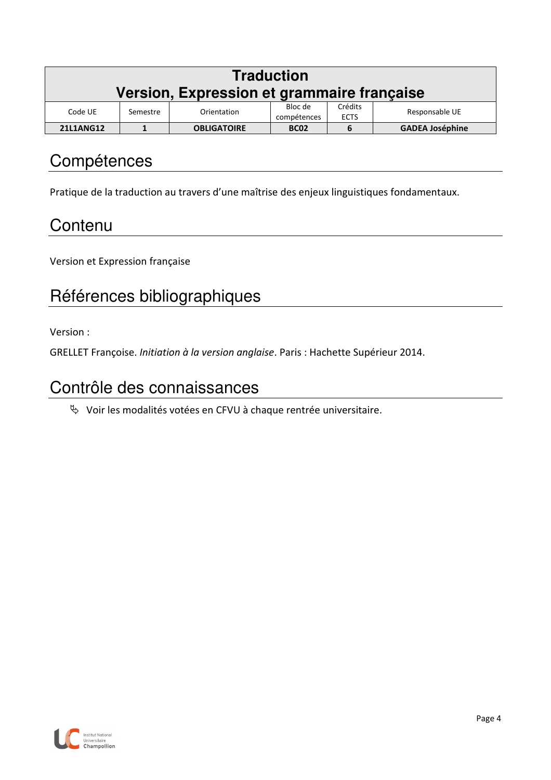| <b>Traduction</b>                          |          |                    |             |         |                        |
|--------------------------------------------|----------|--------------------|-------------|---------|------------------------|
| Version, Expression et grammaire française |          |                    |             |         |                        |
| Code UE                                    | Semestre | Orientation        | Bloc de     | Crédits | Responsable UE         |
| <b>ECTS</b><br>compétences                 |          |                    |             |         |                        |
| <b>21L1ANG12</b>                           |          | <b>OBLIGATOIRE</b> | <b>BC02</b> | b       | <b>GADEA Joséphine</b> |

Pratique de la traduction au travers d'une maîtrise des enjeux linguistiques fondamentaux.

# **Contenu**

Version et Expression française

# Références bibliographiques

Version :

GRELLET Françoise. *Initiation à la version anglaise*. Paris : Hachette Supérieur 2014.

# Contrôle des connaissances

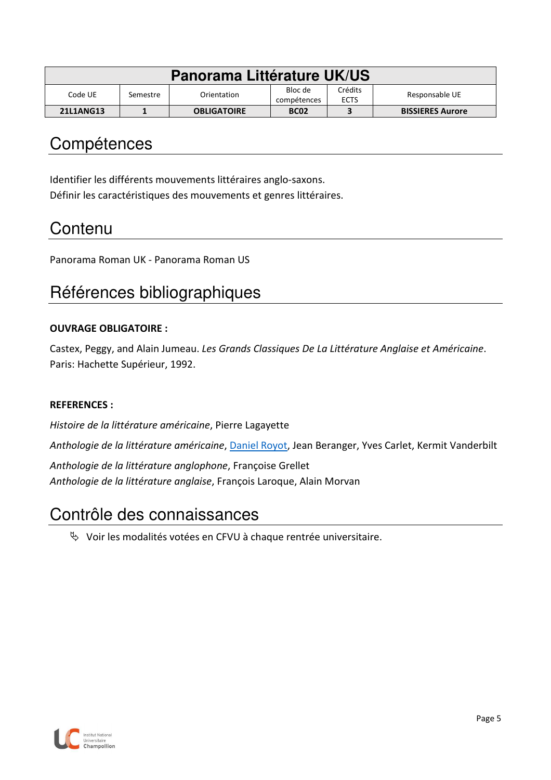| Panorama Littérature UK/US |          |                    |                        |                        |                         |
|----------------------------|----------|--------------------|------------------------|------------------------|-------------------------|
| Code UE.                   | Semestre | Orientation        | Bloc de<br>compétences | Crédits<br><b>ECTS</b> | Responsable UE          |
| 21L1ANG13                  |          | <b>OBLIGATOIRE</b> | <b>BC02</b>            |                        | <b>BISSIERES Aurore</b> |

Identifier les différents mouvements littéraires anglo-saxons. Définir les caractéristiques des mouvements et genres littéraires.

### **Contenu**

Panorama Roman UK - Panorama Roman US

# Références bibliographiques

#### **OUVRAGE OBLIGATOIRE :**

Castex, Peggy, and Alain Jumeau. *Les Grands Classiques De La Littérature Anglaise et Américaine*. Paris: Hachette Supérieur, 1992.

#### **REFERENCES :**

*Histoire de la littérature américaine*, Pierre Lagayette

*Anthologie de la littérature américaine*, Daniel Royot, Jean Beranger, Yves Carlet, Kermit Vanderbilt

*Anthologie de la littérature anglophone*, Françoise Grellet *Anthologie de la littérature anglaise*, François Laroque, Alain Morvan

### Contrôle des connaissances

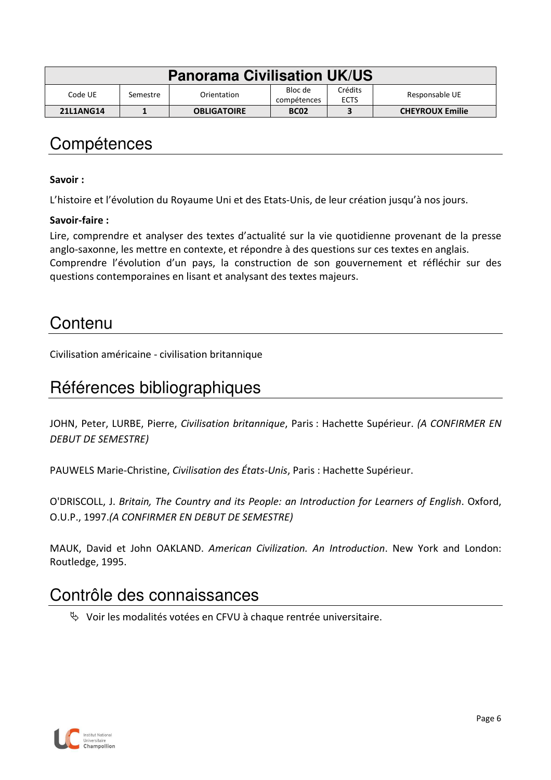| <b>Panorama Civilisation UK/US</b> |          |                    |                        |                        |                        |
|------------------------------------|----------|--------------------|------------------------|------------------------|------------------------|
| Code UE                            | Semestre | Orientation        | Bloc de<br>compétences | Crédits<br><b>ECTS</b> | Responsable UE         |
| 21L1ANG14                          |          | <b>OBLIGATOIRE</b> | <b>BC02</b>            |                        | <b>CHEYROUX Emilie</b> |

#### **Savoir :**

L'histoire et l'évolution du Royaume Uni et des Etats-Unis, de leur création jusqu'à nos jours.

#### **Savoir-faire :**

Lire, comprendre et analyser des textes d'actualité sur la vie quotidienne provenant de la presse anglo-saxonne, les mettre en contexte, et répondre à des questions sur ces textes en anglais. Comprendre l'évolution d'un pays, la construction de son gouvernement et réfléchir sur des questions contemporaines en lisant et analysant des textes majeurs.

### Contenu

Civilisation américaine - civilisation britannique

### Références bibliographiques

JOHN, Peter, LURBE, Pierre, *Civilisation britannique*, Paris : Hachette Supérieur. *(A CONFIRMER EN DEBUT DE SEMESTRE)*

PAUWELS Marie-Christine, *Civilisation des États-Unis*, Paris : Hachette Supérieur.

O'DRISCOLL, J. *Britain, The Country and its People: an Introduction for Learners of English*. Oxford, O.U.P., 1997.*(A CONFIRMER EN DEBUT DE SEMESTRE)*

MAUK, David et John OAKLAND. *American Civilization. An Introduction*. New York and London: Routledge, 1995.

### Contrôle des connaissances

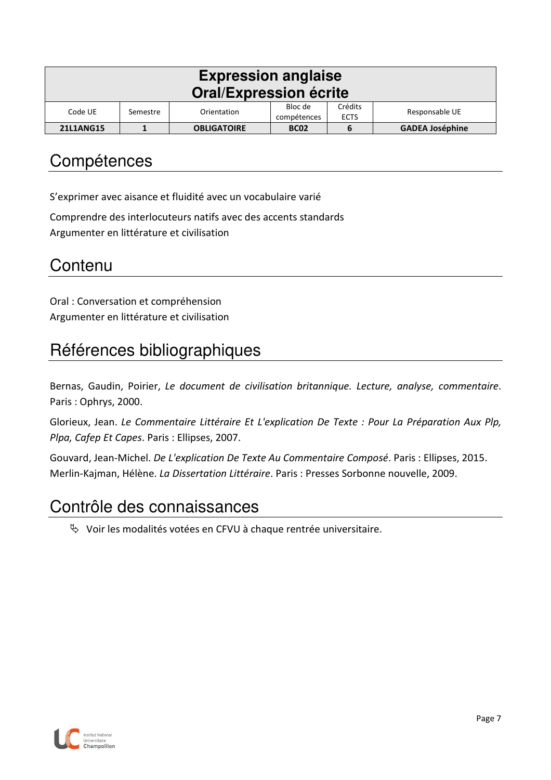| <b>Expression anglaise</b><br><b>Oral/Expression écrite</b> |                                                                                               |                    |             |  |                        |  |
|-------------------------------------------------------------|-----------------------------------------------------------------------------------------------|--------------------|-------------|--|------------------------|--|
| Code UE                                                     | Crédits<br>Bloc de<br>Responsable UE<br>Orientation<br>Semestre<br>compétences<br><b>ECTS</b> |                    |             |  |                        |  |
| <b>21L1ANG15</b>                                            |                                                                                               | <b>OBLIGATOIRE</b> | <b>BC02</b> |  | <b>GADEA Joséphine</b> |  |

S'exprimer avec aisance et fluidité avec un vocabulaire varié

Comprendre des interlocuteurs natifs avec des accents standards Argumenter en littérature et civilisation

### **Contenu**

Oral : Conversation et compréhension Argumenter en littérature et civilisation

# Références bibliographiques

Bernas, Gaudin, Poirier, *Le document de civilisation britannique. Lecture, analyse, commentaire*. Paris : Ophrys, 2000.

Glorieux, Jean. *Le Commentaire Littéraire Et L'explication De Texte : Pour La Préparation Aux Plp, Plpa, Cafep Et Capes*. Paris : Ellipses, 2007.

Gouvard, Jean-Michel. *De L'explication De Texte Au Commentaire Composé*. Paris : Ellipses, 2015. Merlin-Kajman, Hélène. *La Dissertation Littéraire*. Paris : Presses Sorbonne nouvelle, 2009.

### Contrôle des connaissances

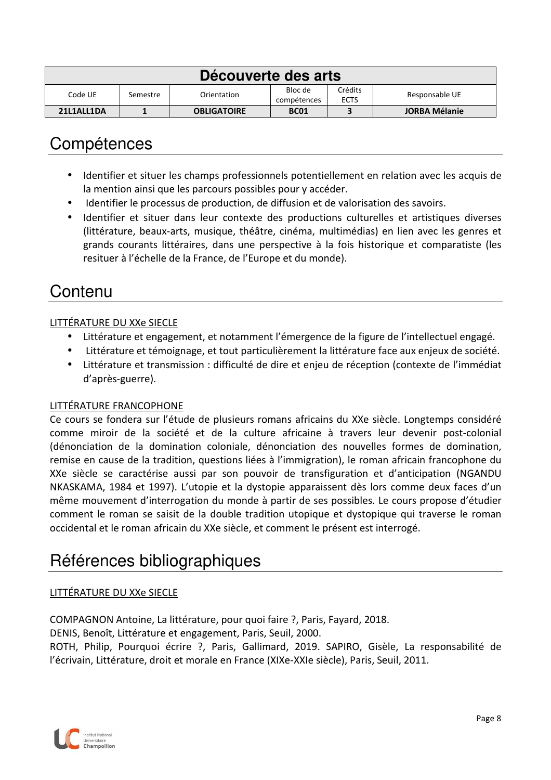| Découverte des arts |          |                    |                        |                        |                      |
|---------------------|----------|--------------------|------------------------|------------------------|----------------------|
| Code UE             | Semestre | Orientation        | Bloc de<br>compétences | Crédits<br><b>ECTS</b> | Responsable UE       |
| 21L1ALL1DA          |          | <b>OBLIGATOIRE</b> | <b>BC01</b>            |                        | <b>JORBA Mélanie</b> |

- Identifier et situer les champs professionnels potentiellement en relation avec les acquis de la mention ainsi que les parcours possibles pour y accéder.
- Identifier le processus de production, de diffusion et de valorisation des savoirs.
- Identifier et situer dans leur contexte des productions culturelles et artistiques diverses (littérature, beaux-arts, musique, théâtre, cinéma, multimédias) en lien avec les genres et grands courants littéraires, dans une perspective à la fois historique et comparatiste (les resituer à l'échelle de la France, de l'Europe et du monde).

# Contenu

#### LITTÉRATURE DU XXe SIECLE

- Littérature et engagement, et notamment l'émergence de la figure de l'intellectuel engagé.
- Littérature et témoignage, et tout particulièrement la littérature face aux enjeux de société.
- Littérature et transmission : difficulté de dire et enjeu de réception (contexte de l'immédiat d'après-guerre).

#### LITTÉRATURE FRANCOPHONE

Ce cours se fondera sur l'étude de plusieurs romans africains du XXe siècle. Longtemps considéré comme miroir de la société et de la culture africaine à travers leur devenir post-colonial (dénonciation de la domination coloniale, dénonciation des nouvelles formes de domination, remise en cause de la tradition, questions liées à l'immigration), le roman africain francophone du XXe siècle se caractérise aussi par son pouvoir de transfiguration et d'anticipation (NGANDU NKASKAMA, 1984 et 1997). L'utopie et la dystopie apparaissent dès lors comme deux faces d'un même mouvement d'interrogation du monde à partir de ses possibles. Le cours propose d'étudier comment le roman se saisit de la double tradition utopique et dystopique qui traverse le roman occidental et le roman africain du XXe siècle, et comment le présent est interrogé.

# Références bibliographiques

#### LITTÉRATURE DU XXe SIECLE

COMPAGNON Antoine, La littérature, pour quoi faire ?, Paris, Fayard, 2018.

DENIS, Benoît, Littérature et engagement, Paris, Seuil, 2000.

ROTH, Philip, Pourquoi écrire ?, Paris, Gallimard, 2019. SAPIRO, Gisèle, La responsabilité de l'écrivain, Littérature, droit et morale en France (XIXe-XXIe siècle), Paris, Seuil, 2011.

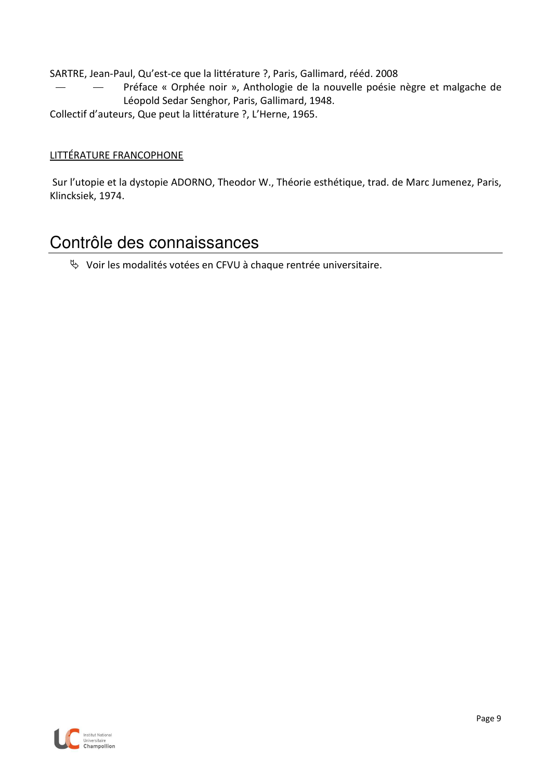SARTRE, Jean-Paul, Qu'est-ce que la littérature ?, Paris, Gallimard, rééd. 2008

- Préface « Orphée noir », Anthologie de la nouvelle poésie nègre et malgache de Léopold Sedar Senghor, Paris, Gallimard, 1948.
- Collectif d'auteurs, Que peut la littérature ?, L'Herne, 1965.

#### LITTÉRATURE FRANCOPHONE

 Sur l'utopie et la dystopie ADORNO, Theodor W., Théorie esthétique, trad. de Marc Jumenez, Paris, Klincksiek, 1974.

### Contrôle des connaissances

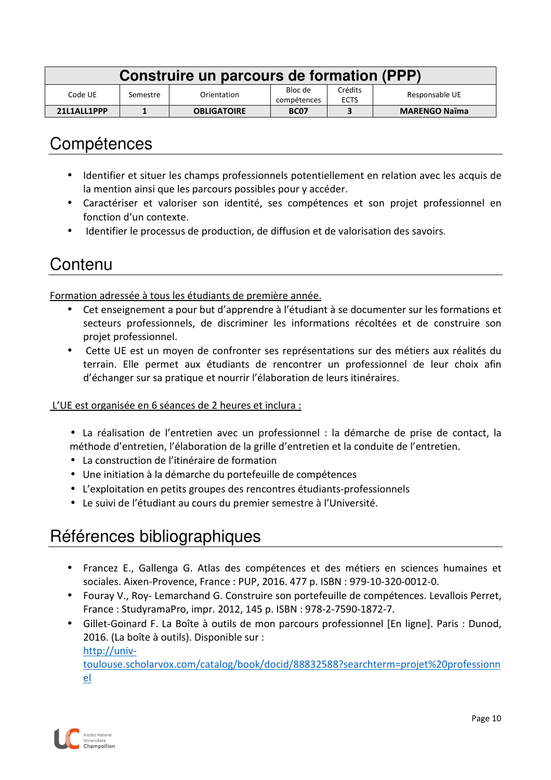| Construire un parcours de formation (PPP) |          |                    |                        |                        |                      |
|-------------------------------------------|----------|--------------------|------------------------|------------------------|----------------------|
| Code UE                                   | Semestre | Orientation        | Bloc de<br>compétences | Crédits<br><b>ECTS</b> | Responsable UE       |
| 21L1ALL1PPP                               |          | <b>OBLIGATOIRE</b> | <b>BC07</b>            |                        | <b>MARENGO Naïma</b> |

- Identifier et situer les champs professionnels potentiellement en relation avec les acquis de la mention ainsi que les parcours possibles pour y accéder.
- Caractériser et valoriser son identité, ses compétences et son projet professionnel en fonction d'un contexte.
- Identifier le processus de production, de diffusion et de valorisation des savoirs.

#### **Contenu**

Formation adressée à tous les étudiants de première année.

- Cet enseignement a pour but d'apprendre à l'étudiant à se documenter sur les formations et secteurs professionnels, de discriminer les informations récoltées et de construire son projet professionnel.
- Cette UE est un moyen de confronter ses représentations sur des métiers aux réalités du terrain. Elle permet aux étudiants de rencontrer un professionnel de leur choix afin d'échanger sur sa pratique et nourrir l'élaboration de leurs itinéraires.

#### L'UE est organisée en 6 séances de 2 heures et inclura :

- La réalisation de l'entretien avec un professionnel : la démarche de prise de contact, la méthode d'entretien, l'élaboration de la grille d'entretien et la conduite de l'entretien.
- La construction de l'itinéraire de formation
- Une initiation à la démarche du portefeuille de compétences
- L'exploitation en petits groupes des rencontres étudiants-professionnels
- Le suivi de l'étudiant au cours du premier semestre à l'Université.

# Références bibliographiques

- Francez E., Gallenga G. Atlas des compétences et des métiers en sciences humaines et sociales. Aixen-Provence, France : PUP, 2016. 477 p. ISBN : 979-10-320-0012-0.
- Fouray V., Roy- Lemarchand G. Construire son portefeuille de compétences. Levallois Perret, France : StudyramaPro, impr. 2012, 145 p. ISBN : 978-2-7590-1872-7.
- Gillet-Goinard F. La Boîte à outils de mon parcours professionnel [En ligne]. Paris : Dunod, 2016. (La boîte à outils). Disponible sur : http://univtoulouse.scholarvox.com/catalog/book/docid/88832588?searchterm=projet%20professionn el

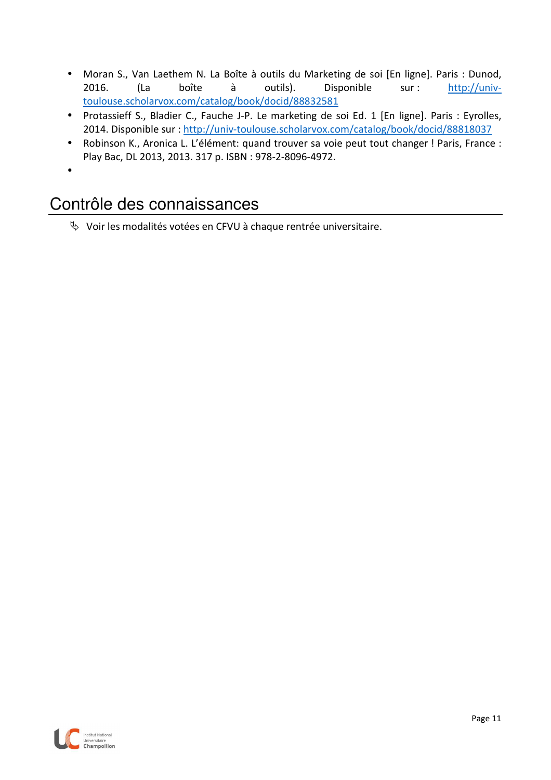- Moran S., Van Laethem N. La Boîte à outils du Marketing de soi [En ligne]. Paris : Dunod, 2016. (La boîte à outils). Disponible sur : http://univtoulouse.scholarvox.com/catalog/book/docid/88832581
- Protassieff S., Bladier C., Fauche J-P. Le marketing de soi Ed. 1 [En ligne]. Paris : Eyrolles, 2014. Disponible sur : http://univ-toulouse.scholarvox.com/catalog/book/docid/88818037
- Robinson K., Aronica L. L'élément: quand trouver sa voie peut tout changer ! Paris, France : Play Bac, DL 2013, 2013. 317 p. ISBN : 978-2-8096-4972.
- •

# Contrôle des connaissances

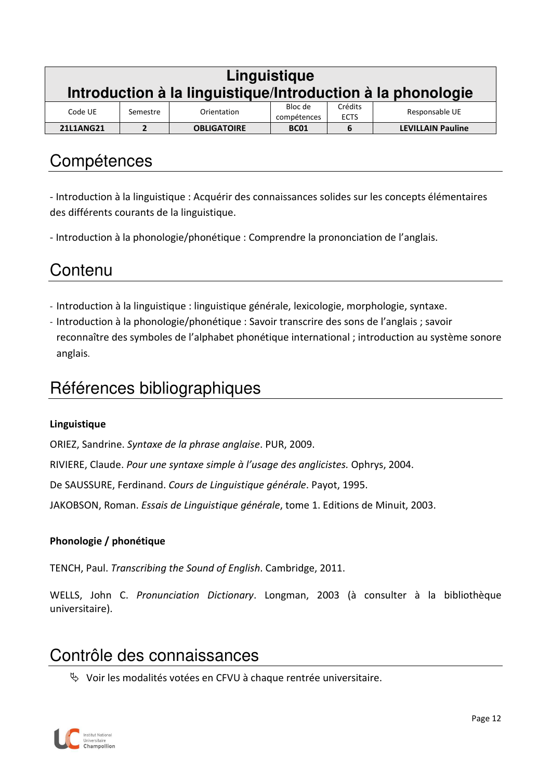|                  | Linguistique<br>Introduction à la linguistique/Introduction à la phonologie                   |                    |             |   |                          |  |
|------------------|-----------------------------------------------------------------------------------------------|--------------------|-------------|---|--------------------------|--|
| Code UE          | Crédits<br>Bloc de<br>Responsable UE<br>Orientation<br>Semestre<br>compétences<br><b>ECTS</b> |                    |             |   |                          |  |
| <b>21L1ANG21</b> | 2                                                                                             | <b>OBLIGATOIRE</b> | <b>BC01</b> | 6 | <b>LEVILLAIN Pauline</b> |  |

- Introduction à la linguistique : Acquérir des connaissances solides sur les concepts élémentaires des différents courants de la linguistique.

- Introduction à la phonologie/phonétique : Comprendre la prononciation de l'anglais.

## **Contenu**

- Introduction à la linguistique : linguistique générale, lexicologie, morphologie, syntaxe.
- Introduction à la phonologie/phonétique : Savoir transcrire des sons de l'anglais ; savoir reconnaître des symboles de l'alphabet phonétique international ; introduction au système sonore anglais.

### Références bibliographiques

#### **Linguistique**

ORIEZ, Sandrine. *Syntaxe de la phrase anglaise*. PUR, 2009.

RIVIERE, Claude. *Pour une syntaxe simple à l'usage des anglicistes.* Ophrys, 2004.

De SAUSSURE, Ferdinand. *Cours de Linguistique générale*. Payot, 1995.

JAKOBSON, Roman. *Essais de Linguistique générale*, tome 1. Editions de Minuit, 2003.

#### **Phonologie / phonétique**

TENCH, Paul. *Transcribing the Sound of English*. Cambridge, 2011.

WELLS, John C. *Pronunciation Dictionary*. Longman, 2003 (à consulter à la bibliothèque universitaire).

### Contrôle des connaissances

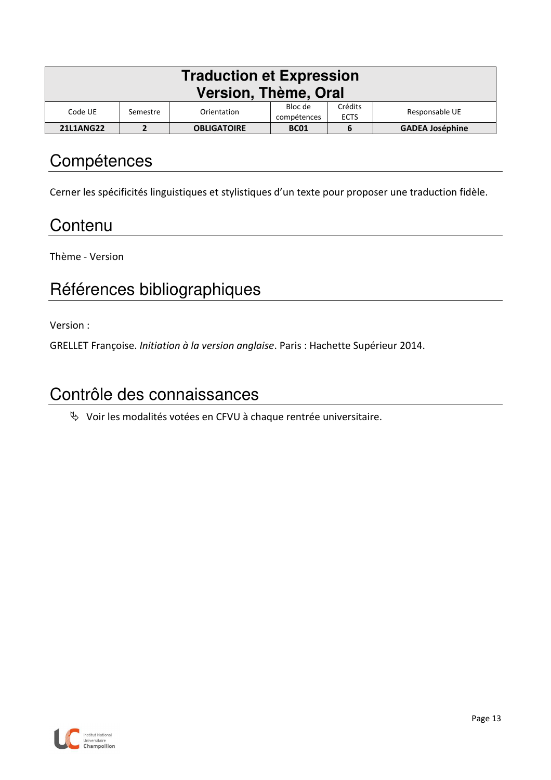| <b>Traduction et Expression</b><br>Version, Thème, Oral                                                  |                                                                  |  |  |  |  |  |  |
|----------------------------------------------------------------------------------------------------------|------------------------------------------------------------------|--|--|--|--|--|--|
| Crédits<br>Bloc de<br>Responsable UE<br>Code UE<br>Orientation<br>Semestre<br>compétences<br><b>ECTS</b> |                                                                  |  |  |  |  |  |  |
| <b>21L1ANG22</b>                                                                                         | <b>GADEA Joséphine</b><br><b>OBLIGATOIRE</b><br><b>BC01</b><br>6 |  |  |  |  |  |  |

Cerner les spécificités linguistiques et stylistiques d'un texte pour proposer une traduction fidèle.

### **Contenu**

Thème - Version

# Références bibliographiques

Version :

GRELLET Françoise. *Initiation à la version anglaise*. Paris : Hachette Supérieur 2014.

### Contrôle des connaissances

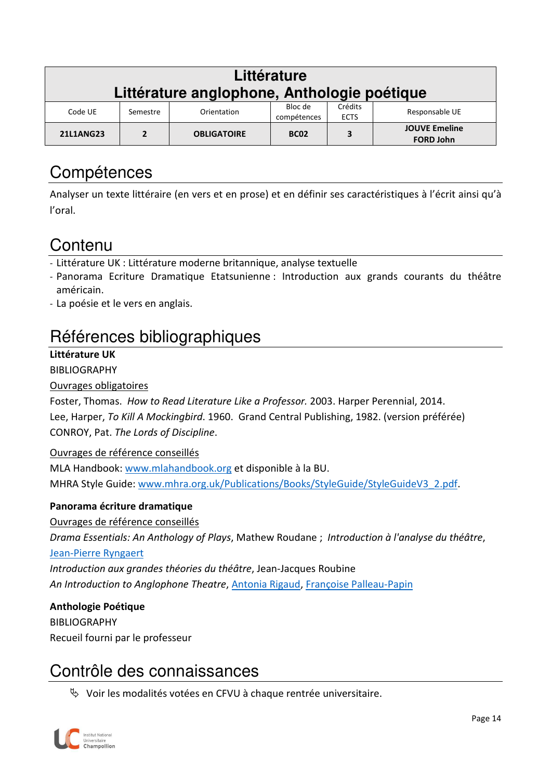| Littérature<br>Littérature anglophone, Anthologie poétique                                                  |          |             |                        |                        |                |  |  |  |
|-------------------------------------------------------------------------------------------------------------|----------|-------------|------------------------|------------------------|----------------|--|--|--|
| Code UE                                                                                                     | Semestre | Orientation | Bloc de<br>compétences | Crédits<br><b>ECTS</b> | Responsable UE |  |  |  |
| <b>JOUVE Emeline</b><br><b>21L1ANG23</b><br><b>OBLIGATOIRE</b><br>3<br>າ<br><b>BC02</b><br><b>FORD John</b> |          |             |                        |                        |                |  |  |  |

Analyser un texte littéraire (en vers et en prose) et en définir ses caractéristiques à l'écrit ainsi qu'à l'oral.

# **Contenu**

- Littérature UK : Littérature moderne britannique, analyse textuelle
- Panorama Ecriture Dramatique Etatsunienne : Introduction aux grands courants du théâtre américain.
- La poésie et le vers en anglais.

# Références bibliographiques

#### **Littérature UK**

#### BIBLIOGRAPHY

#### Ouvrages obligatoires

Foster, Thomas. *How to Read Literature Like a Professor.* 2003. Harper Perennial, 2014. Lee, Harper, *To Kill A Mockingbird*. 1960. Grand Central Publishing, 1982. (version préférée) CONROY, Pat. *The Lords of Discipline*.

#### Ouvrages de référence conseillés

MLA Handbook: www.mlahandbook.org et disponible à la BU. MHRA Style Guide: www.mhra.org.uk/Publications/Books/StyleGuide/StyleGuideV3\_2.pdf.

#### **Panorama écriture dramatique**

#### Ouvrages de référence conseillés

*Drama Essentials: An Anthology of Plays*, Mathew Roudane ; *Introduction à l'analyse du théâtre*,

#### Jean-Pierre Ryngaert

*Introduction aux grandes théories du théâtre*, Jean-Jacques Roubine *An Introduction to Anglophone Theatre*, Antonia Rigaud, Françoise Palleau-Papin

#### **Anthologie Poétique**

BIBLIOGRAPHY Recueil fourni par le professeur

### Contrôle des connaissances

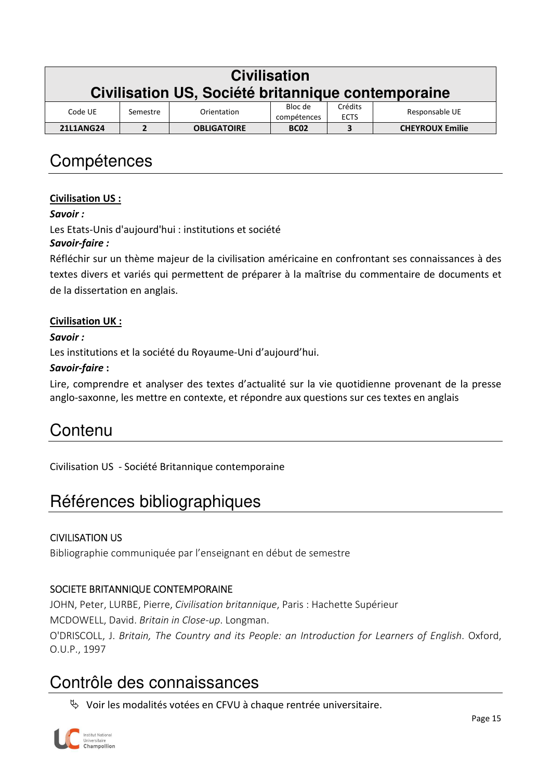|                  | <b>Civilisation</b><br>Civilisation US, Société britannique contemporaine                     |                    |             |   |                        |  |  |  |
|------------------|-----------------------------------------------------------------------------------------------|--------------------|-------------|---|------------------------|--|--|--|
| Code UE          | Bloc de<br>Crédits<br>Responsable UE<br>Orientation<br>Semestre<br>compétences<br><b>ECTS</b> |                    |             |   |                        |  |  |  |
| <b>21L1ANG24</b> | 2                                                                                             | <b>OBLIGATOIRE</b> | <b>BC02</b> | 3 | <b>CHEYROUX Emilie</b> |  |  |  |

#### **Civilisation US :**

#### *Savoir :*

Les Etats-Unis d'aujourd'hui : institutions et société

#### *Savoir-faire :*

Réfléchir sur un thème majeur de la civilisation américaine en confrontant ses connaissances à des textes divers et variés qui permettent de préparer à la maîtrise du commentaire de documents et de la dissertation en anglais.

#### **Civilisation UK :**

*Savoir :* 

Les institutions et la société du Royaume-Uni d'aujourd'hui.

#### *Savoir-faire* **:**

Lire, comprendre et analyser des textes d'actualité sur la vie quotidienne provenant de la presse anglo-saxonne, les mettre en contexte, et répondre aux questions sur ces textes en anglais

### Contenu

Civilisation US - Société Britannique contemporaine

# Références bibliographiques

#### CIVILISATION US

Bibliographie communiquée par l'enseignant en début de semestre

#### SOCIETE BRITANNIQUE CONTEMPORAINE

JOHN, Peter, LURBE, Pierre, *Civilisation britannique*, Paris : Hachette Supérieur MCDOWELL, David. *Britain in Close-up*. Longman. O'DRISCOLL, J. *Britain, The Country and its People: an Introduction for Learners of English*. Oxford, O.U.P., 1997

# Contrôle des connaissances

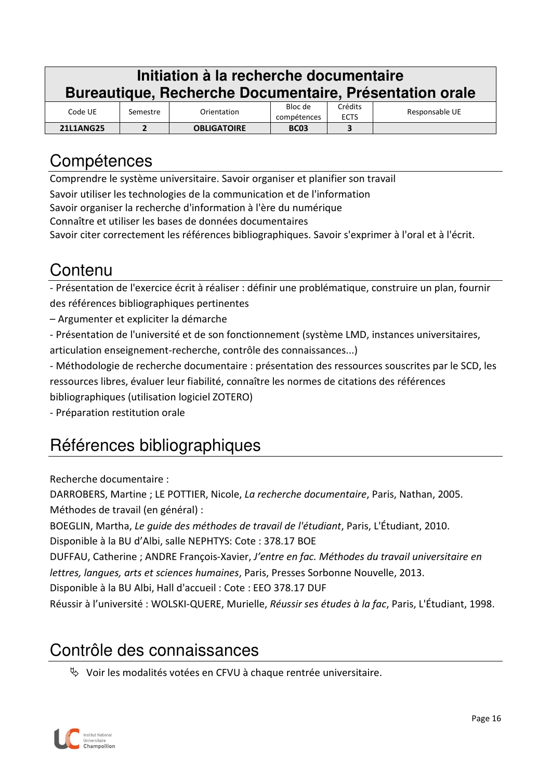| Initiation à la recherche documentaire<br>Bureautique, Recherche Documentaire, Présentation orale |                                                                                               |  |  |  |  |  |  |  |
|---------------------------------------------------------------------------------------------------|-----------------------------------------------------------------------------------------------|--|--|--|--|--|--|--|
| Code UE                                                                                           | Crédits<br>Bloc de<br>Responsable UE<br>Orientation<br>Semestre<br>compétences<br><b>ECTS</b> |  |  |  |  |  |  |  |
| <b>21L1ANG25</b>                                                                                  | 3<br><b>OBLIGATOIRE</b><br>2<br><b>BC03</b>                                                   |  |  |  |  |  |  |  |

Comprendre le système universitaire. Savoir organiser et planifier son travail

Savoir utiliser les technologies de la communication et de l'information

Savoir organiser la recherche d'information à l'ère du numérique

Connaître et utiliser les bases de données documentaires

Savoir citer correctement les références bibliographiques. Savoir s'exprimer à l'oral et à l'écrit.

# Contenu

- Présentation de l'exercice écrit à réaliser : définir une problématique, construire un plan, fournir des références bibliographiques pertinentes

– Argumenter et expliciter la démarche

- Présentation de l'université et de son fonctionnement (système LMD, instances universitaires, articulation enseignement-recherche, contrôle des connaissances...)

- Méthodologie de recherche documentaire : présentation des ressources souscrites par le SCD, les ressources libres, évaluer leur fiabilité, connaître les normes de citations des références bibliographiques (utilisation logiciel ZOTERO)

- Préparation restitution orale

# Références bibliographiques

Recherche documentaire :

DARROBERS, Martine ; LE POTTIER, Nicole, *La recherche documentaire*, Paris, Nathan, 2005. Méthodes de travail (en général) :

BOEGLIN, Martha, *Le guide des méthodes de travail de l'étudiant*, Paris, L'Étudiant, 2010.

Disponible à la BU d'Albi, salle NEPHTYS: Cote : 378.17 BOE

DUFFAU, Catherine ; ANDRE François-Xavier, *J'entre en fac. Méthodes du travail universitaire en lettres, langues, arts et sciences humaines*, Paris, Presses Sorbonne Nouvelle, 2013.

Disponible à la BU Albi, Hall d'accueil : Cote : EEO 378.17 DUF

Réussir à l'université : WOLSKI-QUERE, Murielle, *Réussir ses études à la fac*, Paris, L'Étudiant, 1998.

### Contrôle des connaissances

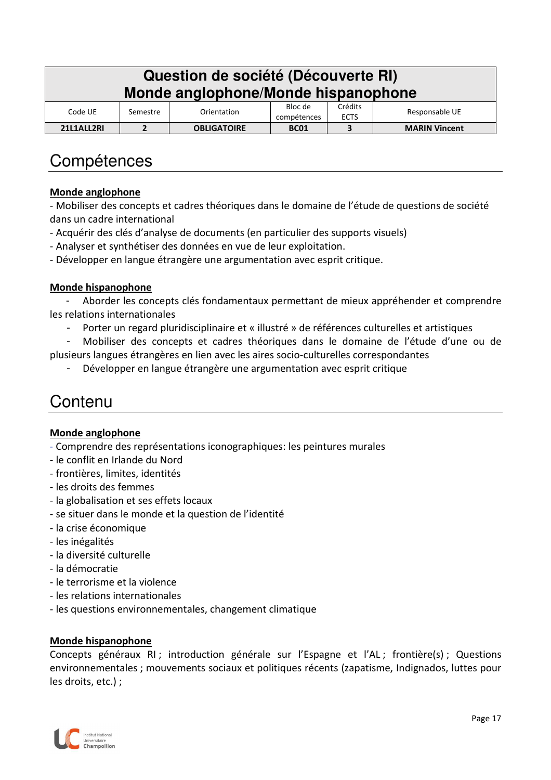| Question de société (Découverte RI)<br>Monde anglophone/Monde hispanophone |                                                                                               |  |  |  |  |  |  |  |
|----------------------------------------------------------------------------|-----------------------------------------------------------------------------------------------|--|--|--|--|--|--|--|
| Code UE                                                                    | Crédits<br>Bloc de<br>Responsable UE<br>Orientation<br>Semestre<br>compétences<br><b>ECTS</b> |  |  |  |  |  |  |  |
| 21L1ALL2RI                                                                 | <b>MARIN Vincent</b><br><b>OBLIGATOIRE</b><br>3<br><b>BC01</b><br>2                           |  |  |  |  |  |  |  |

#### **Monde anglophone**

- Mobiliser des concepts et cadres théoriques dans le domaine de l'étude de questions de société dans un cadre international

- Acquérir des clés d'analyse de documents (en particulier des supports visuels)
- Analyser et synthétiser des données en vue de leur exploitation.
- Développer en langue étrangère une argumentation avec esprit critique.

#### **Monde hispanophone**

- Aborder les concepts clés fondamentaux permettant de mieux appréhender et comprendre les relations internationales

- Porter un regard pluridisciplinaire et « illustré » de références culturelles et artistiques

- Mobiliser des concepts et cadres théoriques dans le domaine de l'étude d'une ou de plusieurs langues étrangères en lien avec les aires socio-culturelles correspondantes

- Développer en langue étrangère une argumentation avec esprit critique

### Contenu

#### **Monde anglophone**

- Comprendre des représentations iconographiques: les peintures murales
- le conflit en Irlande du Nord
- frontières, limites, identités
- les droits des femmes
- la globalisation et ses effets locaux
- se situer dans le monde et la question de l'identité
- la crise économique
- les inégalités
- la diversité culturelle
- la démocratie
- le terrorisme et la violence
- les relations internationales
- les questions environnementales, changement climatique

#### **Monde hispanophone**

Concepts généraux RI ; introduction générale sur l'Espagne et l'AL ; frontière(s) ; Questions environnementales ; mouvements sociaux et politiques récents (zapatisme, Indignados, luttes pour les droits, etc.) ;

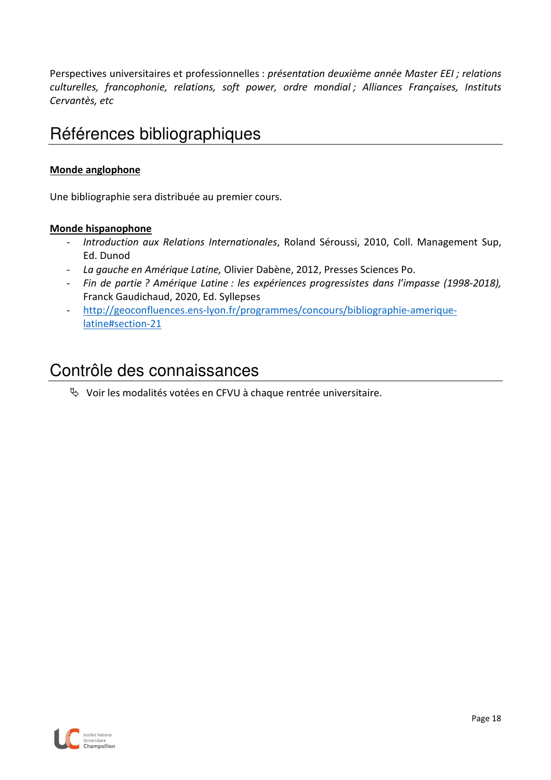Perspectives universitaires et professionnelles : *présentation deuxième année Master EEI ; relations culturelles, francophonie, relations, soft power, ordre mondial ; Alliances Françaises, Instituts Cervantès, etc*

### Références bibliographiques

#### **Monde anglophone**

Une bibliographie sera distribuée au premier cours.

#### **Monde hispanophone**

- *- Introduction aux Relations Internationales*, Roland Séroussi, 2010, Coll. Management Sup, Ed. Dunod
- *- La gauche en Amérique Latine,* Olivier Dabène, 2012, Presses Sciences Po.
- *- Fin de partie ? Amérique Latine : les expériences progressistes dans l'impasse (1998-2018),*  Franck Gaudichaud, 2020, Ed. Syllepses
- *-* http://geoconfluences.ens-lyon.fr/programmes/concours/bibliographie-ameriquelatine#section-21

### Contrôle des connaissances

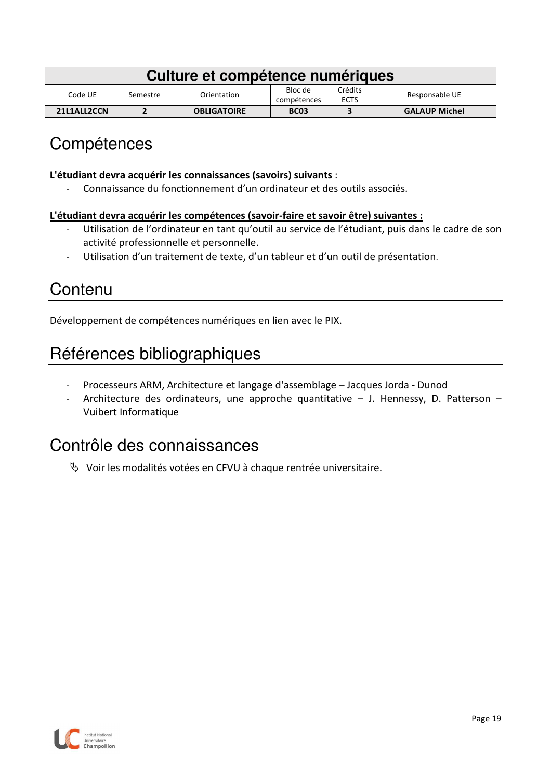| Culture et compétence numériques |          |                    |                        |                        |                      |  |  |
|----------------------------------|----------|--------------------|------------------------|------------------------|----------------------|--|--|
| Code UE                          | Semestre | Orientation        | Bloc de<br>compétences | Crédits<br><b>ECTS</b> | Responsable UE       |  |  |
| 21L1ALL2CCN                      |          | <b>OBLIGATOIRE</b> | <b>BC03</b>            |                        | <b>GALAUP Michel</b> |  |  |

#### **L'étudiant devra acquérir les connaissances (savoirs) suivants** :

- Connaissance du fonctionnement d'un ordinateur et des outils associés.

#### **L'étudiant devra acquérir les compétences (savoir-faire et savoir être) suivantes :**

- Utilisation de l'ordinateur en tant qu'outil au service de l'étudiant, puis dans le cadre de son activité professionnelle et personnelle.
- Utilisation d'un traitement de texte, d'un tableur et d'un outil de présentation.

## **Contenu**

Développement de compétences numériques en lien avec le PIX.

# Références bibliographiques

- Processeurs ARM, Architecture et langage d'assemblage Jacques Jorda Dunod
- Architecture des ordinateurs, une approche quantitative  $-$  J. Hennessy, D. Patterson  $-$ Vuibert Informatique

### Contrôle des connaissances

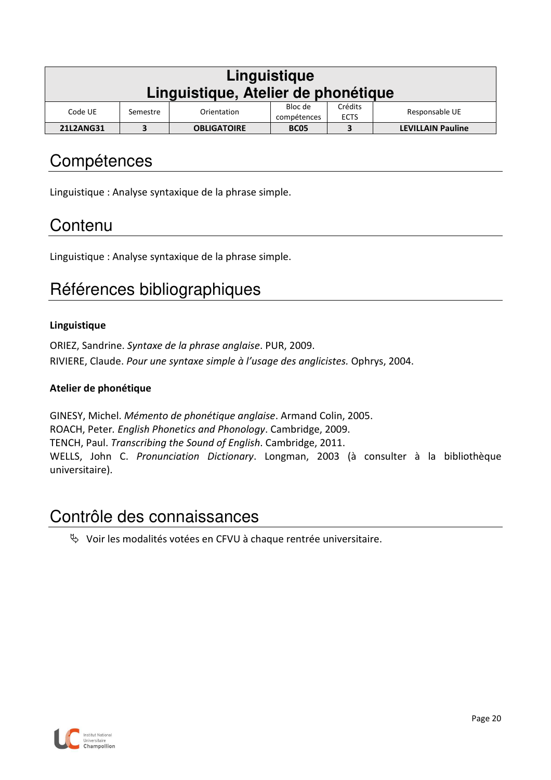| Linguistique<br>Linguistique, Atelier de phonétique                                                      |                                                                    |  |  |  |  |  |  |  |
|----------------------------------------------------------------------------------------------------------|--------------------------------------------------------------------|--|--|--|--|--|--|--|
| Crédits<br>Bloc de<br>Responsable UE<br>Code UE<br>Orientation<br>Semestre<br><b>ECTS</b><br>compétences |                                                                    |  |  |  |  |  |  |  |
| <b>21L2ANG31</b>                                                                                         | <b>LEVILLAIN Pauline</b><br><b>OBLIGATOIRE</b><br>3<br><b>BC05</b> |  |  |  |  |  |  |  |

Linguistique : Analyse syntaxique de la phrase simple.

## **Contenu**

Linguistique : Analyse syntaxique de la phrase simple.

# Références bibliographiques

#### **Linguistique**

ORIEZ, Sandrine. *Syntaxe de la phrase anglaise*. PUR, 2009. RIVIERE, Claude. *Pour une syntaxe simple à l'usage des anglicistes.* Ophrys, 2004.

#### **Atelier de phonétique**

GINESY, Michel. *Mémento de phonétique anglaise*. Armand Colin, 2005. ROACH, Peter*. English Phonetics and Phonology*. Cambridge, 2009. TENCH, Paul. *Transcribing the Sound of English*. Cambridge, 2011. WELLS, John C. *Pronunciation Dictionary*. Longman, 2003 (à consulter à la bibliothèque universitaire).

### Contrôle des connaissances

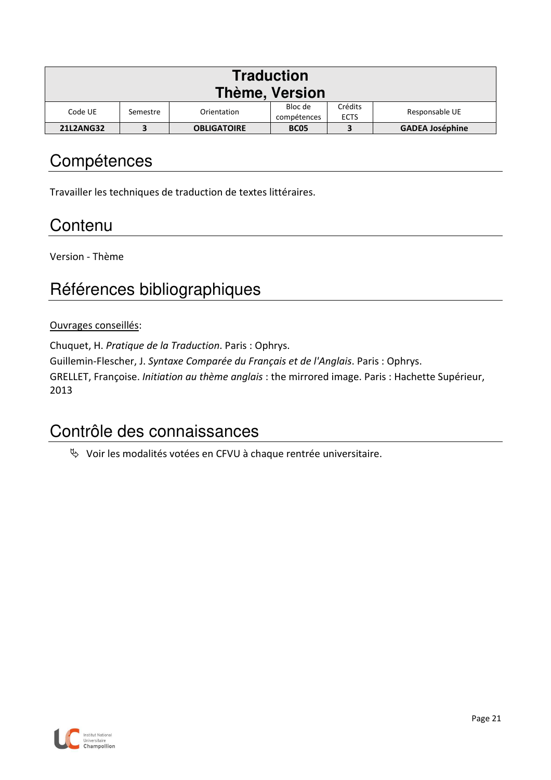| <b>Traduction</b><br><b>Thème, Version</b> |                                                                                               |                    |             |  |                        |  |  |  |
|--------------------------------------------|-----------------------------------------------------------------------------------------------|--------------------|-------------|--|------------------------|--|--|--|
| Code UE                                    | Crédits<br>Bloc de<br>Responsable UE<br>Orientation<br>Semestre<br><b>ECTS</b><br>compétences |                    |             |  |                        |  |  |  |
| <b>21L2ANG32</b>                           |                                                                                               | <b>OBLIGATOIRE</b> | <b>BC05</b> |  | <b>GADEA Joséphine</b> |  |  |  |

Travailler les techniques de traduction de textes littéraires.

# **Contenu**

Version - Thème

# Références bibliographiques

#### Ouvrages conseillés:

Chuquet, H. *Pratique de la Traduction*. Paris : Ophrys.

Guillemin-Flescher, J. *Syntaxe Comparée du Français et de l'Anglais*. Paris : Ophrys.

GRELLET, Françoise. *Initiation au thème anglais* : the mirrored image. Paris : Hachette Supérieur, 2013

### Contrôle des connaissances

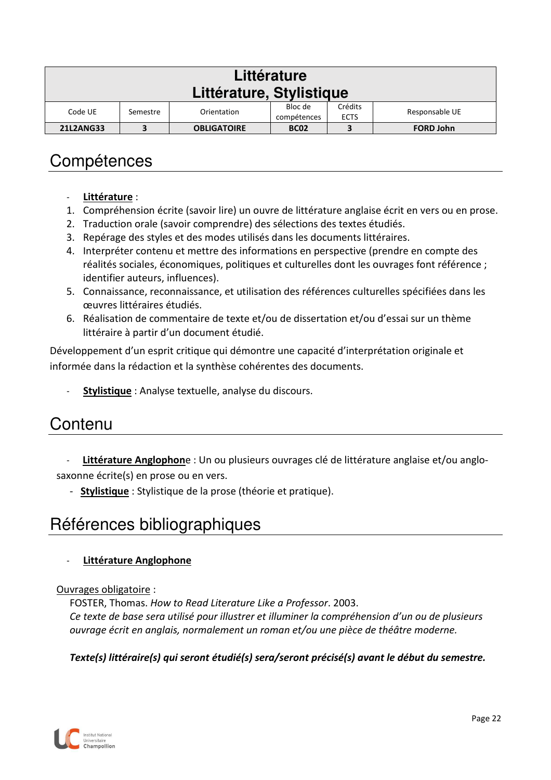| Littérature                                                                                                       |          |             |         |         |                |  |  |  |
|-------------------------------------------------------------------------------------------------------------------|----------|-------------|---------|---------|----------------|--|--|--|
| Littérature, Stylistique                                                                                          |          |             |         |         |                |  |  |  |
| Code UE                                                                                                           | Semestre | Orientation | Bloc de | Crédits | Responsable UE |  |  |  |
| compétences<br><b>ECTS</b><br>3<br><b>FORD John</b><br><b>21L2ANG33</b><br><b>OBLIGATOIRE</b><br>3<br><b>BC02</b> |          |             |         |         |                |  |  |  |

- **Littérature** :
- 1. Compréhension écrite (savoir lire) un ouvre de littérature anglaise écrit en vers ou en prose.
- 2. Traduction orale (savoir comprendre) des sélections des textes étudiés.
- 3. Repérage des styles et des modes utilisés dans les documents littéraires.
- 4. Interpréter contenu et mettre des informations en perspective (prendre en compte des réalités sociales, économiques, politiques et culturelles dont les ouvrages font référence ; identifier auteurs, influences).
- 5. Connaissance, reconnaissance, et utilisation des références culturelles spécifiées dans les œuvres littéraires étudiés.
- 6. Réalisation de commentaire de texte et/ou de dissertation et/ou d'essai sur un thème littéraire à partir d'un document étudié.

Développement d'un esprit critique qui démontre une capacité d'interprétation originale et informée dans la rédaction et la synthèse cohérentes des documents.

Stylistique : Analyse textuelle, analyse du discours.

#### **Contenu**

- **Littérature Anglophon**e : Un ou plusieurs ouvrages clé de littérature anglaise et/ou anglosaxonne écrite(s) en prose ou en vers.
	- **Stylistique** : Stylistique de la prose (théorie et pratique).

### Références bibliographiques

- **Littérature Anglophone**

#### Ouvrages obligatoire :

FOSTER, Thomas. *How to Read Literature Like a Professor*. 2003. *Ce texte de base sera utilisé pour illustrer et illuminer la compréhension d'un ou de plusieurs ouvrage écrit en anglais, normalement un roman et/ou une pièce de théâtre moderne.* 

#### *Texte(s) littéraire(s) qui seront étudié(s) sera/seront précisé(s) avant le début du semestre.*

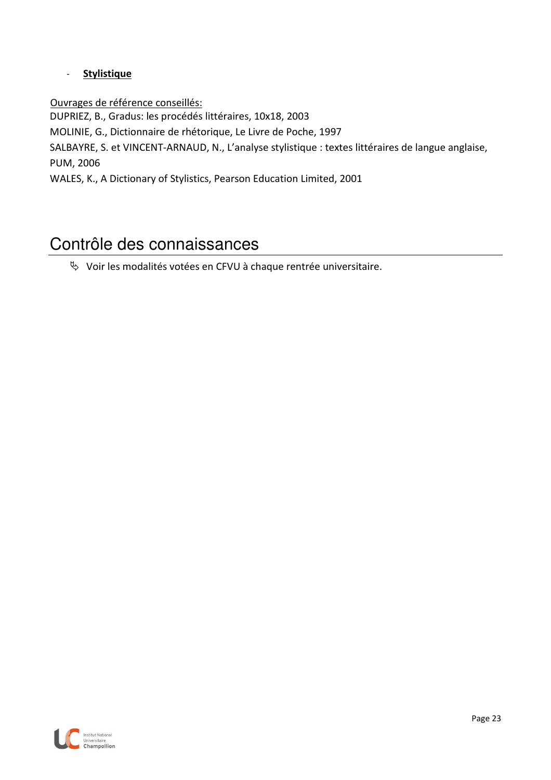#### - **Stylistique**

Ouvrages de référence conseillés:

DUPRIEZ, B., Gradus: les procédés littéraires, 10x18, 2003

MOLINIE, G., Dictionnaire de rhétorique, Le Livre de Poche, 1997

SALBAYRE, S. et VINCENT-ARNAUD, N., L'analyse stylistique : textes littéraires de langue anglaise, PUM, 2006

WALES, K., A Dictionary of Stylistics, Pearson Education Limited, 2001

### Contrôle des connaissances

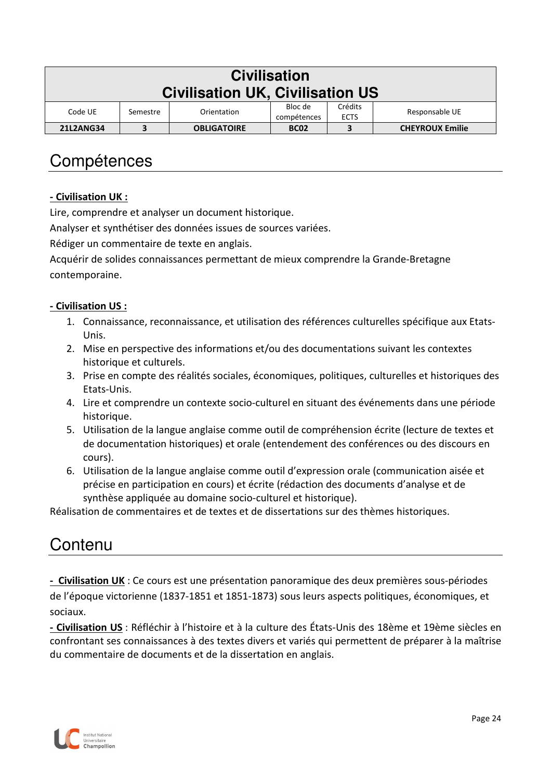| <b>Civilisation</b>                     |                                                                                               |                    |             |   |                        |  |  |  |
|-----------------------------------------|-----------------------------------------------------------------------------------------------|--------------------|-------------|---|------------------------|--|--|--|
| <b>Civilisation UK, Civilisation US</b> |                                                                                               |                    |             |   |                        |  |  |  |
| Code UE                                 | Crédits<br>Bloc de<br>Responsable UE<br>Orientation<br>Semestre<br><b>ECTS</b><br>compétences |                    |             |   |                        |  |  |  |
| <b>21L2ANG34</b>                        | 3                                                                                             | <b>OBLIGATOIRE</b> | <b>BC02</b> | 3 | <b>CHEYROUX Emilie</b> |  |  |  |

#### **- Civilisation UK :**

Lire, comprendre et analyser un document historique.

Analyser et synthétiser des données issues de sources variées.

Rédiger un commentaire de texte en anglais.

Acquérir de solides connaissances permettant de mieux comprendre la Grande-Bretagne contemporaine.

#### **- Civilisation US :**

- 1. Connaissance, reconnaissance, et utilisation des références culturelles spécifique aux Etats-Unis.
- 2. Mise en perspective des informations et/ou des documentations suivant les contextes historique et culturels.
- 3. Prise en compte des réalités sociales, économiques, politiques, culturelles et historiques des Etats-Unis.
- 4. Lire et comprendre un contexte socio-culturel en situant des événements dans une période historique.
- 5. Utilisation de la langue anglaise comme outil de compréhension écrite (lecture de textes et de documentation historiques) et orale (entendement des conférences ou des discours en cours).
- 6. Utilisation de la langue anglaise comme outil d'expression orale (communication aisée et précise en participation en cours) et écrite (rédaction des documents d'analyse et de synthèse appliquée au domaine socio-culturel et historique).

Réalisation de commentaires et de textes et de dissertations sur des thèmes historiques.

### Contenu

**- Civilisation UK** : Ce cours est une présentation panoramique des deux premières sous-périodes de l'époque victorienne (1837-1851 et 1851-1873) sous leurs aspects politiques, économiques, et sociaux.

**- Civilisation US** : Réfléchir à l'histoire et à la culture des États-Unis des 18ème et 19ème siècles en confrontant ses connaissances à des textes divers et variés qui permettent de préparer à la maîtrise du commentaire de documents et de la dissertation en anglais.

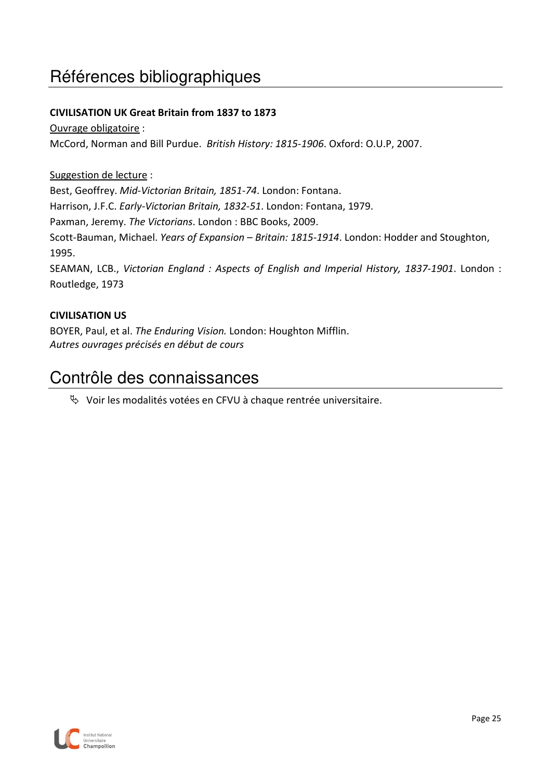# Références bibliographiques

#### **CIVILISATION UK Great Britain from 1837 to 1873**

#### Ouvrage obligatoire :

McCord, Norman and Bill Purdue. *British History: 1815-1906*. Oxford: O.U.P, 2007.

#### Suggestion de lecture :

Best, Geoffrey. *Mid-Victorian Britain, 1851-74*. London: Fontana.

Harrison, J.F.C. *Early-Victorian Britain, 1832-51*. London: Fontana, 1979.

Paxman, Jeremy. *The Victorians*. London : BBC Books, 2009.

Scott-Bauman, Michael. *Years of Expansion – Britain: 1815-1914*. London: Hodder and Stoughton, 1995.

SEAMAN, LCB., *Victorian England : Aspects of English and Imperial History, 1837-1901*. London : Routledge, 1973

#### **CIVILISATION US**

BOYER, Paul, et al. *The Enduring Vision.* London: Houghton Mifflin. *Autres ouvrages précisés en début de cours*

#### Contrôle des connaissances

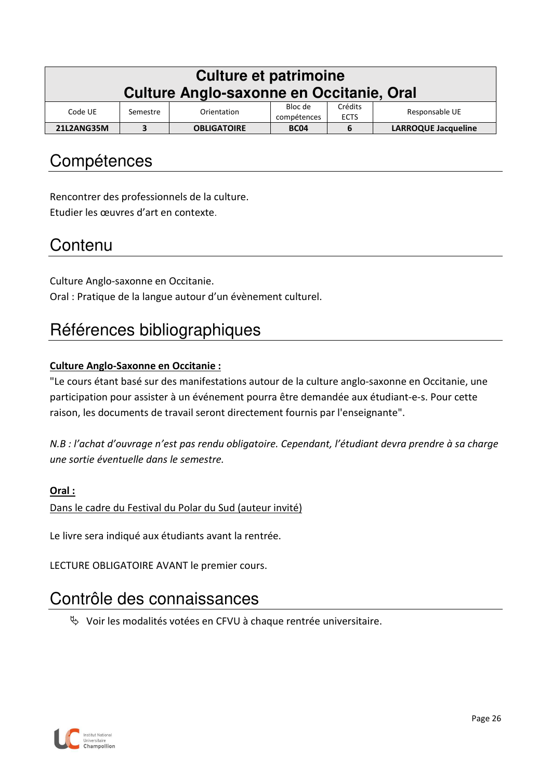| <b>Culture et patrimoine</b><br><b>Culture Anglo-saxonne en Occitanie, Oral</b>                          |  |                    |             |   |                            |  |  |
|----------------------------------------------------------------------------------------------------------|--|--------------------|-------------|---|----------------------------|--|--|
| Crédits<br>Bloc de<br>Responsable UE<br>Code UE<br>Orientation<br>Semestre<br><b>ECTS</b><br>compétences |  |                    |             |   |                            |  |  |
| 21L2ANG35M                                                                                               |  | <b>OBLIGATOIRE</b> | <b>BC04</b> | 6 | <b>LARROQUE Jacqueline</b> |  |  |

Rencontrer des professionnels de la culture. Etudier les œuvres d'art en contexte.

### **Contenu**

Culture Anglo-saxonne en Occitanie. Oral : Pratique de la langue autour d'un évènement culturel.

# Références bibliographiques

#### **Culture Anglo-Saxonne en Occitanie :**

"Le cours étant basé sur des manifestations autour de la culture anglo-saxonne en Occitanie, une participation pour assister à un événement pourra être demandée aux étudiant-e-s. Pour cette raison, les documents de travail seront directement fournis par l'enseignante".

*N.B : l'achat d'ouvrage n'est pas rendu obligatoire. Cependant, l'étudiant devra prendre à sa charge une sortie éventuelle dans le semestre.*

#### **Oral :**

Dans le cadre du Festival du Polar du Sud (auteur invité)

Le livre sera indiqué aux étudiants avant la rentrée.

LECTURE OBLIGATOIRE AVANT le premier cours.

### Contrôle des connaissances

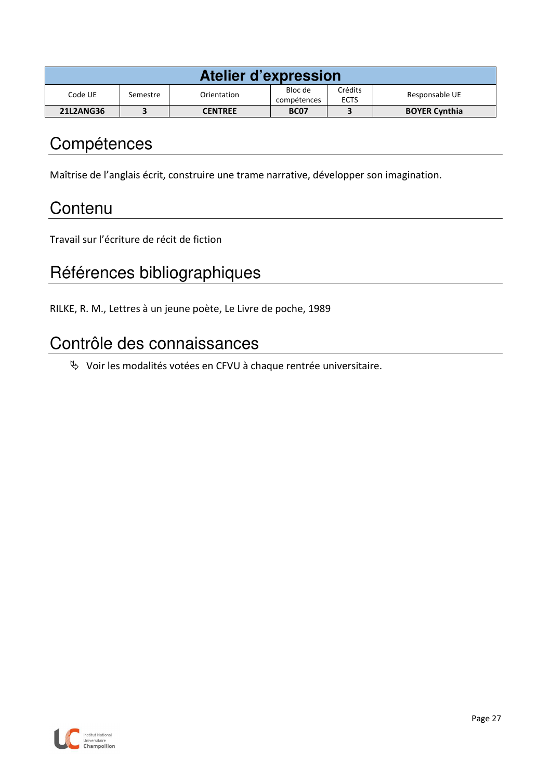| Atelier d'expression |          |                |                        |                        |                      |  |  |  |
|----------------------|----------|----------------|------------------------|------------------------|----------------------|--|--|--|
| Code UE              | Semestre | Orientation    | Bloc de<br>compétences | Crédits<br><b>ECTS</b> | Responsable UE       |  |  |  |
| <b>21L2ANG36</b>     |          | <b>CENTREE</b> | <b>BC07</b>            |                        | <b>BOYER Cynthia</b> |  |  |  |

Maîtrise de l'anglais écrit, construire une trame narrative, développer son imagination.

### **Contenu**

Travail sur l'écriture de récit de fiction

# Références bibliographiques

RILKE, R. M., Lettres à un jeune poète, Le Livre de poche, 1989

### Contrôle des connaissances

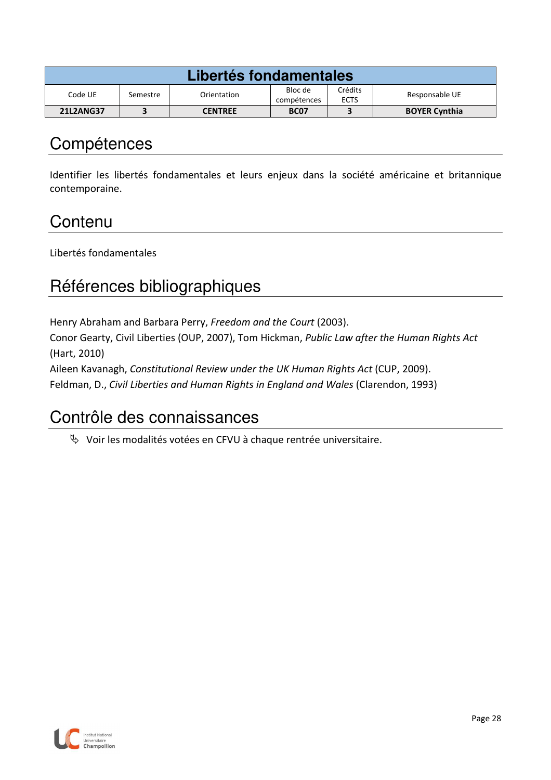| Libertés fondamentales |          |                |                        |                        |                      |  |
|------------------------|----------|----------------|------------------------|------------------------|----------------------|--|
| Code UE                | Semestre | Orientation    | Bloc de<br>compétences | Crédits<br><b>ECTS</b> | Responsable UE       |  |
| <b>21L2ANG37</b>       |          | <b>CENTREE</b> | <b>BC07</b>            |                        | <b>BOYER Cynthia</b> |  |

Identifier les libertés fondamentales et leurs enjeux dans la société américaine et britannique contemporaine.

## **Contenu**

Libertés fondamentales

# Références bibliographiques

Henry Abraham and Barbara Perry, *Freedom and the Court* (2003).

Conor Gearty, Civil Liberties (OUP, 2007), Tom Hickman, *Public Law after the Human Rights Act* (Hart, 2010)

Aileen Kavanagh, *Constitutional Review under the UK Human Rights Act* (CUP, 2009).

Feldman, D., *Civil Liberties and Human Rights in England and Wales* (Clarendon, 1993)

### Contrôle des connaissances

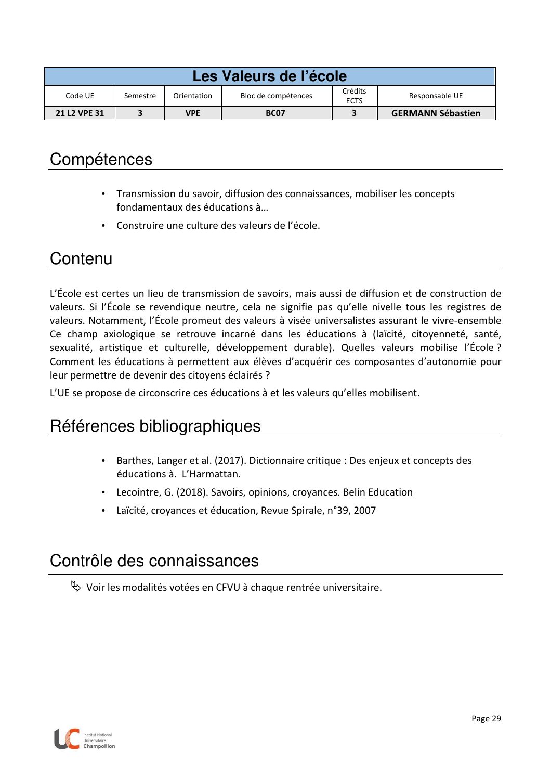| Les Valeurs de l'école |                                                                                            |            |             |  |                          |  |
|------------------------|--------------------------------------------------------------------------------------------|------------|-------------|--|--------------------------|--|
| Code UE                | Crédits<br>Bloc de compétences<br>Responsable UE<br>Orientation<br>Semestre<br><b>ECTS</b> |            |             |  |                          |  |
| <b>21 L2 VPE 31</b>    |                                                                                            | <b>VPE</b> | <b>BC07</b> |  | <b>GERMANN Sébastien</b> |  |
|                        |                                                                                            |            |             |  |                          |  |

- Transmission du savoir, diffusion des connaissances, mobiliser les concepts fondamentaux des éducations à…
- Construire une culture des valeurs de l'école.

### **Contenu**

L'École est certes un lieu de transmission de savoirs, mais aussi de diffusion et de construction de valeurs. Si l'École se revendique neutre, cela ne signifie pas qu'elle nivelle tous les registres de valeurs. Notamment, l'École promeut des valeurs à visée universalistes assurant le vivre-ensemble Ce champ axiologique se retrouve incarné dans les éducations à (laïcité, citoyenneté, santé, sexualité, artistique et culturelle, développement durable). Quelles valeurs mobilise l'École ? Comment les éducations à permettent aux élèves d'acquérir ces composantes d'autonomie pour leur permettre de devenir des citoyens éclairés ?

L'UE se propose de circonscrire ces éducations à et les valeurs qu'elles mobilisent.

# Références bibliographiques

- Barthes, Langer et al. (2017). Dictionnaire critique : Des enjeux et concepts des éducations à. L'Harmattan.
- Lecointre, G. (2018). Savoirs, opinions, croyances. Belin Education
- Laïcité, croyances et éducation, Revue Spirale, n°39, 2007

### Contrôle des connaissances

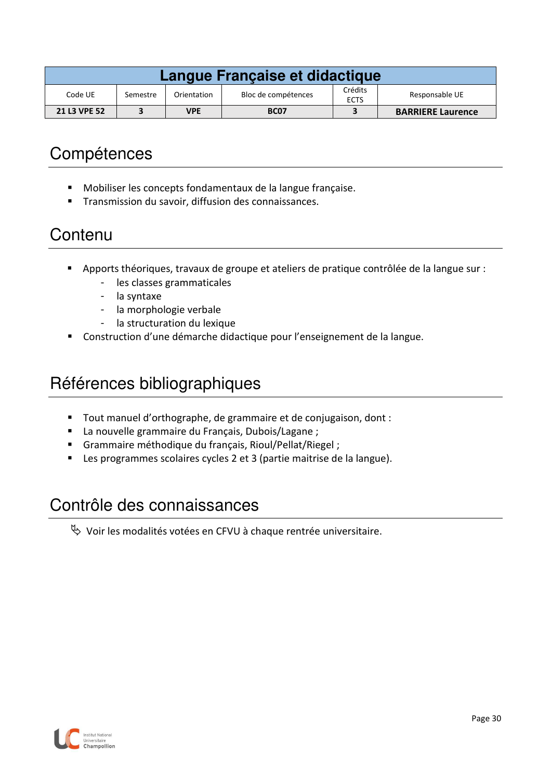| Langue Française et didactique |                                                |            |             |  |                          |  |
|--------------------------------|------------------------------------------------|------------|-------------|--|--------------------------|--|
| Code UE                        | Bloc de compétences<br>Orientation<br>Semestre |            |             |  | Responsable UE           |  |
| 21 L3 VPE 52                   |                                                | <b>VPE</b> | <b>BC07</b> |  | <b>BARRIERE Laurence</b> |  |

- Mobiliser les concepts fondamentaux de la langue française.
- **Transmission du savoir, diffusion des connaissances.**

### **Contenu**

- Apports théoriques, travaux de groupe et ateliers de pratique contrôlée de la langue sur :
	- les classes grammaticales
	- la syntaxe
	- la morphologie verbale
	- la structuration du lexique
- Construction d'une démarche didactique pour l'enseignement de la langue.

### Références bibliographiques

- Tout manuel d'orthographe, de grammaire et de conjugaison, dont :
- La nouvelle grammaire du Français, Dubois/Lagane ;
- Grammaire méthodique du français, Rioul/Pellat/Riegel ;
- Les programmes scolaires cycles 2 et 3 (partie maitrise de la langue).

### Contrôle des connaissances

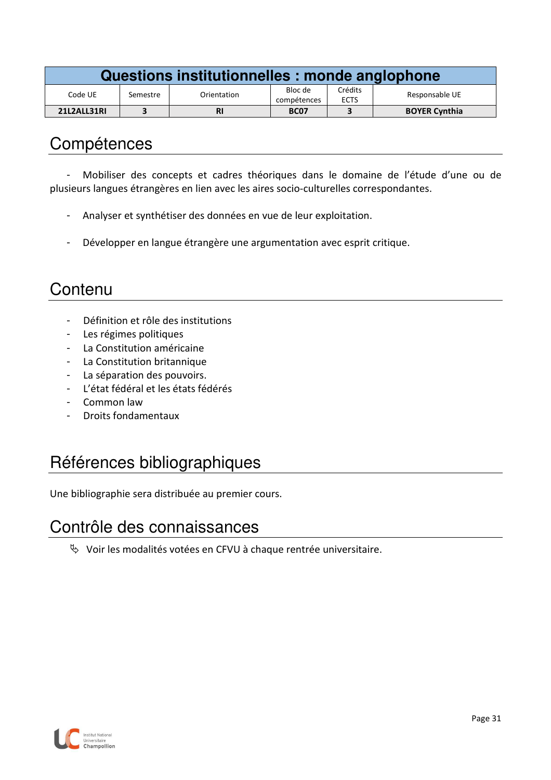| Questions institutionnelles : monde anglophone |          |             |                        |                        |                      |  |
|------------------------------------------------|----------|-------------|------------------------|------------------------|----------------------|--|
| Code UE                                        | Semestre | Orientation | Bloc de<br>compétences | Crédits<br><b>ECTS</b> | Responsable UE       |  |
| 21L2ALL31RI                                    |          | <b>RI</b>   | <b>BC07</b>            |                        | <b>BOYER Cynthia</b> |  |

- Mobiliser des concepts et cadres théoriques dans le domaine de l'étude d'une ou de plusieurs langues étrangères en lien avec les aires socio-culturelles correspondantes.

- Analyser et synthétiser des données en vue de leur exploitation.
- Développer en langue étrangère une argumentation avec esprit critique.

### **Contenu**

- Définition et rôle des institutions
- Les régimes politiques
- La Constitution américaine
- La Constitution britannique
- La séparation des pouvoirs.
- L'état fédéral et les états fédérés
- Common law
- Droits fondamentaux

# Références bibliographiques

Une bibliographie sera distribuée au premier cours.

### Contrôle des connaissances

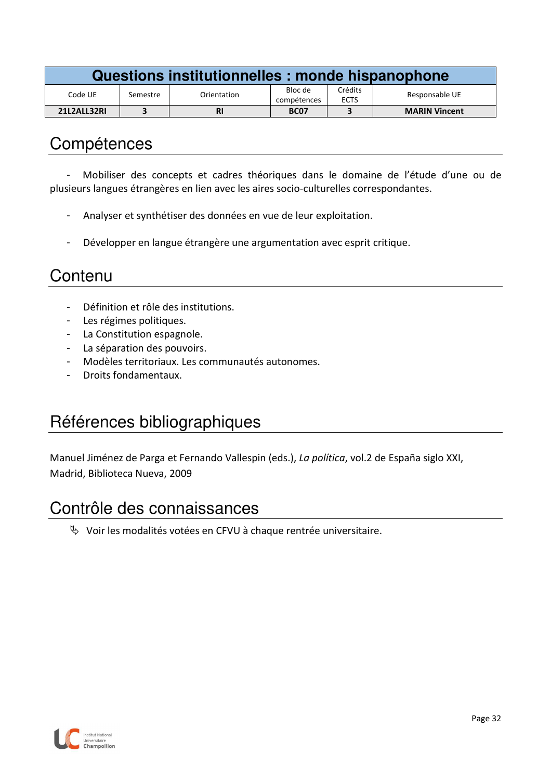| Questions institutionnelles : monde hispanophone |          |             |                        |                        |                      |  |
|--------------------------------------------------|----------|-------------|------------------------|------------------------|----------------------|--|
| Code UE                                          | Semestre | Orientation | Bloc de<br>compétences | Crédits<br><b>ECTS</b> | Responsable UE       |  |
| 21L2ALL32RI                                      |          | <b>RI</b>   | <b>BC07</b>            |                        | <b>MARIN Vincent</b> |  |

- Mobiliser des concepts et cadres théoriques dans le domaine de l'étude d'une ou de plusieurs langues étrangères en lien avec les aires socio-culturelles correspondantes.

- Analyser et synthétiser des données en vue de leur exploitation.
- Développer en langue étrangère une argumentation avec esprit critique.

### **Contenu**

- Définition et rôle des institutions.
- Les régimes politiques.
- La Constitution espagnole.
- La séparation des pouvoirs.
- Modèles territoriaux. Les communautés autonomes.
- Droits fondamentaux.

# Références bibliographiques

Manuel Jiménez de Parga et Fernando Vallespin (eds.), *La política*, vol.2 de España siglo XXI, Madrid, Biblioteca Nueva, 2009

### Contrôle des connaissances

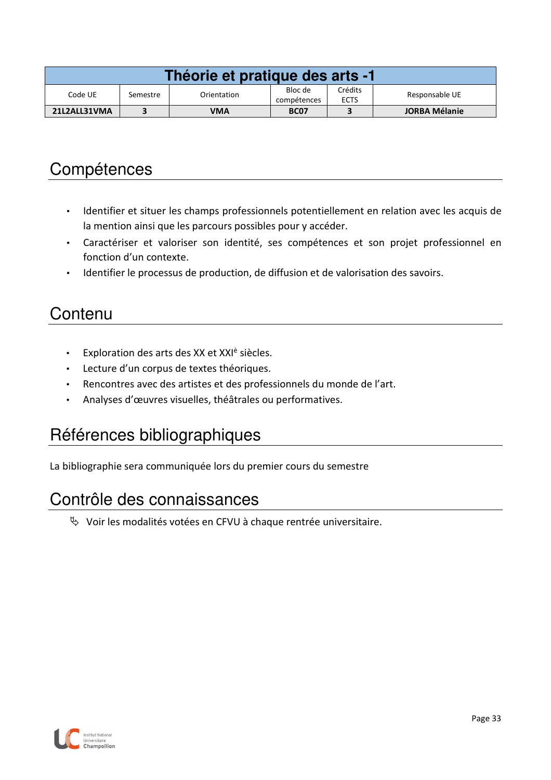| Théorie et pratique des arts -1 |          |             |                        |                        |                      |  |
|---------------------------------|----------|-------------|------------------------|------------------------|----------------------|--|
| Code UE                         | Semestre | Orientation | Bloc de<br>compétences | Crédits<br><b>ECTS</b> | Responsable UE       |  |
| 21L2ALL31VMA                    |          | VMA         | <b>BC07</b>            |                        | <b>JORBA Mélanie</b> |  |

- Identifier et situer les champs professionnels potentiellement en relation avec les acquis de la mention ainsi que les parcours possibles pour y accéder.
- Caractériser et valoriser son identité, ses compétences et son projet professionnel en fonction d'un contexte.
- Identifier le processus de production, de diffusion et de valorisation des savoirs.

### **Contenu**

- Exploration des arts des XX et XXI<sup>è</sup> siècles.
- Lecture d'un corpus de textes théoriques.
- Rencontres avec des artistes et des professionnels du monde de l'art.
- Analyses d'œuvres visuelles, théâtrales ou performatives.

# Références bibliographiques

La bibliographie sera communiquée lors du premier cours du semestre

#### Contrôle des connaissances

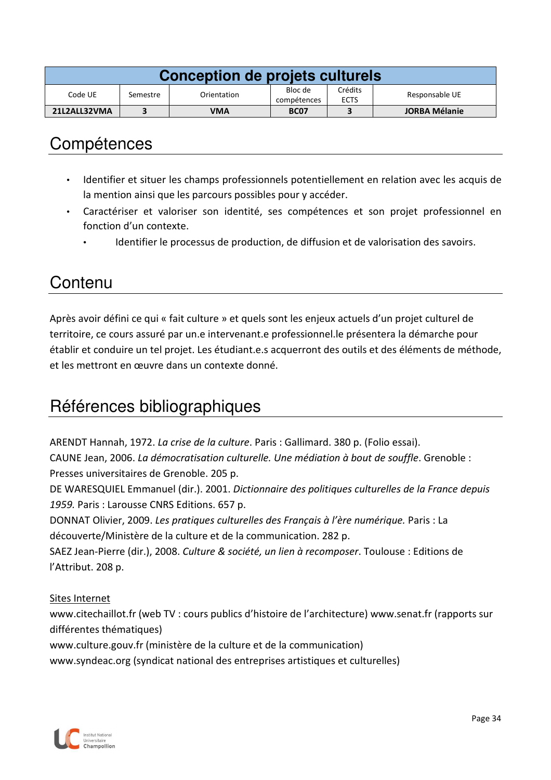| Conception de projets culturels |          |             |                        |                        |                      |  |  |  |
|---------------------------------|----------|-------------|------------------------|------------------------|----------------------|--|--|--|
| Code UE                         | Semestre | Orientation | Bloc de<br>compétences | Crédits<br><b>ECTS</b> | Responsable UE       |  |  |  |
| 21L2ALL32VMA                    |          | VMA         | <b>BC07</b>            |                        | <b>JORBA Mélanie</b> |  |  |  |

- Identifier et situer les champs professionnels potentiellement en relation avec les acquis de la mention ainsi que les parcours possibles pour y accéder.
- Caractériser et valoriser son identité, ses compétences et son projet professionnel en fonction d'un contexte.
	- Identifier le processus de production, de diffusion et de valorisation des savoirs.

## Contenu

Après avoir défini ce qui « fait culture » et quels sont les enjeux actuels d'un projet culturel de territoire, ce cours assuré par un.e intervenant.e professionnel.le présentera la démarche pour établir et conduire un tel projet. Les étudiant.e.s acquerront des outils et des éléments de méthode, et les mettront en œuvre dans un contexte donné.

# Références bibliographiques

ARENDT Hannah, 1972. *La crise de la culture*. Paris : Gallimard. 380 p. (Folio essai). CAUNE Jean, 2006. *La démocratisation culturelle. Une médiation à bout de souffle*. Grenoble : Presses universitaires de Grenoble. 205 p.

DE WARESQUIEL Emmanuel (dir.). 2001. *Dictionnaire des politiques culturelles de la France depuis 1959.* Paris : Larousse CNRS Editions. 657 p.

DONNAT Olivier, 2009. *Les pratiques culturelles des Français à l'ère numérique.* Paris : La découverte/Ministère de la culture et de la communication. 282 p.

SAEZ Jean-Pierre (dir.), 2008. *Culture & société, un lien à recomposer*. Toulouse : Editions de l'Attribut. 208 p.

#### Sites Internet

www.citechaillot.fr (web TV : cours publics d'histoire de l'architecture) www.senat.fr (rapports sur différentes thématiques)

www.culture.gouv.fr (ministère de la culture et de la communication)

www.syndeac.org (syndicat national des entreprises artistiques et culturelles)

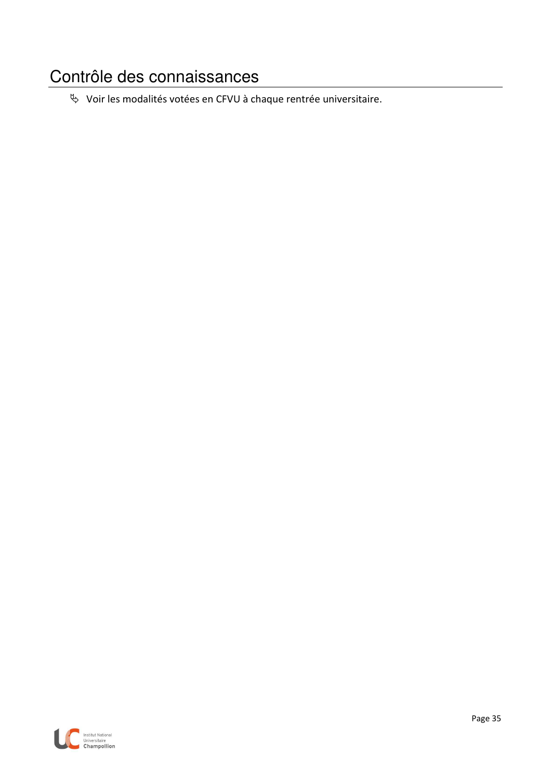# Contrôle des connaissances

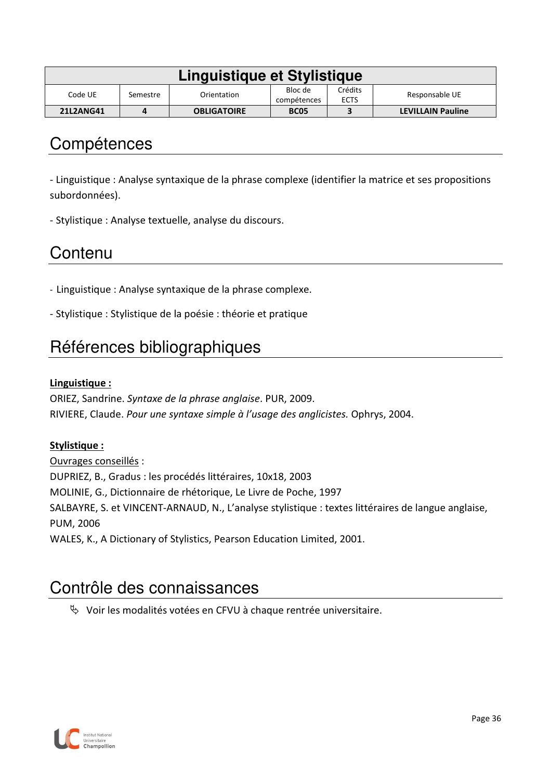| Linguistique et Stylistique |          |                    |                        |                        |                          |  |  |  |
|-----------------------------|----------|--------------------|------------------------|------------------------|--------------------------|--|--|--|
| Code UE                     | Semestre | Orientation        | Bloc de<br>compétences | Crédits<br><b>ECTS</b> | Responsable UE           |  |  |  |
| <b>21L2ANG41</b>            |          | <b>OBLIGATOIRE</b> | <b>BC05</b>            |                        | <b>LEVILLAIN Pauline</b> |  |  |  |

- Linguistique : Analyse syntaxique de la phrase complexe (identifier la matrice et ses propositions subordonnées).

- Stylistique : Analyse textuelle, analyse du discours.

## **Contenu**

- Linguistique : Analyse syntaxique de la phrase complexe.
- Stylistique : Stylistique de la poésie : théorie et pratique

# Références bibliographiques

#### **Linguistique :**

ORIEZ, Sandrine. *Syntaxe de la phrase anglaise*. PUR, 2009. RIVIERE, Claude. *Pour une syntaxe simple à l'usage des anglicistes.* Ophrys, 2004.

#### **Stylistique :**

Ouvrages conseillés : DUPRIEZ, B., Gradus : les procédés littéraires, 10x18, 2003 MOLINIE, G., Dictionnaire de rhétorique, Le Livre de Poche, 1997 SALBAYRE, S. et VINCENT-ARNAUD, N., L'analyse stylistique : textes littéraires de langue anglaise, PUM, 2006 WALES, K., A Dictionary of Stylistics, Pearson Education Limited, 2001.

## Contrôle des connaissances

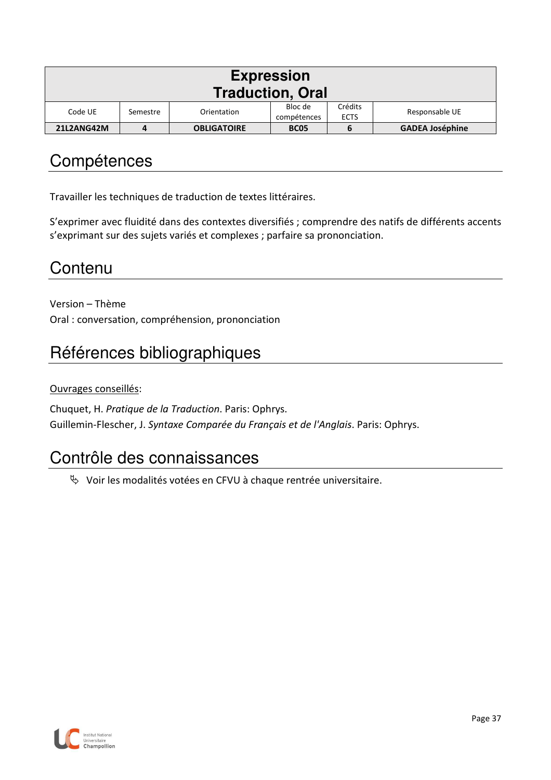| <b>Expression</b><br><b>Traduction, Oral</b> |          |                    |                        |                        |                        |  |  |  |
|----------------------------------------------|----------|--------------------|------------------------|------------------------|------------------------|--|--|--|
| Code UE                                      | Semestre | Orientation        | Bloc de<br>compétences | Crédits<br><b>ECTS</b> | Responsable UE         |  |  |  |
| 21L2ANG42M                                   | 4        | <b>OBLIGATOIRE</b> | <b>BC05</b>            | ь                      | <b>GADEA Joséphine</b> |  |  |  |

Travailler les techniques de traduction de textes littéraires.

S'exprimer avec fluidité dans des contextes diversifiés ; comprendre des natifs de différents accents s'exprimant sur des sujets variés et complexes ; parfaire sa prononciation.

# **Contenu**

Version – Thème Oral : conversation, compréhension, prononciation

# Références bibliographiques

Ouvrages conseillés:

Chuquet, H. *Pratique de la Traduction*. Paris: Ophrys. Guillemin-Flescher, J. *Syntaxe Comparée du Français et de l'Anglais*. Paris: Ophrys.

## Contrôle des connaissances

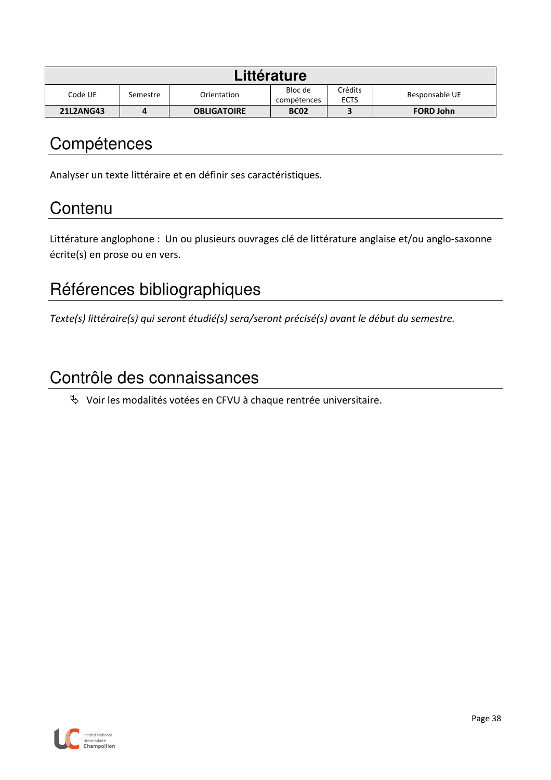| Littérature      |          |                    |                        |                        |                  |  |  |  |
|------------------|----------|--------------------|------------------------|------------------------|------------------|--|--|--|
| Code UE          | Semestre | Orientation        | Bloc de<br>compétences | Crédits<br><b>ECTS</b> | Responsable UE   |  |  |  |
| <b>21L2ANG43</b> | 4        | <b>OBLIGATOIRE</b> | <b>BC02</b>            |                        | <b>FORD John</b> |  |  |  |

Analyser un texte littéraire et en définir ses caractéristiques.

# **Contenu**

Littérature anglophone : Un ou plusieurs ouvrages clé de littérature anglaise et/ou anglo-saxonne écrite(s) en prose ou en vers.

# Références bibliographiques

*Texte(s) littéraire(s) qui seront étudié(s) sera/seront précisé(s) avant le début du semestre.* 

## Contrôle des connaissances

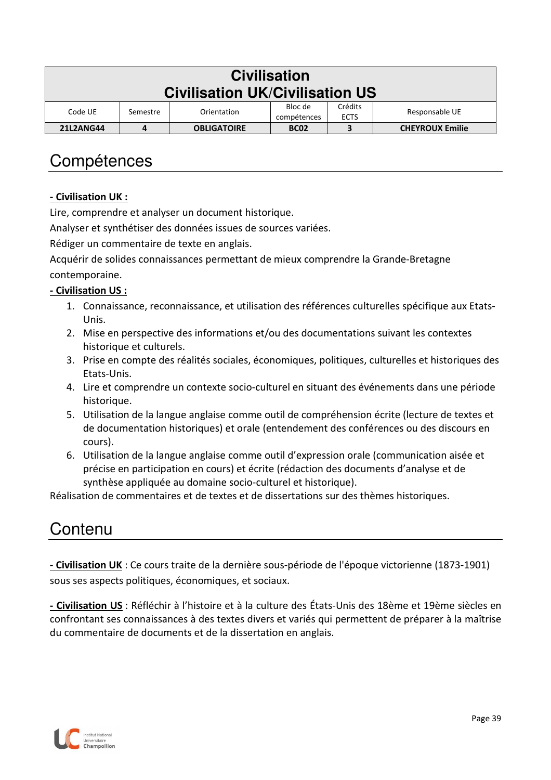| <b>Civilisation</b><br><b>Civilisation UK/Civilisation US</b> |          |                    |                        |                        |                        |  |  |  |
|---------------------------------------------------------------|----------|--------------------|------------------------|------------------------|------------------------|--|--|--|
| Code UE                                                       | Semestre | Orientation        | Bloc de<br>compétences | Crédits<br><b>ECTS</b> | Responsable UE         |  |  |  |
| <b>21L2ANG44</b>                                              | 4        | <b>OBLIGATOIRE</b> | <b>BC02</b>            | 3                      | <b>CHEYROUX Emilie</b> |  |  |  |

#### **- Civilisation UK :**

Lire, comprendre et analyser un document historique.

Analyser et synthétiser des données issues de sources variées.

Rédiger un commentaire de texte en anglais.

Acquérir de solides connaissances permettant de mieux comprendre la Grande-Bretagne contemporaine.

#### **- Civilisation US :**

- 1. Connaissance, reconnaissance, et utilisation des références culturelles spécifique aux Etats-Unis.
- 2. Mise en perspective des informations et/ou des documentations suivant les contextes historique et culturels.
- 3. Prise en compte des réalités sociales, économiques, politiques, culturelles et historiques des Etats-Unis.
- 4. Lire et comprendre un contexte socio-culturel en situant des événements dans une période historique.
- 5. Utilisation de la langue anglaise comme outil de compréhension écrite (lecture de textes et de documentation historiques) et orale (entendement des conférences ou des discours en cours).
- 6. Utilisation de la langue anglaise comme outil d'expression orale (communication aisée et précise en participation en cours) et écrite (rédaction des documents d'analyse et de synthèse appliquée au domaine socio-culturel et historique).

Réalisation de commentaires et de textes et de dissertations sur des thèmes historiques.

### Contenu

**- Civilisation UK** : Ce cours traite de la dernière sous-période de l'époque victorienne (1873-1901) sous ses aspects politiques, économiques, et sociaux.

**- Civilisation US** : Réfléchir à l'histoire et à la culture des États-Unis des 18ème et 19ème siècles en confrontant ses connaissances à des textes divers et variés qui permettent de préparer à la maîtrise du commentaire de documents et de la dissertation en anglais.

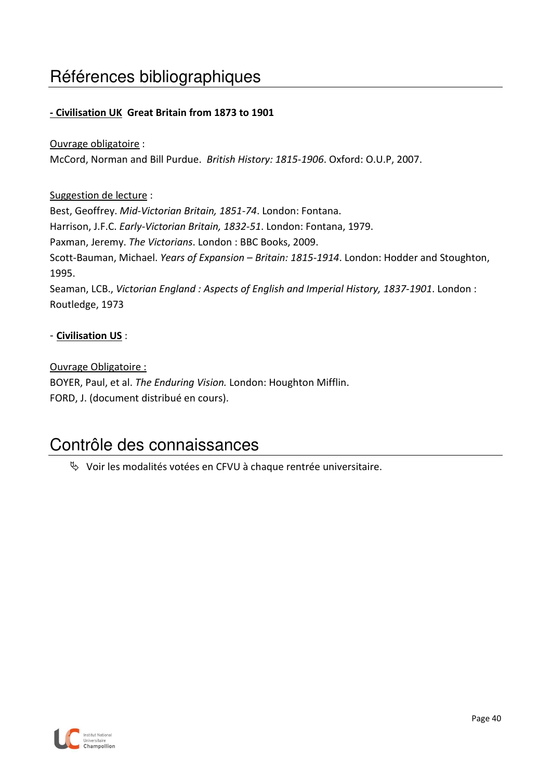# Références bibliographiques

#### **- Civilisation UK Great Britain from 1873 to 1901**

#### Ouvrage obligatoire :

McCord, Norman and Bill Purdue. *British History: 1815-1906*. Oxford: O.U.P, 2007.

#### Suggestion de lecture :

Best, Geoffrey. *Mid-Victorian Britain, 1851-74*. London: Fontana. Harrison, J.F.C. *Early-Victorian Britain, 1832-51*. London: Fontana, 1979. Paxman, Jeremy. *The Victorians*. London : BBC Books, 2009. Scott-Bauman, Michael. *Years of Expansion – Britain: 1815-1914*. London: Hodder and Stoughton, 1995. Seaman, LCB., *Victorian England : Aspects of English and Imperial History, 1837-1901*. London : Routledge, 1973

#### - **Civilisation US** :

#### Ouvrage Obligatoire :

BOYER, Paul, et al. *The Enduring Vision.* London: Houghton Mifflin. FORD, J. (document distribué en cours).

### Contrôle des connaissances

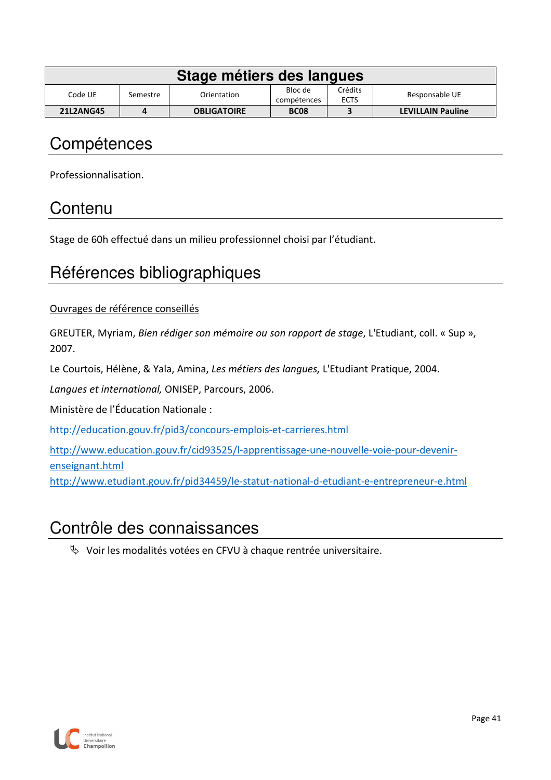| Stage métiers des langues |          |                    |                        |                        |                          |  |  |  |
|---------------------------|----------|--------------------|------------------------|------------------------|--------------------------|--|--|--|
| Code UE                   | Semestre | Orientation        | Bloc de<br>compétences | Crédits<br><b>ECTS</b> | Responsable UE           |  |  |  |
| <b>21L2ANG45</b>          |          | <b>OBLIGATOIRE</b> | <b>BC08</b>            |                        | <b>LEVILLAIN Pauline</b> |  |  |  |

Professionnalisation.

## **Contenu**

Stage de 60h effectué dans un milieu professionnel choisi par l'étudiant.

## Références bibliographiques

Ouvrages de référence conseillés

GREUTER, Myriam, *Bien rédiger son mémoire ou son rapport de stage*, L'Etudiant, coll. « Sup », 2007.

Le Courtois, Hélène, & Yala, Amina, *Les métiers des langues,* L'Etudiant Pratique, 2004.

*Langues et international,* ONISEP, Parcours, 2006.

Ministère de l'Éducation Nationale :

http://education.gouv.fr/pid3/concours-emplois-et-carrieres.html

http://www.education.gouv.fr/cid93525/l-apprentissage-une-nouvelle-voie-pour-devenirenseignant.html

http://www.etudiant.gouv.fr/pid34459/le-statut-national-d-etudiant-e-entrepreneur-e.html

## Contrôle des connaissances

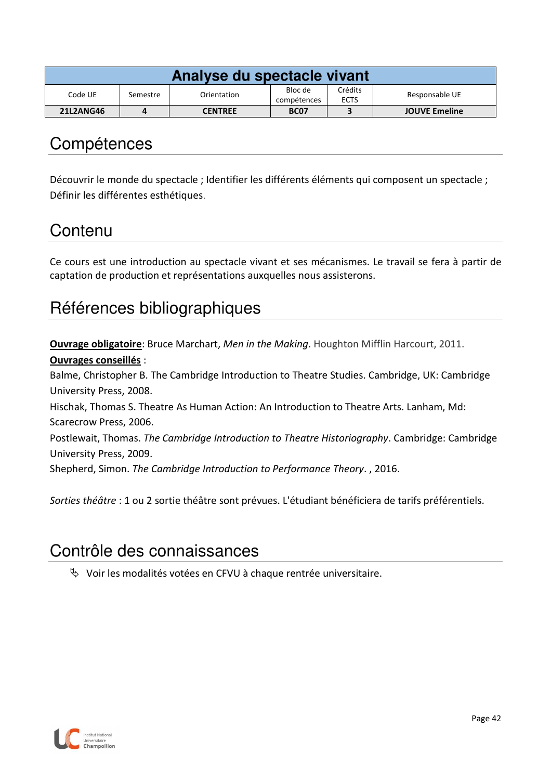| Analyse du spectacle vivant |          |                |                        |                        |                      |  |  |  |
|-----------------------------|----------|----------------|------------------------|------------------------|----------------------|--|--|--|
| Code UE                     | Semestre | Orientation    | Bloc de<br>compétences | Crédits<br><b>ECTS</b> | Responsable UE       |  |  |  |
| <b>21L2ANG46</b>            |          | <b>CENTREE</b> | <b>BC07</b>            |                        | <b>JOUVE Emeline</b> |  |  |  |

Découvrir le monde du spectacle ; Identifier les différents éléments qui composent un spectacle ; Définir les différentes esthétiques.

## **Contenu**

Ce cours est une introduction au spectacle vivant et ses mécanismes. Le travail se fera à partir de captation de production et représentations auxquelles nous assisterons.

# Références bibliographiques

**Ouvrage obligatoire**: Bruce Marchart, *Men in the Making*. Houghton Mifflin Harcourt, 2011.

#### **Ouvrages conseillés** :

Balme, Christopher B. The Cambridge Introduction to Theatre Studies. Cambridge, UK: Cambridge University Press, 2008.

Hischak, Thomas S. Theatre As Human Action: An Introduction to Theatre Arts. Lanham, Md: Scarecrow Press, 2006.

Postlewait, Thomas. *The Cambridge Introduction to Theatre Historiography*. Cambridge: Cambridge University Press, 2009.

Shepherd, Simon. *The Cambridge Introduction to Performance Theory*. , 2016.

*Sorties théâtre* : 1 ou 2 sortie théâtre sont prévues. L'étudiant bénéficiera de tarifs préférentiels.

## Contrôle des connaissances

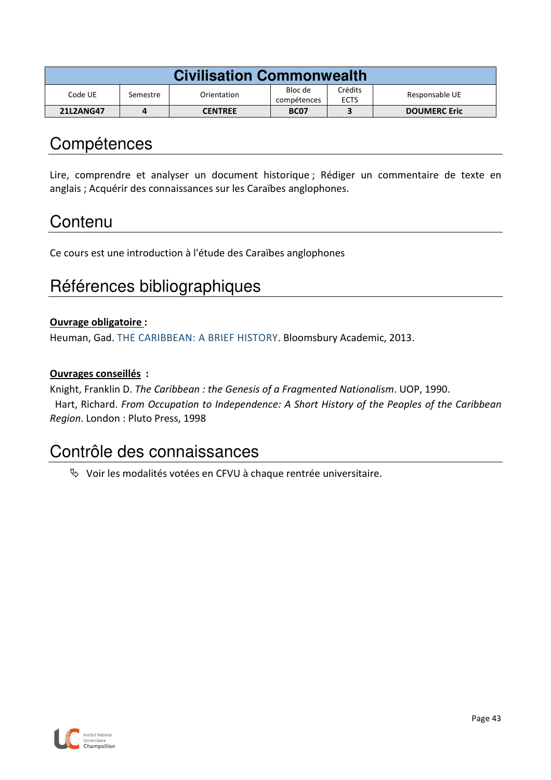| <b>Civilisation Commonwealth</b> |          |                |                        |                        |                     |  |  |  |
|----------------------------------|----------|----------------|------------------------|------------------------|---------------------|--|--|--|
| Code UE                          | Semestre | Orientation    | Bloc de<br>compétences | Crédits<br><b>ECTS</b> | Responsable UE      |  |  |  |
| <b>21L2ANG47</b>                 | 4        | <b>CENTREE</b> | <b>BC07</b>            |                        | <b>DOUMERC Eric</b> |  |  |  |

Lire, comprendre et analyser un document historique ; Rédiger un commentaire de texte en anglais ; Acquérir des connaissances sur les Caraïbes anglophones.

## **Contenu**

Ce cours est une introduction à l'étude des Caraïbes anglophones

## Références bibliographiques

#### **Ouvrage obligatoire :**

Heuman, Gad. THE CARIBBEAN: A BRIEF HISTORY. Bloomsbury Academic, 2013.

#### **Ouvrages conseillés :**

Knight, Franklin D. *The Caribbean : the Genesis of a Fragmented Nationalism*. UOP, 1990.

 Hart, Richard. *From Occupation to Independence: A Short History of the Peoples of the Caribbean Region*. London : Pluto Press, 1998

### Contrôle des connaissances

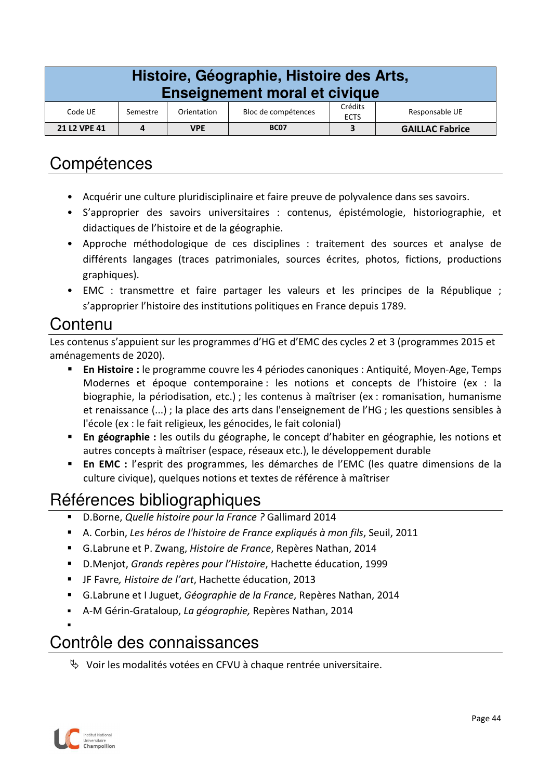| Histoire, Géographie, Histoire des Arts,<br><b>Enseignement moral et civique</b> |                                                                                            |            |             |  |                        |  |  |
|----------------------------------------------------------------------------------|--------------------------------------------------------------------------------------------|------------|-------------|--|------------------------|--|--|
| Code UE                                                                          | Crédits<br>Bloc de compétences<br>Responsable UE<br>Orientation<br>Semestre<br><b>ECTS</b> |            |             |  |                        |  |  |
| 21 L2 VPE 41                                                                     | 4                                                                                          | <b>VPE</b> | <b>BC07</b> |  | <b>GAILLAC Fabrice</b> |  |  |

- Acquérir une culture pluridisciplinaire et faire preuve de polyvalence dans ses savoirs.
- S'approprier des savoirs universitaires : contenus, épistémologie, historiographie, et didactiques de l'histoire et de la géographie.
- Approche méthodologique de ces disciplines : traitement des sources et analyse de différents langages (traces patrimoniales, sources écrites, photos, fictions, productions graphiques).
- EMC : transmettre et faire partager les valeurs et les principes de la République ; s'approprier l'histoire des institutions politiques en France depuis 1789.

#### Contenu

Les contenus s'appuient sur les programmes d'HG et d'EMC des cycles 2 et 3 (programmes 2015 et aménagements de 2020).

- **En Histoire :** le programme couvre les 4 périodes canoniques : Antiquité, Moyen-Age, Temps Modernes et époque contemporaine : les notions et concepts de l'histoire (ex : la biographie, la périodisation, etc.) ; les contenus à maîtriser (ex : romanisation, humanisme et renaissance (...) ; la place des arts dans l'enseignement de l'HG ; les questions sensibles à l'école (ex : le fait religieux, les génocides, le fait colonial)
- **En géographie :** les outils du géographe, le concept d'habiter en géographie, les notions et autres concepts à maîtriser (espace, réseaux etc.), le développement durable
- **En EMC :** l'esprit des programmes, les démarches de l'EMC (les quatre dimensions de la culture civique), quelques notions et textes de référence à maîtriser

# Références bibliographiques

- D.Borne, *Quelle histoire pour la France ?* Gallimard 2014
- A. Corbin, *Les héros de l'histoire de France expliqués à mon fils*, Seuil, 2011
- G.Labrune et P. Zwang, *Histoire de France*, Repères Nathan, 2014
- D.Menjot, *Grands repères pour l'Histoire*, Hachette éducation, 1999
- JF Favre*, Histoire de l'art*, Hachette éducation, 2013
- G.Labrune et I Juguet, *Géographie de la France*, Repères Nathan, 2014
- A-M Gérin-Grataloup, *La géographie,* Repères Nathan, 2014

# Contrôle des connaissances

 $\%$  Voir les modalités votées en CFVU à chaque rentrée universitaire.



.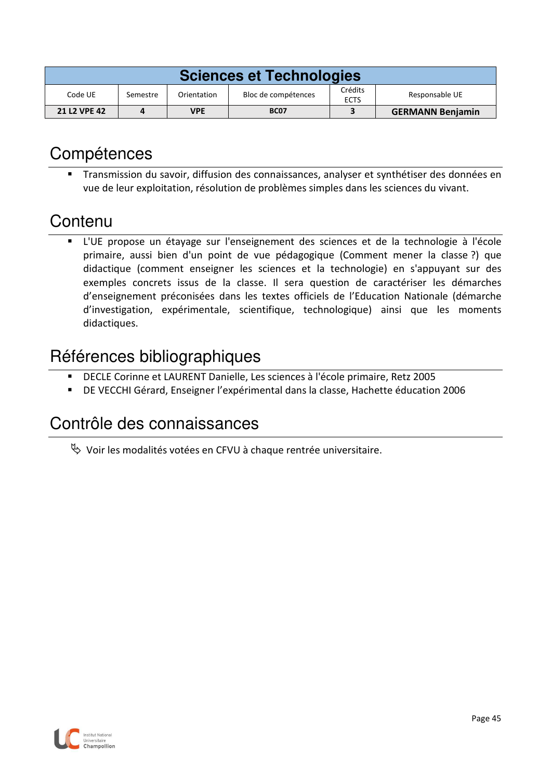| <b>Sciences et Technologies</b> |          |             |                     |                        |                         |  |  |
|---------------------------------|----------|-------------|---------------------|------------------------|-------------------------|--|--|
| Code UE                         | Semestre | Orientation | Bloc de compétences | Crédits<br><b>ECTS</b> | Responsable UE          |  |  |
| <b>21 L2 VPE 42</b>             |          | <b>VPE</b>  | <b>BC07</b>         |                        | <b>GERMANN Benjamin</b> |  |  |

 Transmission du savoir, diffusion des connaissances, analyser et synthétiser des données en vue de leur exploitation, résolution de problèmes simples dans les sciences du vivant.

## **Contenu**

 L'UE propose un étayage sur l'enseignement des sciences et de la technologie à l'école primaire, aussi bien d'un point de vue pédagogique (Comment mener la classe ?) que didactique (comment enseigner les sciences et la technologie) en s'appuyant sur des exemples concrets issus de la classe. Il sera question de caractériser les démarches d'enseignement préconisées dans les textes officiels de l'Education Nationale (démarche d'investigation, expérimentale, scientifique, technologique) ainsi que les moments didactiques.

## Références bibliographiques

- DECLE Corinne et LAURENT Danielle, Les sciences à l'école primaire, Retz 2005
- DE VECCHI Gérard, Enseigner l'expérimental dans la classe, Hachette éducation 2006

## Contrôle des connaissances

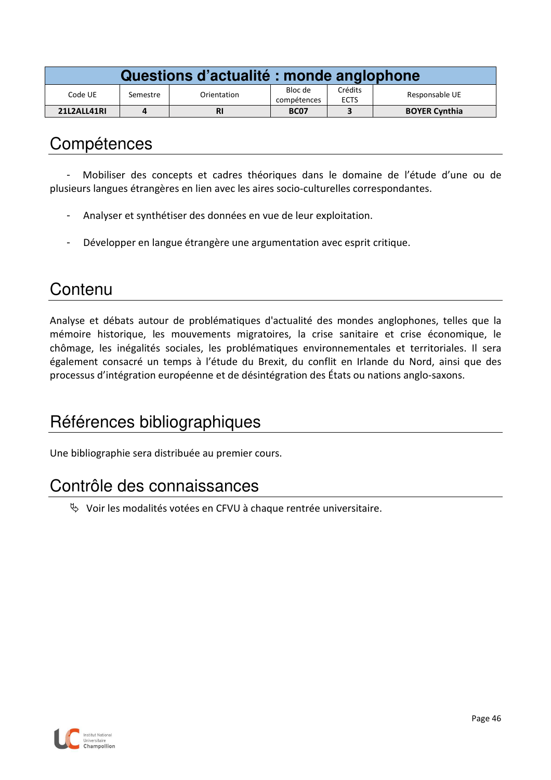| Questions d'actualité : monde anglophone |          |             |                        |                        |                      |  |  |  |
|------------------------------------------|----------|-------------|------------------------|------------------------|----------------------|--|--|--|
| Code UE                                  | Semestre | Orientation | Bloc de<br>compétences | Crédits<br><b>ECTS</b> | Responsable UE       |  |  |  |
| 21L2ALL41RI                              |          | <b>RI</b>   | <b>BC07</b>            |                        | <b>BOYER Cynthia</b> |  |  |  |

- Mobiliser des concepts et cadres théoriques dans le domaine de l'étude d'une ou de plusieurs langues étrangères en lien avec les aires socio-culturelles correspondantes.

- Analyser et synthétiser des données en vue de leur exploitation.
- Développer en langue étrangère une argumentation avec esprit critique.

## **Contenu**

Analyse et débats autour de problématiques d'actualité des mondes anglophones, telles que la mémoire historique, les mouvements migratoires, la crise sanitaire et crise économique, le chômage, les inégalités sociales, les problématiques environnementales et territoriales. Il sera également consacré un temps à l'étude du Brexit, du conflit en Irlande du Nord, ainsi que des processus d'intégration européenne et de désintégration des États ou nations anglo-saxons.

# Références bibliographiques

Une bibliographie sera distribuée au premier cours.

## Contrôle des connaissances

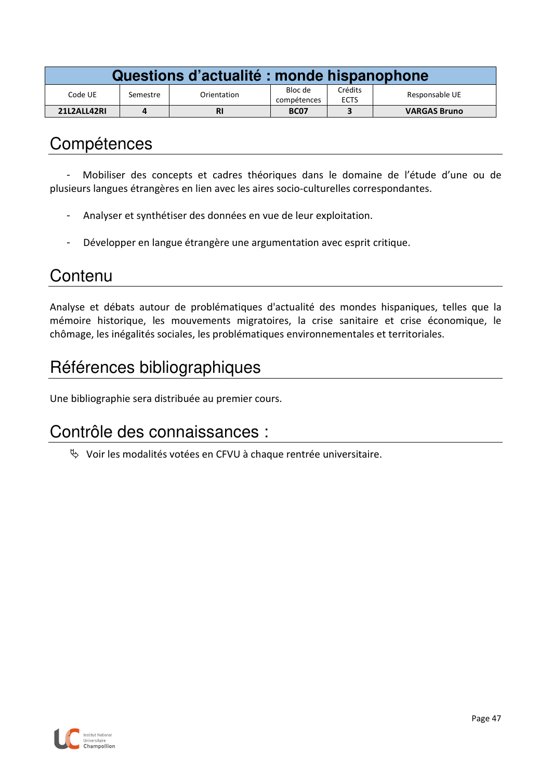| Questions d'actualité : monde hispanophone |          |             |                        |                        |                     |  |  |
|--------------------------------------------|----------|-------------|------------------------|------------------------|---------------------|--|--|
| Code UE                                    | Semestre | Orientation | Bloc de<br>compétences | Crédits<br><b>ECTS</b> | Responsable UE      |  |  |
| 21L2ALL42RI                                |          | <b>RI</b>   | <b>BC07</b>            |                        | <b>VARGAS Bruno</b> |  |  |

- Mobiliser des concepts et cadres théoriques dans le domaine de l'étude d'une ou de plusieurs langues étrangères en lien avec les aires socio-culturelles correspondantes.

- Analyser et synthétiser des données en vue de leur exploitation.
- Développer en langue étrangère une argumentation avec esprit critique.

### **Contenu**

Analyse et débats autour de problématiques d'actualité des mondes hispaniques, telles que la mémoire historique, les mouvements migratoires, la crise sanitaire et crise économique, le chômage, les inégalités sociales, les problématiques environnementales et territoriales.

# Références bibliographiques

Une bibliographie sera distribuée au premier cours.

### Contrôle des connaissances :

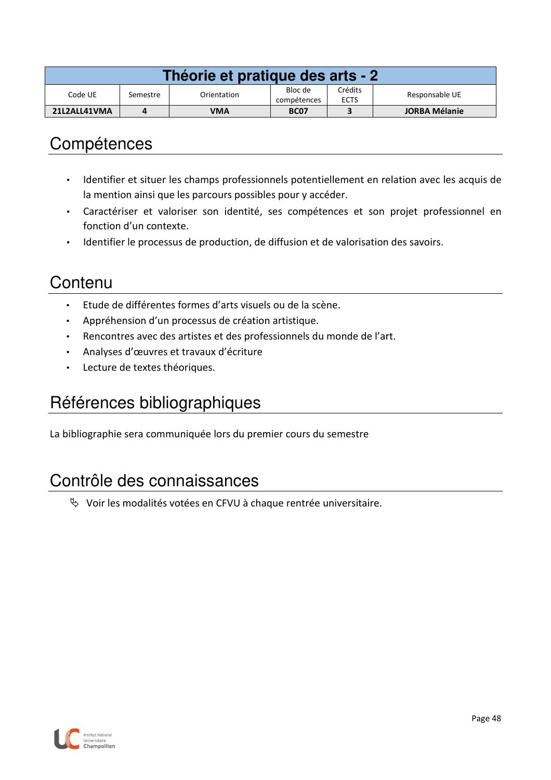| Théorie et pratique des arts - 2 |          |             |                        |                        |                      |  |  |  |
|----------------------------------|----------|-------------|------------------------|------------------------|----------------------|--|--|--|
| Code UE                          | Semestre | Orientation | Bloc de<br>compétences | Crédits<br><b>ECTS</b> | Responsable UE       |  |  |  |
| 21L2ALL41VMA                     |          | VMA         | <b>BC07</b>            |                        | <b>JORBA Mélanie</b> |  |  |  |

- Identifier et situer les champs professionnels potentiellement en relation avec les acquis de la mention ainsi que les parcours possibles pour y accéder.
- Caractériser et valoriser son identité, ses compétences et son projet professionnel en fonction d'un contexte.
- Identifier le processus de production, de diffusion et de valorisation des savoirs.

### **Contenu**

- Etude de différentes formes d'arts visuels ou de la scène.
- Appréhension d'un processus de création artistique.
- Rencontres avec des artistes et des professionnels du monde de l'art.
- Analyses d'œuvres et travaux d'écriture
- Lecture de textes théoriques.

# Références bibliographiques

La bibliographie sera communiquée lors du premier cours du semestre

### Contrôle des connaissances

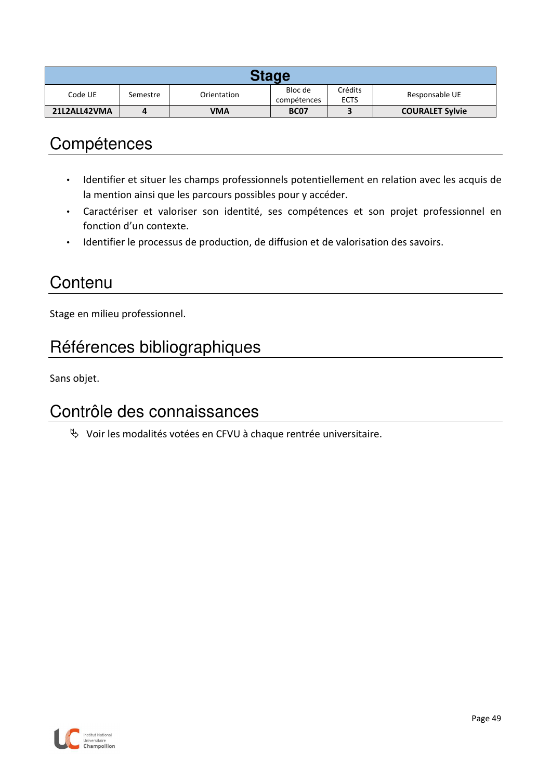| Stage        |          |             |                        |                        |                        |  |  |
|--------------|----------|-------------|------------------------|------------------------|------------------------|--|--|
| Code UE      | Semestre | Orientation | Bloc de<br>compétences | Crédits<br><b>ECTS</b> | Responsable UE         |  |  |
| 21L2ALL42VMA |          | VMA         | <b>BC07</b>            |                        | <b>COURALET Sylvie</b> |  |  |

- Identifier et situer les champs professionnels potentiellement en relation avec les acquis de la mention ainsi que les parcours possibles pour y accéder.
- Caractériser et valoriser son identité, ses compétences et son projet professionnel en fonction d'un contexte.
- Identifier le processus de production, de diffusion et de valorisation des savoirs.

### **Contenu**

Stage en milieu professionnel.

# Références bibliographiques

Sans objet.

### Contrôle des connaissances

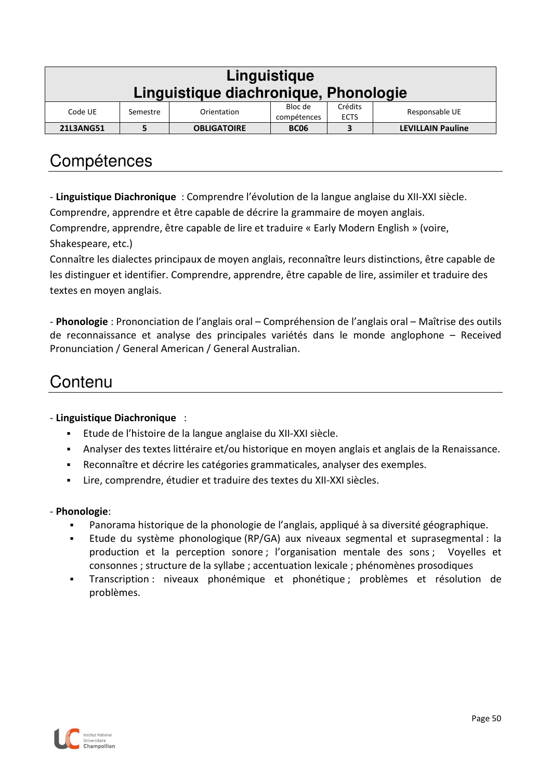| Linguistique<br>Linguistique diachronique, Phonologie                                                    |  |                    |             |   |                          |  |  |  |
|----------------------------------------------------------------------------------------------------------|--|--------------------|-------------|---|--------------------------|--|--|--|
| Crédits<br>Bloc de<br>Responsable UE<br>Code UE<br>Orientation<br>Semestre<br><b>ECTS</b><br>compétences |  |                    |             |   |                          |  |  |  |
| <b>21L3ANG51</b>                                                                                         |  | <b>OBLIGATOIRE</b> | <b>BC06</b> | 3 | <b>LEVILLAIN Pauline</b> |  |  |  |

- **Linguistique Diachronique** : Comprendre l'évolution de la langue anglaise du XII-XXI siècle.

Comprendre, apprendre et être capable de décrire la grammaire de moyen anglais.

Comprendre, apprendre, être capable de lire et traduire « Early Modern English » (voire, Shakespeare, etc.)

Connaître les dialectes principaux de moyen anglais, reconnaître leurs distinctions, être capable de les distinguer et identifier. Comprendre, apprendre, être capable de lire, assimiler et traduire des textes en moyen anglais.

- **Phonologie** : Prononciation de l'anglais oral – Compréhension de l'anglais oral – Maîtrise des outils de reconnaissance et analyse des principales variétés dans le monde anglophone – Received Pronunciation / General American / General Australian.

## **Contenu**

- **Linguistique Diachronique** :

- Etude de l'histoire de la langue anglaise du XII-XXI siècle.
- Analyser des textes littéraire et/ou historique en moyen anglais et anglais de la Renaissance.
- Reconnaître et décrire les catégories grammaticales, analyser des exemples.
- Lire, comprendre, étudier et traduire des textes du XII-XXI siècles.

#### - **Phonologie**:

- Panorama historique de la phonologie de l'anglais, appliqué à sa diversité géographique.
- Etude du système phonologique (RP/GA) aux niveaux segmental et suprasegmental : la production et la perception sonore ; l'organisation mentale des sons ; Voyelles et consonnes ; structure de la syllabe ; accentuation lexicale ; phénomènes prosodiques
- Transcription : niveaux phonémique et phonétique ; problèmes et résolution de problèmes.

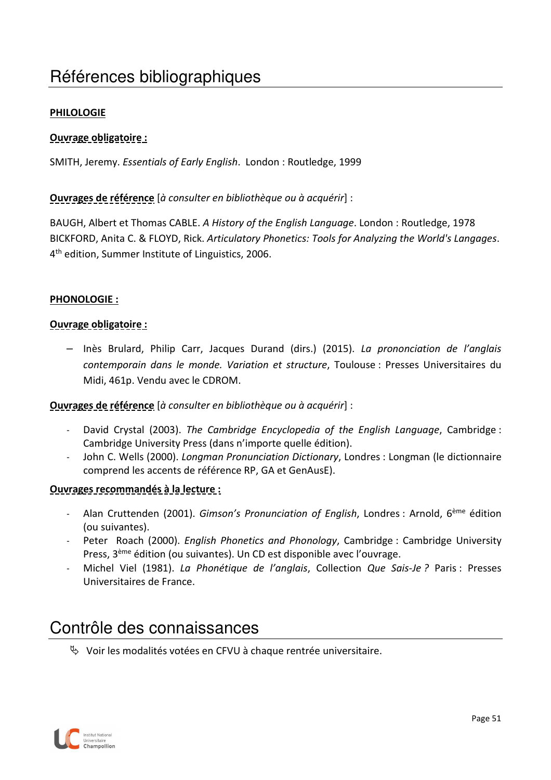# Références bibliographiques

#### **PHILOLOGIE**

#### **Ouvrage obligatoire :**

SMITH, Jeremy. *Essentials of Early English*. London : Routledge, 1999

#### **Ouvrages de référence** [*à consulter en bibliothèque ou à acquérir*] :

BAUGH, Albert et Thomas CABLE. *A History of the English Language*. London : Routledge, 1978 BICKFORD, Anita C. & FLOYD, Rick. *Articulatory Phonetics: Tools for Analyzing the World's Langages*. 4<sup>th</sup> edition, Summer Institute of Linguistics, 2006.

#### **PHONOLOGIE :**

#### **Ouvrage obligatoire :**

– Inès Brulard, Philip Carr, Jacques Durand (dirs.) (2015). *La prononciation de l'anglais contemporain dans le monde. Variation et structure*, Toulouse : Presses Universitaires du Midi, 461p. Vendu avec le CDROM.

#### **Ouvrages de référence** [*à consulter en bibliothèque ou à acquérir*] :

- David Crystal (2003). *The Cambridge Encyclopedia of the English Language*, Cambridge : Cambridge University Press (dans n'importe quelle édition).
- John C. Wells (2000). *Longman Pronunciation Dictionary*, Londres : Longman (le dictionnaire comprend les accents de référence RP, GA et GenAusE).

#### **Ouvrages recommandés à la lecture :**

- Alan Cruttenden (2001). *Gimson's Pronunciation of English*, Londres : Arnold, 6ème édition (ou suivantes).
- Peter Roach (2000). *English Phonetics and Phonology*, Cambridge : Cambridge University Press, 3ème édition (ou suivantes). Un CD est disponible avec l'ouvrage.
- Michel Viel (1981). *La Phonétique de l'anglais*, Collection *Que Sais-Je ?* Paris : Presses Universitaires de France.

### Contrôle des connaissances

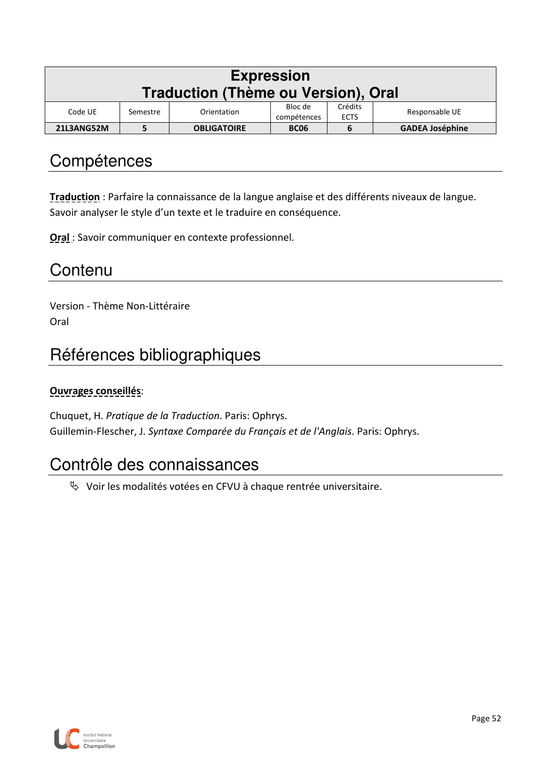| <b>Expression</b><br><b>Traduction (Thème ou Version), Oral</b> |                                                                                               |                    |             |   |                        |  |  |  |  |
|-----------------------------------------------------------------|-----------------------------------------------------------------------------------------------|--------------------|-------------|---|------------------------|--|--|--|--|
| Code UE                                                         | Crédits<br>Bloc de<br>Responsable UE<br>Orientation<br>Semestre<br><b>ECTS</b><br>compétences |                    |             |   |                        |  |  |  |  |
| 21L3ANG52M                                                      |                                                                                               | <b>OBLIGATOIRE</b> | <b>BC06</b> | b | <b>GADEA Joséphine</b> |  |  |  |  |

**Traduction** : Parfaire la connaissance de la langue anglaise et des différents niveaux de langue. Savoir analyser le style d'un texte et le traduire en conséquence.

**Oral** : Savoir communiquer en contexte professionnel.

### **Contenu**

Version - Thème Non-Littéraire Oral

# Références bibliographiques

#### **Ouvrages conseillés**:

Chuquet, H. *Pratique de la Traduction*. Paris: Ophrys. Guillemin-Flescher, J. *Syntaxe Comparée du Français et de l'Anglais*. Paris: Ophrys.

### Contrôle des connaissances

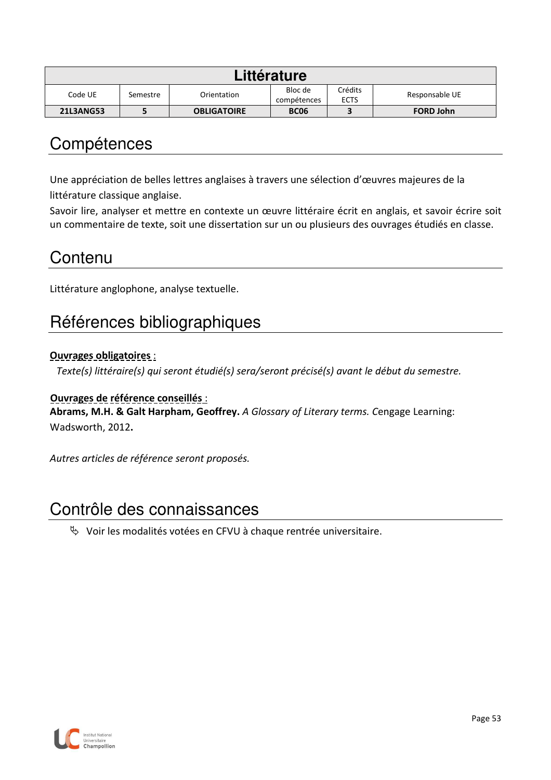| Littérature      |             |                        |                        |                |                  |  |  |
|------------------|-------------|------------------------|------------------------|----------------|------------------|--|--|
| Code UE          | Orientation | Bloc de<br>compétences | Crédits<br><b>ECTS</b> | Responsable UE |                  |  |  |
| <b>21L3ANG53</b> |             | <b>OBLIGATOIRE</b>     | <b>BC06</b>            |                | <b>FORD John</b> |  |  |

Une appréciation de belles lettres anglaises à travers une sélection d'œuvres majeures de la littérature classique anglaise.

Savoir lire, analyser et mettre en contexte un œuvre littéraire écrit en anglais, et savoir écrire soit un commentaire de texte, soit une dissertation sur un ou plusieurs des ouvrages étudiés en classe.

### **Contenu**

Littérature anglophone, analyse textuelle.

## Références bibliographiques

#### **Ouvrages obligatoires** :

*Texte(s) littéraire(s) qui seront étudié(s) sera/seront précisé(s) avant le début du semestre.* 

#### **Ouvrages de référence conseillés** :

**Abrams, M.H. & Galt Harpham, Geoffrey.** *A Glossary of Literary terms. C*engage Learning: Wadsworth, 2012**.** 

*Autres articles de référence seront proposés.* 

## Contrôle des connaissances

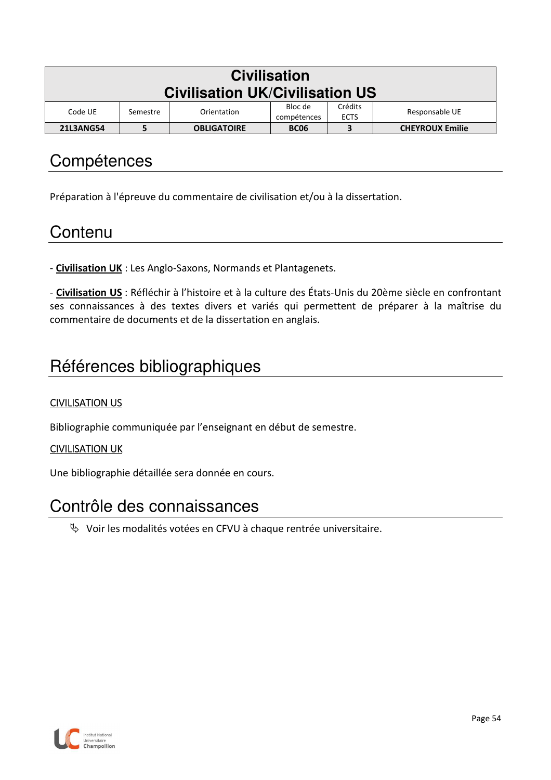| <b>Civilisation</b><br><b>Civilisation UK/Civilisation US</b> |                                                                                               |                    |             |   |                        |  |  |  |  |
|---------------------------------------------------------------|-----------------------------------------------------------------------------------------------|--------------------|-------------|---|------------------------|--|--|--|--|
| Code UE                                                       | Crédits<br>Bloc de<br>Responsable UE<br>Orientation<br>Semestre<br><b>ECTS</b><br>compétences |                    |             |   |                        |  |  |  |  |
| <b>21L3ANG54</b>                                              |                                                                                               | <b>OBLIGATOIRE</b> | <b>BC06</b> | 3 | <b>CHEYROUX Emilie</b> |  |  |  |  |

Préparation à l'épreuve du commentaire de civilisation et/ou à la dissertation.

#### **Contenu**

- **Civilisation UK** : Les Anglo-Saxons, Normands et Plantagenets.

- **Civilisation US** : Réfléchir à l'histoire et à la culture des États-Unis du 20ème siècle en confrontant ses connaissances à des textes divers et variés qui permettent de préparer à la maîtrise du commentaire de documents et de la dissertation en anglais.

## Références bibliographiques

#### CIVILISATION US

Bibliographie communiquée par l'enseignant en début de semestre.

#### CIVILISATION UK

Une bibliographie détaillée sera donnée en cours.

#### Contrôle des connaissances

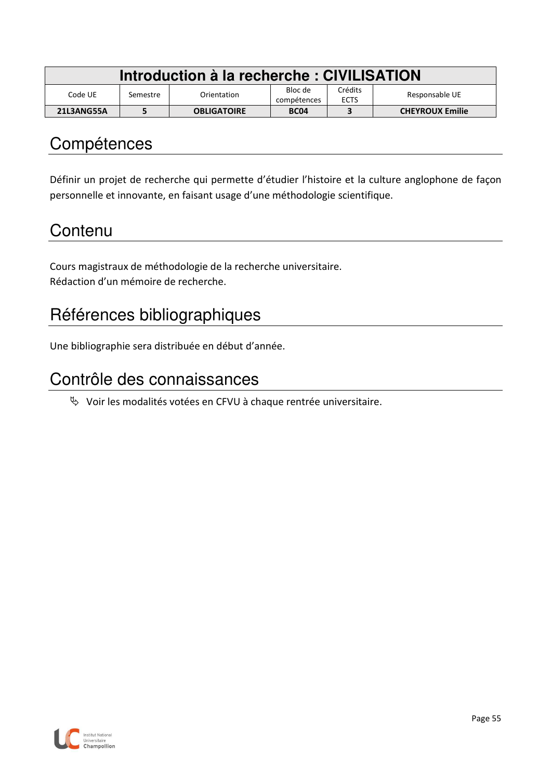| Introduction à la recherche : CIVILISATION |          |                    |                        |                        |                        |  |
|--------------------------------------------|----------|--------------------|------------------------|------------------------|------------------------|--|
| Code UE                                    | Semestre | Orientation        | Bloc de<br>compétences | Crédits<br><b>ECTS</b> | Responsable UE         |  |
| 21L3ANG55A                                 |          | <b>OBLIGATOIRE</b> | <b>BC04</b>            |                        | <b>CHEYROUX Emilie</b> |  |

Définir un projet de recherche qui permette d'étudier l'histoire et la culture anglophone de façon personnelle et innovante, en faisant usage d'une méthodologie scientifique.

## **Contenu**

Cours magistraux de méthodologie de la recherche universitaire. Rédaction d'un mémoire de recherche.

# Références bibliographiques

Une bibliographie sera distribuée en début d'année.

### Contrôle des connaissances

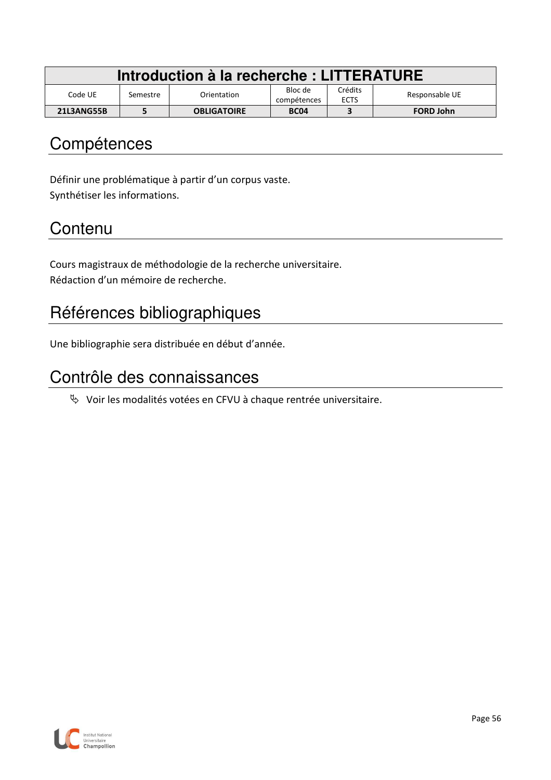| Introduction à la recherche : LITTERATURE |          |                    |                        |                        |                  |  |  |
|-------------------------------------------|----------|--------------------|------------------------|------------------------|------------------|--|--|
| Code UE                                   | Semestre | Orientation        | Bloc de<br>compétences | Crédits<br><b>ECTS</b> | Responsable UE   |  |  |
| 21L3ANG55B                                |          | <b>OBLIGATOIRE</b> | <b>BC04</b>            |                        | <b>FORD John</b> |  |  |

Définir une problématique à partir d'un corpus vaste. Synthétiser les informations.

# **Contenu**

Cours magistraux de méthodologie de la recherche universitaire. Rédaction d'un mémoire de recherche.

# Références bibliographiques

Une bibliographie sera distribuée en début d'année.

### Contrôle des connaissances

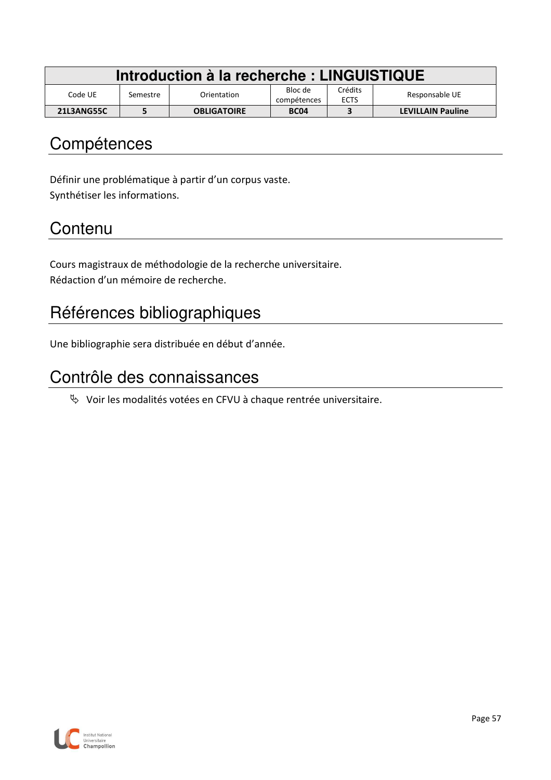| Introduction à la recherche : LINGUISTIQUE |          |                    |                        |                        |                          |  |  |
|--------------------------------------------|----------|--------------------|------------------------|------------------------|--------------------------|--|--|
| Code UE                                    | Semestre | Orientation        | Bloc de<br>compétences | Crédits<br><b>ECTS</b> | Responsable UE           |  |  |
| <b>21L3ANG55C</b>                          |          | <b>OBLIGATOIRE</b> | <b>BC04</b>            |                        | <b>LEVILLAIN Pauline</b> |  |  |

Définir une problématique à partir d'un corpus vaste. Synthétiser les informations.

# **Contenu**

Cours magistraux de méthodologie de la recherche universitaire. Rédaction d'un mémoire de recherche.

# Références bibliographiques

Une bibliographie sera distribuée en début d'année.

### Contrôle des connaissances

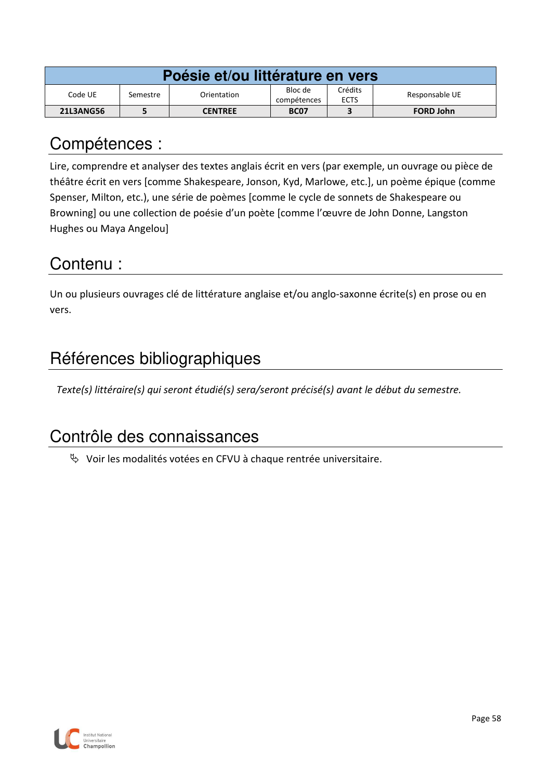| Poésie et/ou littérature en vers |          |                |                        |                        |                  |  |  |  |
|----------------------------------|----------|----------------|------------------------|------------------------|------------------|--|--|--|
| Code UE                          | Semestre | Orientation    | Bloc de<br>compétences | Crédits<br><b>ECTS</b> | Responsable UE   |  |  |  |
| <b>21L3ANG56</b>                 |          | <b>CENTREE</b> | <b>BC07</b>            |                        | <b>FORD John</b> |  |  |  |

Lire, comprendre et analyser des textes anglais écrit en vers (par exemple, un ouvrage ou pièce de théâtre écrit en vers [comme Shakespeare, Jonson, Kyd, Marlowe, etc.], un poème épique (comme Spenser, Milton, etc.), une série de poèmes [comme le cycle de sonnets de Shakespeare ou Browning] ou une collection de poésie d'un poète [comme l'œuvre de John Donne, Langston Hughes ou Maya Angelou]

## Contenu :

Un ou plusieurs ouvrages clé de littérature anglaise et/ou anglo-saxonne écrite(s) en prose ou en vers.

# Références bibliographiques

*Texte(s) littéraire(s) qui seront étudié(s) sera/seront précisé(s) avant le début du semestre.* 

# Contrôle des connaissances

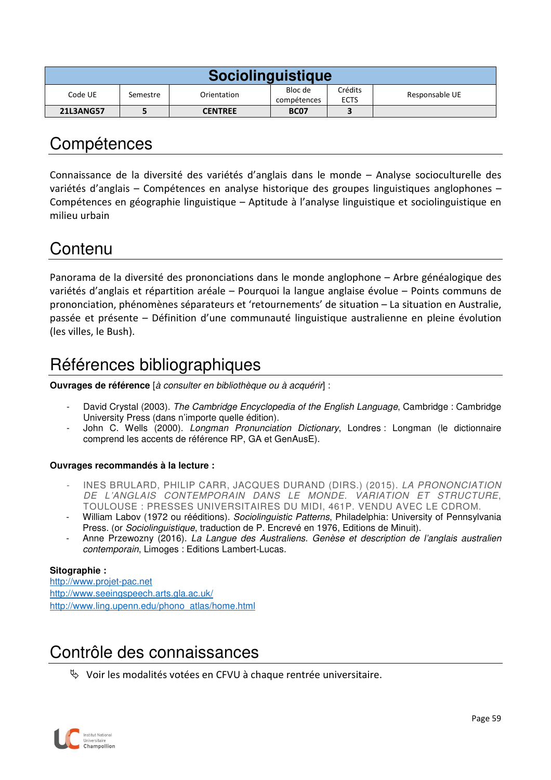| <b>Sociolinguistique</b> |          |                |                        |                        |                |  |  |  |
|--------------------------|----------|----------------|------------------------|------------------------|----------------|--|--|--|
| Code UE                  | Semestre | Orientation    | Bloc de<br>compétences | Crédits<br><b>ECTS</b> | Responsable UE |  |  |  |
| <b>21L3ANG57</b>         |          | <b>CENTREE</b> | <b>BC07</b>            |                        |                |  |  |  |

Connaissance de la diversité des variétés d'anglais dans le monde – Analyse socioculturelle des variétés d'anglais – Compétences en analyse historique des groupes linguistiques anglophones – Compétences en géographie linguistique – Aptitude à l'analyse linguistique et sociolinguistique en milieu urbain

## Contenu

Panorama de la diversité des prononciations dans le monde anglophone – Arbre généalogique des variétés d'anglais et répartition aréale – Pourquoi la langue anglaise évolue – Points communs de prononciation, phénomènes séparateurs et 'retournements' de situation – La situation en Australie, passée et présente – Définition d'une communauté linguistique australienne en pleine évolution (les villes, le Bush).

# Références bibliographiques

**Ouvrages de référence** [à consulter en bibliothèque ou à acquérir] :

- David Crystal (2003). The Cambridge Encyclopedia of the English Language, Cambridge : Cambridge University Press (dans n'importe quelle édition).
- John C. Wells (2000). Longman Pronunciation Dictionary, Londres : Longman (le dictionnaire comprend les accents de référence RP, GA et GenAusE).

#### **Ouvrages recommandés à la lecture :**

- INES BRULARD, PHILIP CARR, JACQUES DURAND (DIRS.) (2015). LA PRONONCIATION DE L'ANGLAIS CONTEMPORAIN DANS LE MONDE. VARIATION ET STRUCTURE, TOULOUSE : PRESSES UNIVERSITAIRES DU MIDI, 461P. VENDU AVEC LE CDROM.
- William Labov (1972 ou rééditions). Sociolinguistic Patterns, Philadelphia: University of Pennsylvania Press. (or Sociolinguistique, traduction de P. Encrevé en 1976, Editions de Minuit).
- Anne Przewozny (2016). La Langue des Australiens. Genèse et description de l'anglais australien contemporain, Limoges : Editions Lambert-Lucas.

#### **Sitographie :**

http://www.projet-pac.net http://www.seeingspeech.arts.gla.ac.uk/ http://www.ling.upenn.edu/phono\_atlas/home.html

## Contrôle des connaissances

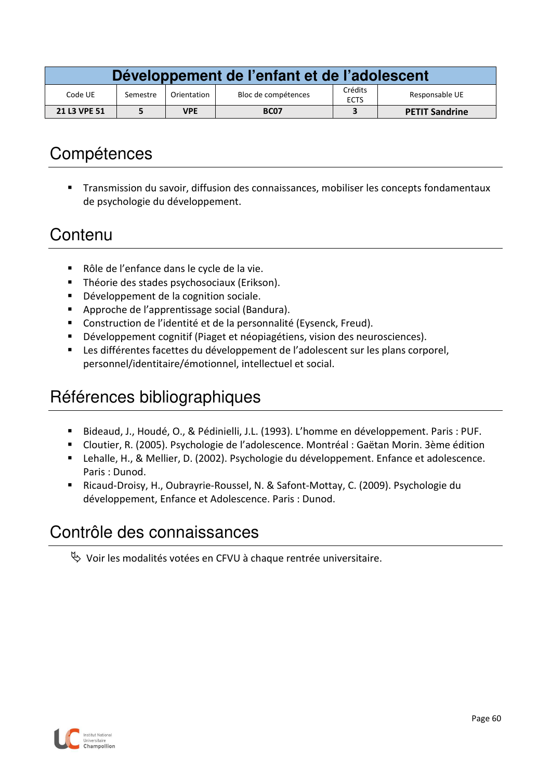| Développement de l'enfant et de l'adolescent |          |             |                     |                        |                       |  |  |
|----------------------------------------------|----------|-------------|---------------------|------------------------|-----------------------|--|--|
| Code UE                                      | Semestre | Orientation | Bloc de compétences | Crédits<br><b>ECTS</b> | Responsable UE        |  |  |
| 21 L3 VPE 51                                 |          | <b>VPE</b>  | <b>BC07</b>         |                        | <b>PETIT Sandrine</b> |  |  |

 Transmission du savoir, diffusion des connaissances, mobiliser les concepts fondamentaux de psychologie du développement.

## **Contenu**

- Rôle de l'enfance dans le cycle de la vie.
- Théorie des stades psychosociaux (Erikson).
- Développement de la cognition sociale.
- Approche de l'apprentissage social (Bandura).
- Construction de l'identité et de la personnalité (Eysenck, Freud).
- Développement cognitif (Piaget et néopiagétiens, vision des neurosciences).
- Les différentes facettes du développement de l'adolescent sur les plans corporel, personnel/identitaire/émotionnel, intellectuel et social.

# Références bibliographiques

- Bideaud, J., Houdé, O., & Pédinielli, J.L. (1993). L'homme en développement. Paris : PUF.
- Cloutier, R. (2005). Psychologie de l'adolescence. Montréal : Gaëtan Morin. 3ème édition
- Lehalle, H., & Mellier, D. (2002). Psychologie du développement. Enfance et adolescence. Paris : Dunod.
- Ricaud-Droisy, H., Oubrayrie-Roussel, N. & Safont-Mottay, C. (2009). Psychologie du développement, Enfance et Adolescence. Paris : Dunod.

# Contrôle des connaissances

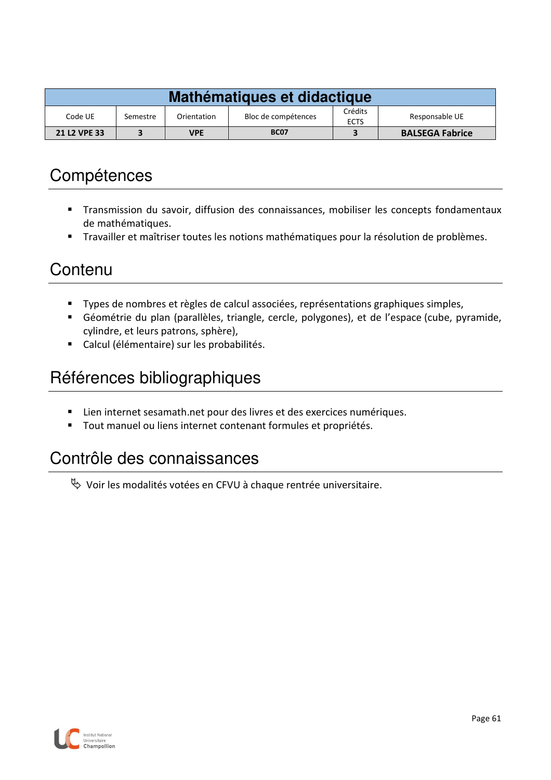| Mathématiques et didactique |                                                                                            |            |             |  |                        |  |
|-----------------------------|--------------------------------------------------------------------------------------------|------------|-------------|--|------------------------|--|
| Code UE                     | Crédits<br>Responsable UE<br>Bloc de compétences<br>Orientation<br>Semestre<br><b>ECTS</b> |            |             |  |                        |  |
| 21 L <sub>2</sub> VPE 33    |                                                                                            | <b>VPE</b> | <b>BC07</b> |  | <b>BALSEGA Fabrice</b> |  |

- Transmission du savoir, diffusion des connaissances, mobiliser les concepts fondamentaux de mathématiques.
- Travailler et maîtriser toutes les notions mathématiques pour la résolution de problèmes.

### **Contenu**

- Types de nombres et règles de calcul associées, représentations graphiques simples,
- Géométrie du plan (parallèles, triangle, cercle, polygones), et de l'espace (cube, pyramide, cylindre, et leurs patrons, sphère),
- Calcul (élémentaire) sur les probabilités.

# Références bibliographiques

- Lien internet sesamath.net pour des livres et des exercices numériques.
- Tout manuel ou liens internet contenant formules et propriétés.

# Contrôle des connaissances

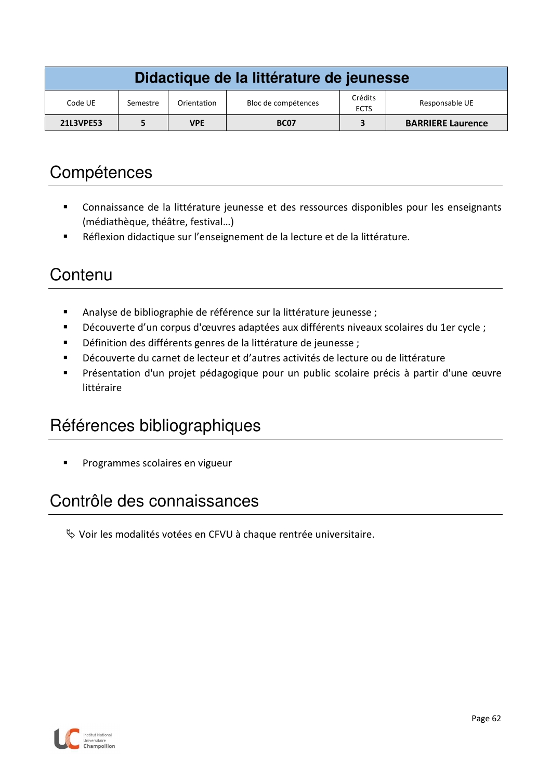| Didactique de la littérature de jeunesse |          |             |                     |                        |                          |  |
|------------------------------------------|----------|-------------|---------------------|------------------------|--------------------------|--|
| Code UE                                  | Semestre | Orientation | Bloc de compétences | Crédits<br><b>ECTS</b> | Responsable UE           |  |
| <b>21L3VPE53</b>                         |          | <b>VPE</b>  | <b>BC07</b>         |                        | <b>BARRIERE Laurence</b> |  |

- Connaissance de la littérature jeunesse et des ressources disponibles pour les enseignants (médiathèque, théâtre, festival…)
- Réflexion didactique sur l'enseignement de la lecture et de la littérature.

## **Contenu**

- Analyse de bibliographie de référence sur la littérature jeunesse ;
- Découverte d'un corpus d'œuvres adaptées aux différents niveaux scolaires du 1er cycle ;
- Définition des différents genres de la littérature de jeunesse ;
- Découverte du carnet de lecteur et d'autres activités de lecture ou de littérature
- Présentation d'un projet pédagogique pour un public scolaire précis à partir d'une œuvre littéraire

## Références bibliographiques

Programmes scolaires en vigueur

## Contrôle des connaissances

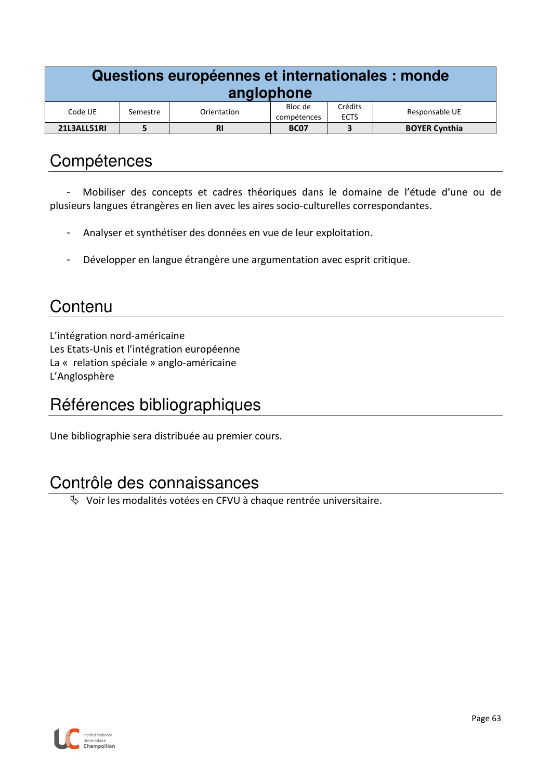| Questions européennes et internationales : monde<br>anglophone |                                                                                               |           |             |   |                      |  |  |
|----------------------------------------------------------------|-----------------------------------------------------------------------------------------------|-----------|-------------|---|----------------------|--|--|
| Code UE                                                        | Crédits<br>Bloc de<br>Responsable UE<br>Orientation<br>Semestre<br><b>ECTS</b><br>compétences |           |             |   |                      |  |  |
| 21L3ALL51RI                                                    |                                                                                               | <b>RI</b> | <b>BC07</b> | 3 | <b>BOYER Cynthia</b> |  |  |

- Mobiliser des concepts et cadres théoriques dans le domaine de l'étude d'une ou de plusieurs langues étrangères en lien avec les aires socio-culturelles correspondantes.

- Analyser et synthétiser des données en vue de leur exploitation.
- Développer en langue étrangère une argumentation avec esprit critique.

# **Contenu**

L'intégration nord-américaine Les Etats-Unis et l'intégration européenne La « relation spéciale » anglo-américaine L'Anglosphère

# Références bibliographiques

Une bibliographie sera distribuée au premier cours.

### Contrôle des connaissances

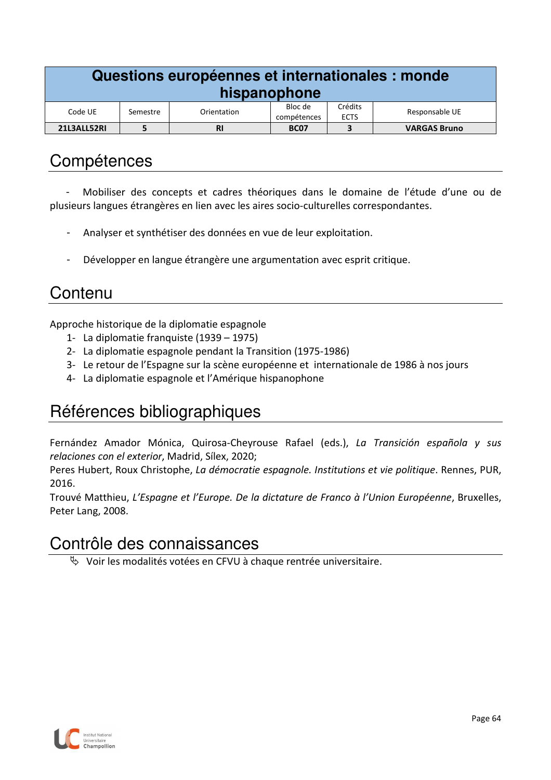| Questions européennes et internationales : monde<br>hispanophone |                                                                                               |           |             |  |                     |  |  |
|------------------------------------------------------------------|-----------------------------------------------------------------------------------------------|-----------|-------------|--|---------------------|--|--|
| Code UE                                                          | Crédits<br>Bloc de<br>Responsable UE<br>Orientation<br>Semestre<br><b>ECTS</b><br>compétences |           |             |  |                     |  |  |
| 21L3ALL52RI                                                      |                                                                                               | <b>RI</b> | <b>BC07</b> |  | <b>VARGAS Bruno</b> |  |  |

- Mobiliser des concepts et cadres théoriques dans le domaine de l'étude d'une ou de plusieurs langues étrangères en lien avec les aires socio-culturelles correspondantes.

- Analyser et synthétiser des données en vue de leur exploitation.
- Développer en langue étrangère une argumentation avec esprit critique.

## **Contenu**

Approche historique de la diplomatie espagnole

- 1- La diplomatie franquiste (1939 1975)
- 2- La diplomatie espagnole pendant la Transition (1975-1986)
- 3- Le retour de l'Espagne sur la scène européenne et internationale de 1986 à nos jours
- 4- La diplomatie espagnole et l'Amérique hispanophone

### Références bibliographiques

Fernández Amador Mónica, Quirosa-Cheyrouse Rafael (eds.), *La Transición española y sus relaciones con el exterior*, Madrid, Sílex, 2020;

Peres Hubert, Roux Christophe, *La démocratie espagnole. Institutions et vie politique*. Rennes, PUR, 2016.

Trouvé Matthieu, *L'Espagne et l'Europe. De la dictature de Franco à l'Union Européenne*, Bruxelles, Peter Lang, 2008.

### Contrôle des connaissances

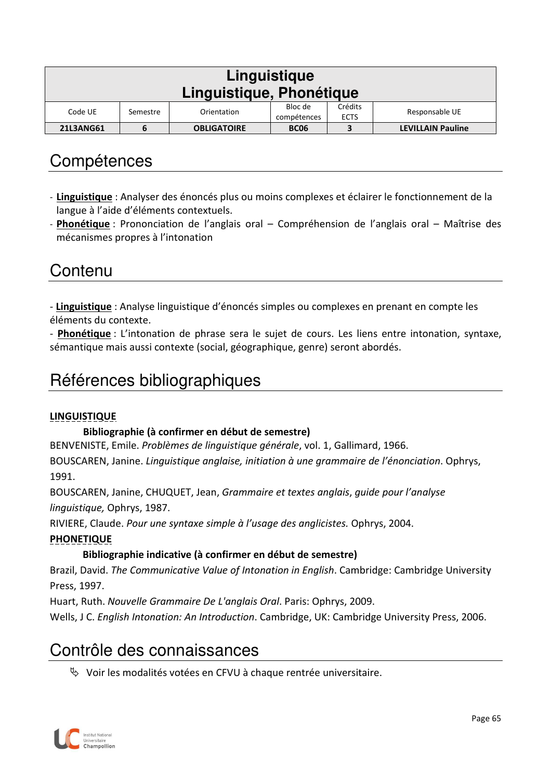| Linguistique<br>Linguistique, Phonétique                                                                 |   |                    |             |  |                          |  |
|----------------------------------------------------------------------------------------------------------|---|--------------------|-------------|--|--------------------------|--|
| Crédits<br>Bloc de<br>Responsable UE<br>Code UE<br>Orientation<br>Semestre<br><b>ECTS</b><br>compétences |   |                    |             |  |                          |  |
| <b>21L3ANG61</b>                                                                                         | b | <b>OBLIGATOIRE</b> | <b>BC06</b> |  | <b>LEVILLAIN Pauline</b> |  |

- **Linguistique** : Analyser des énoncés plus ou moins complexes et éclairer le fonctionnement de la langue à l'aide d'éléments contextuels.
- **Phonétique** : Prononciation de l'anglais oral Compréhension de l'anglais oral Maîtrise des mécanismes propres à l'intonation

### **Contenu**

- **Linguistique** : Analyse linguistique d'énoncés simples ou complexes en prenant en compte les éléments du contexte.

- **Phonétique** : L'intonation de phrase sera le sujet de cours. Les liens entre intonation, syntaxe, sémantique mais aussi contexte (social, géographique, genre) seront abordés.

# Références bibliographiques

#### **LINGUISTIQUE**

#### **Bibliographie (à confirmer en début de semestre)**

BENVENISTE, Emile. *Problèmes de linguistique générale*, vol. 1, Gallimard, 1966.

BOUSCAREN, Janine. *Linguistique anglaise, initiation à une grammaire de l'énonciation*. Ophrys, 1991.

BOUSCAREN, Janine, CHUQUET, Jean, *Grammaire et textes anglais*, *guide pour l'analyse linguistique,* Ophrys, 1987.

RIVIERE, Claude. *Pour une syntaxe simple à l'usage des anglicistes.* Ophrys, 2004.

#### **PHONETIQUE**

#### **Bibliographie indicative (à confirmer en début de semestre)**

Brazil, David. *The Communicative Value of Intonation in English*. Cambridge: Cambridge University Press, 1997.

Huart, Ruth. *Nouvelle Grammaire De L'anglais Oral*. Paris: Ophrys, 2009.

Wells, J C. *English Intonation: An Introduction*. Cambridge, UK: Cambridge University Press, 2006.

# Contrôle des connaissances

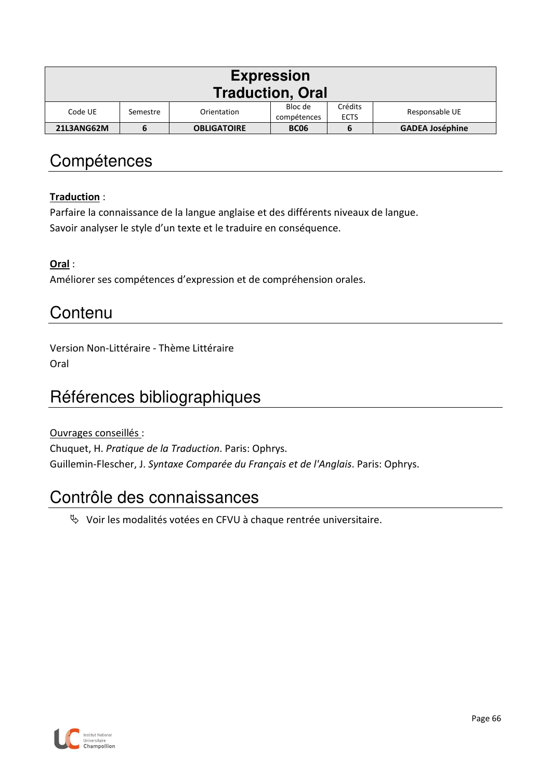| <b>Expression</b><br><b>Traduction, Oral</b> |                                                                                               |                    |             |   |                        |  |  |
|----------------------------------------------|-----------------------------------------------------------------------------------------------|--------------------|-------------|---|------------------------|--|--|
| Code UE                                      | Crédits<br>Bloc de<br>Responsable UE<br>Orientation<br>Semestre<br>compétences<br><b>ECTS</b> |                    |             |   |                        |  |  |
| 21L3ANG62M                                   | 6                                                                                             | <b>OBLIGATOIRE</b> | <b>BC06</b> | b | <b>GADEA Joséphine</b> |  |  |

#### **Traduction** :

Parfaire la connaissance de la langue anglaise et des différents niveaux de langue. Savoir analyser le style d'un texte et le traduire en conséquence.

**Oral** :

Améliorer ses compétences d'expression et de compréhension orales.

#### **Contenu**

Version Non-Littéraire - Thème Littéraire Oral

# Références bibliographiques

Ouvrages conseillés : Chuquet, H. *Pratique de la Traduction*. Paris: Ophrys. Guillemin-Flescher, J. *Syntaxe Comparée du Français et de l'Anglais*. Paris: Ophrys.

### Contrôle des connaissances

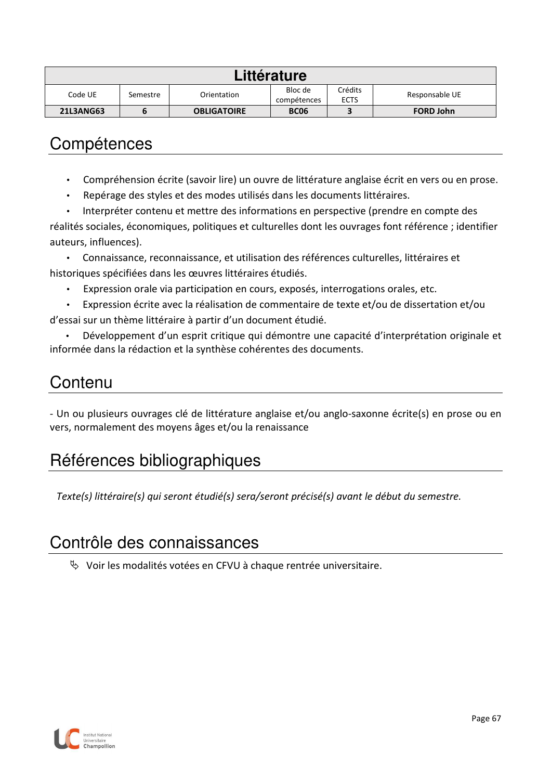| Littérature                                                                                              |  |                    |             |  |                  |  |
|----------------------------------------------------------------------------------------------------------|--|--------------------|-------------|--|------------------|--|
| Crédits<br>Bloc de<br>Responsable UE<br>Code UE<br>Orientation<br>Semestre<br><b>ECTS</b><br>compétences |  |                    |             |  |                  |  |
| <b>21L3ANG63</b>                                                                                         |  | <b>OBLIGATOIRE</b> | <b>BC06</b> |  | <b>FORD John</b> |  |

- Compréhension écrite (savoir lire) un ouvre de littérature anglaise écrit en vers ou en prose.
- Repérage des styles et des modes utilisés dans les documents littéraires.
- Interpréter contenu et mettre des informations en perspective (prendre en compte des réalités sociales, économiques, politiques et culturelles dont les ouvrages font référence ; identifier auteurs, influences).

• Connaissance, reconnaissance, et utilisation des références culturelles, littéraires et historiques spécifiées dans les œuvres littéraires étudiés.

- Expression orale via participation en cours, exposés, interrogations orales, etc.
- Expression écrite avec la réalisation de commentaire de texte et/ou de dissertation et/ou d'essai sur un thème littéraire à partir d'un document étudié.

• Développement d'un esprit critique qui démontre une capacité d'interprétation originale et informée dans la rédaction et la synthèse cohérentes des documents.

### **Contenu**

- Un ou plusieurs ouvrages clé de littérature anglaise et/ou anglo-saxonne écrite(s) en prose ou en vers, normalement des moyens âges et/ou la renaissance

# Références bibliographiques

*Texte(s) littéraire(s) qui seront étudié(s) sera/seront précisé(s) avant le début du semestre.* 

## Contrôle des connaissances

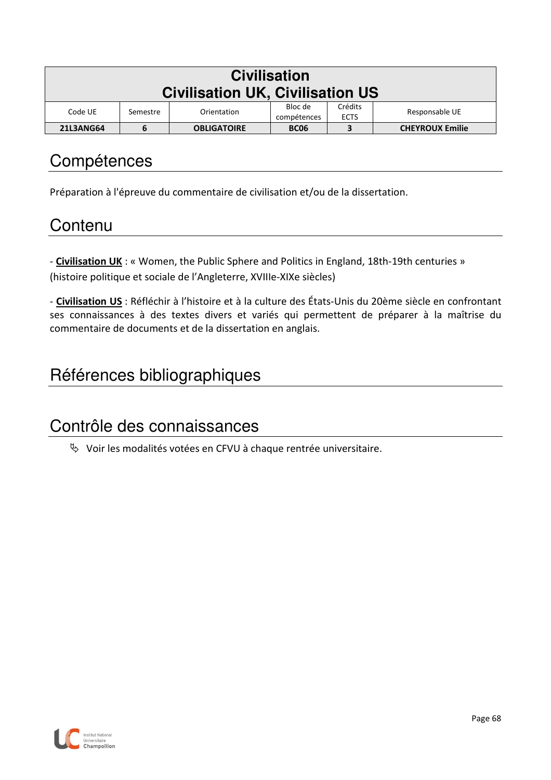| <b>Civilisation</b>                     |          |                    |             |         |                        |  |
|-----------------------------------------|----------|--------------------|-------------|---------|------------------------|--|
| <b>Civilisation UK, Civilisation US</b> |          |                    |             |         |                        |  |
| Code UE                                 | Semestre | Orientation        | Bloc de     | Crédits | Responsable UE         |  |
| <b>ECTS</b><br>compétences              |          |                    |             |         |                        |  |
| <b>21L3ANG64</b>                        | 6        | <b>OBLIGATOIRE</b> | <b>BC06</b> | 3       | <b>CHEYROUX Emilie</b> |  |

Préparation à l'épreuve du commentaire de civilisation et/ou de la dissertation.

## **Contenu**

- **Civilisation UK** : « Women, the Public Sphere and Politics in England, 18th-19th centuries » (histoire politique et sociale de l'Angleterre, XVIIIe-XIXe siècles)

- **Civilisation US** : Réfléchir à l'histoire et à la culture des États-Unis du 20ème siècle en confrontant ses connaissances à des textes divers et variés qui permettent de préparer à la maîtrise du commentaire de documents et de la dissertation en anglais.

# Références bibliographiques

### Contrôle des connaissances

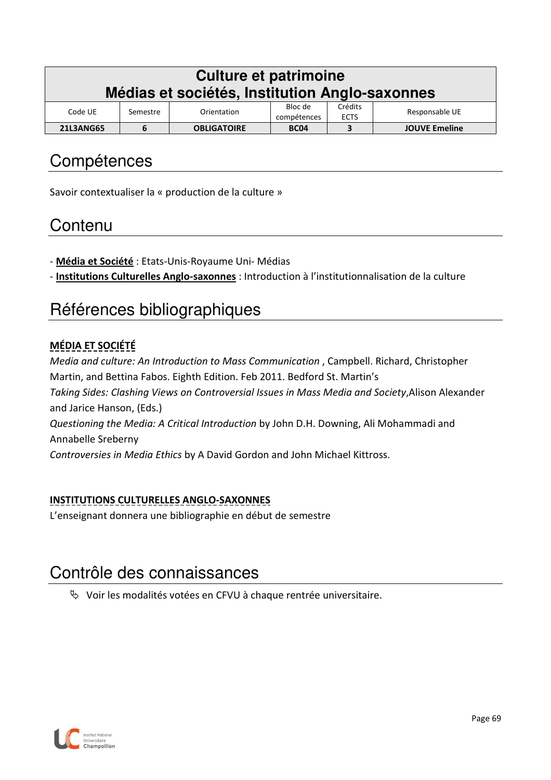| Culture et patrimoine<br>Médias et sociétés, Institution Anglo-saxonnes                                  |   |                    |             |   |                      |  |
|----------------------------------------------------------------------------------------------------------|---|--------------------|-------------|---|----------------------|--|
| Crédits<br>Bloc de<br>Responsable UE<br>Code UE<br>Orientation<br>Semestre<br><b>ECTS</b><br>compétences |   |                    |             |   |                      |  |
| <b>21L3ANG65</b>                                                                                         | 6 | <b>OBLIGATOIRE</b> | <b>BC04</b> | 3 | <b>JOUVE Emeline</b> |  |

Savoir contextualiser la « production de la culture »

## **Contenu**

- **Média et Société** : Etats-Unis-Royaume Uni- Médias
- **Institutions Culturelles Anglo-saxonnes** : Introduction à l'institutionnalisation de la culture

## Références bibliographiques

#### **MÉDIA ET SOCIÉTÉ**

*Media and culture: An Introduction to Mass Communication* , Campbell. Richard, Christopher Martin, and Bettina Fabos. Eighth Edition. Feb 2011. Bedford St. Martin's *Taking Sides: Clashing Views on Controversial Issues in Mass Media and Society*,Alison Alexander and Jarice Hanson, (Eds.) *Questioning the Media: A Critical Introduction* by John D.H. Downing, Ali Mohammadi and Annabelle Sreberny *Controversies in Media Ethics* by A David Gordon and John Michael Kittross.

#### **INSTITUTIONS CULTURELLES ANGLO-SAXONNES**

L'enseignant donnera une bibliographie en début de semestre

## Contrôle des connaissances

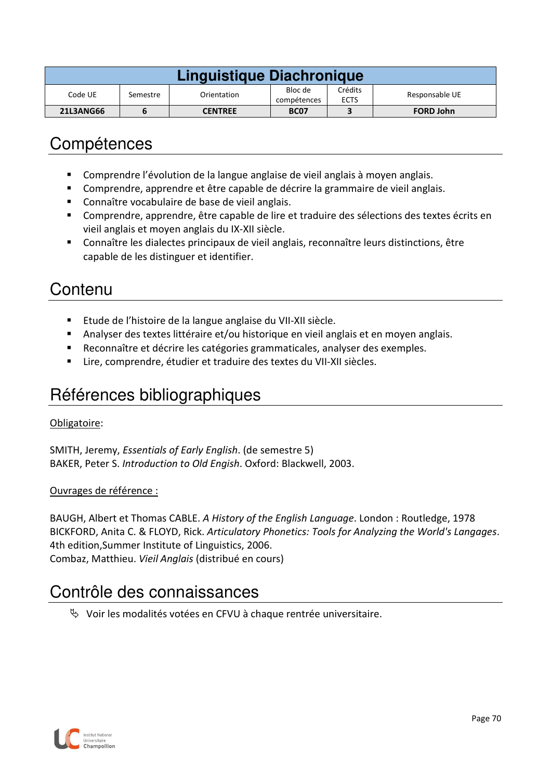| Linguistique Diachronique                                    |  |                |             |  |                  |  |
|--------------------------------------------------------------|--|----------------|-------------|--|------------------|--|
| Bloc de<br>Code UE<br>Orientation<br>Semestre<br>compétences |  |                |             |  | Responsable UE   |  |
| <b>21L3ANG66</b>                                             |  | <b>CENTREE</b> | <b>BC07</b> |  | <b>FORD John</b> |  |

- Comprendre l'évolution de la langue anglaise de vieil anglais à moyen anglais.
- Comprendre, apprendre et être capable de décrire la grammaire de vieil anglais.
- Connaître vocabulaire de base de vieil anglais.
- Comprendre, apprendre, être capable de lire et traduire des sélections des textes écrits en vieil anglais et moyen anglais du IX-XII siècle.
- Connaître les dialectes principaux de vieil anglais, reconnaître leurs distinctions, être capable de les distinguer et identifier.

## **Contenu**

- Etude de l'histoire de la langue anglaise du VII-XII siècle.
- Analyser des textes littéraire et/ou historique en vieil anglais et en moyen anglais.
- Reconnaître et décrire les catégories grammaticales, analyser des exemples.
- Lire, comprendre, étudier et traduire des textes du VII-XII siècles.

## Références bibliographiques

#### Obligatoire:

SMITH, Jeremy, *Essentials of Early English*. (de semestre 5) BAKER, Peter S. *Introduction to Old Engish*. Oxford: Blackwell, 2003.

#### Ouvrages de référence :

BAUGH, Albert et Thomas CABLE. *A History of the English Language*. London : Routledge, 1978 BICKFORD, Anita C. & FLOYD, Rick. *Articulatory Phonetics: Tools for Analyzing the World's Langages*. 4th edition,Summer Institute of Linguistics, 2006. Combaz, Matthieu. *Vieil Anglais* (distribué en cours)

#### Contrôle des connaissances

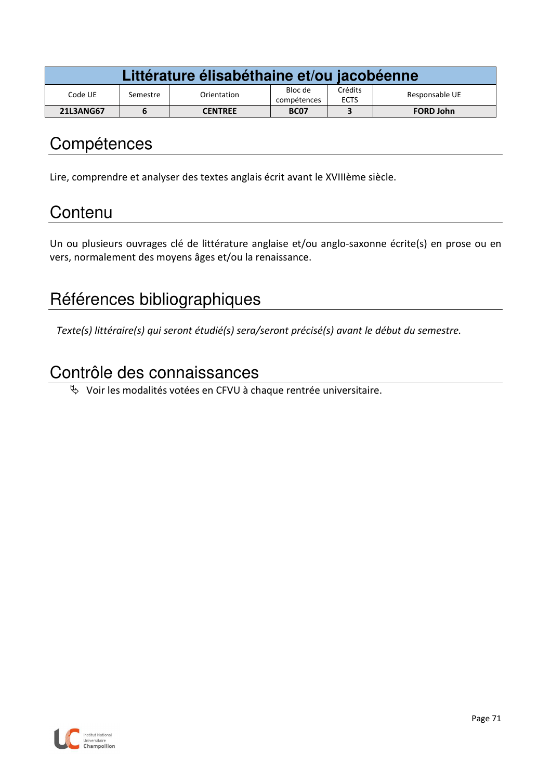| Littérature élisabéthaine et/ou jacobéenne |          |                |                        |                        |                  |
|--------------------------------------------|----------|----------------|------------------------|------------------------|------------------|
| Code UE                                    | Semestre | Orientation    | Bloc de<br>compétences | Crédits<br><b>ECTS</b> | Responsable UE   |
| <b>21L3ANG67</b>                           |          | <b>CENTREE</b> | <b>BC07</b>            |                        | <b>FORD John</b> |

Lire, comprendre et analyser des textes anglais écrit avant le XVIIIème siècle.

## **Contenu**

Un ou plusieurs ouvrages clé de littérature anglaise et/ou anglo-saxonne écrite(s) en prose ou en vers, normalement des moyens âges et/ou la renaissance.

## Références bibliographiques

*Texte(s) littéraire(s) qui seront étudié(s) sera/seront précisé(s) avant le début du semestre.* 

## Contrôle des connaissances

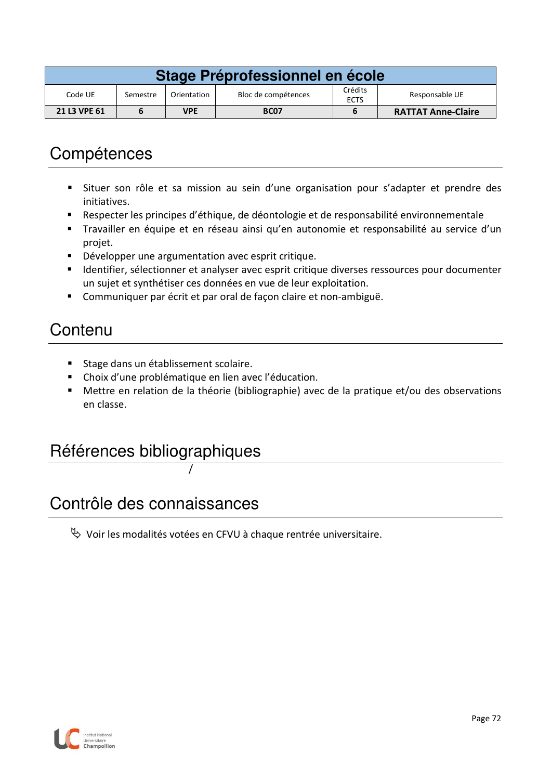| Stage Préprofessionnel en école |                                                                                            |     |             |  |                           |  |  |
|---------------------------------|--------------------------------------------------------------------------------------------|-----|-------------|--|---------------------------|--|--|
| Code UE                         | Crédits<br>Responsable UE<br>Bloc de compétences<br>Orientation<br>Semestre<br><b>ECTS</b> |     |             |  |                           |  |  |
| 21 L3 VPE 61                    |                                                                                            | VPE | <b>BC07</b> |  | <b>RATTAT Anne-Claire</b> |  |  |

- Situer son rôle et sa mission au sein d'une organisation pour s'adapter et prendre des initiatives.
- Respecter les principes d'éthique, de déontologie et de responsabilité environnementale
- Travailler en équipe et en réseau ainsi qu'en autonomie et responsabilité au service d'un projet.
- **D**évelopper une argumentation avec esprit critique.
- **Interact ince the term** of esprit critique diverses ressources pour documenter un sujet et synthétiser ces données en vue de leur exploitation.
- Communiquer par écrit et par oral de façon claire et non-ambiguë.

## **Contenu**

- **Stage dans un établissement scolaire.**
- Choix d'une problématique en lien avec l'éducation.
- Mettre en relation de la théorie (bibliographie) avec de la pratique et/ou des observations en classe.

#### Références bibliographiques

/

#### Contrôle des connaissances

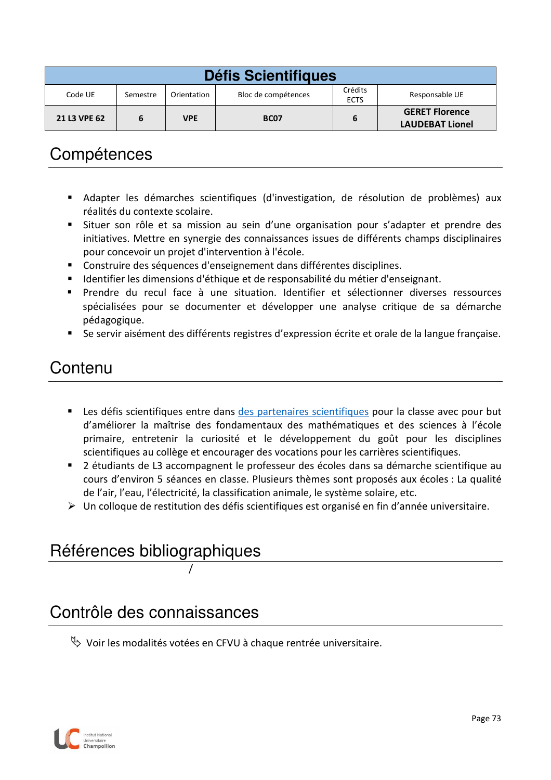| <b>Défis Scientifiques</b>                                                                            |  |            |                  |  |                                                 |  |
|-------------------------------------------------------------------------------------------------------|--|------------|------------------|--|-------------------------------------------------|--|
| Crédits<br>Code UE<br>Bloc de compétences<br>Responsable UE<br>Orientation<br>Semestre<br><b>ECTS</b> |  |            |                  |  |                                                 |  |
| 21 L3 VPE 62                                                                                          |  | <b>VPE</b> | BC <sub>07</sub> |  | <b>GERET Florence</b><br><b>LAUDEBAT Lionel</b> |  |

- Adapter les démarches scientifiques (d'investigation, de résolution de problèmes) aux réalités du contexte scolaire.
- Situer son rôle et sa mission au sein d'une organisation pour s'adapter et prendre des initiatives. Mettre en synergie des connaissances issues de différents champs disciplinaires pour concevoir un projet d'intervention à l'école.
- Construire des séquences d'enseignement dans différentes disciplines.
- Identifier les dimensions d'éthique et de responsabilité du métier d'enseignant.
- Prendre du recul face à une situation. Identifier et sélectionner diverses ressources spécialisées pour se documenter et développer une analyse critique de sa démarche pédagogique.
- Se servir aisément des différents registres d'expression écrite et orale de la langue française.

## Contenu

- Les défis scientifiques entre dans des partenaires scientifiques pour la classe avec pour but d'améliorer la maîtrise des fondamentaux des mathématiques et des sciences à l'école primaire, entretenir la curiosité et le développement du goût pour les disciplines scientifiques au collège et encourager des vocations pour les carrières scientifiques.
- 2 étudiants de L3 accompagnent le professeur des écoles dans sa démarche scientifique au cours d'environ 5 séances en classe. Plusieurs thèmes sont proposés aux écoles : La qualité de l'air, l'eau, l'électricité, la classification animale, le système solaire, etc.
- Un colloque de restitution des défis scientifiques est organisé en fin d'année universitaire.

# Références bibliographiques

/

#### Contrôle des connaissances

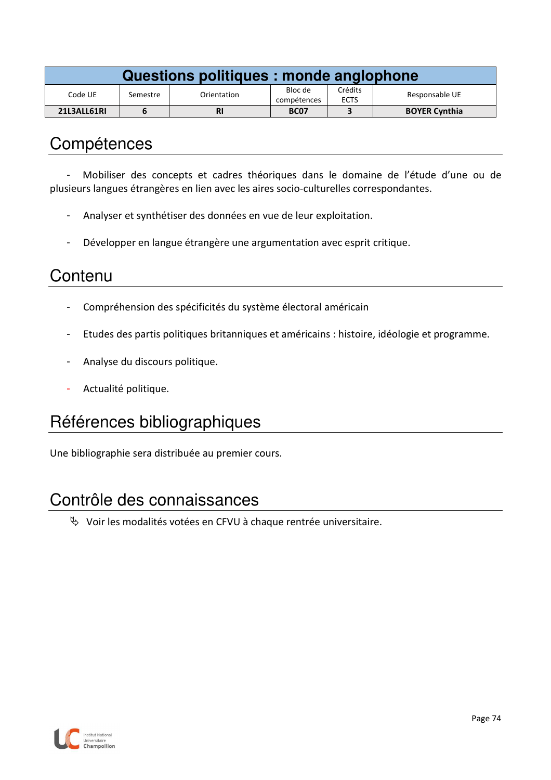| Questions politiques : monde anglophone |          |             |                        |                        |                      |  |
|-----------------------------------------|----------|-------------|------------------------|------------------------|----------------------|--|
| Code UE                                 | Semestre | Orientation | Bloc de<br>compétences | Crédits<br><b>ECTS</b> | Responsable UE       |  |
| 21L3ALL61RI                             |          |             | <b>BC07</b>            |                        | <b>BOYER Cynthia</b> |  |

- Mobiliser des concepts et cadres théoriques dans le domaine de l'étude d'une ou de plusieurs langues étrangères en lien avec les aires socio-culturelles correspondantes.

- Analyser et synthétiser des données en vue de leur exploitation.
- Développer en langue étrangère une argumentation avec esprit critique.

## **Contenu**

- Compréhension des spécificités du système électoral américain
- Etudes des partis politiques britanniques et américains : histoire, idéologie et programme.
- Analyse du discours politique.
- Actualité politique.

## Références bibliographiques

Une bibliographie sera distribuée au premier cours.

#### Contrôle des connaissances

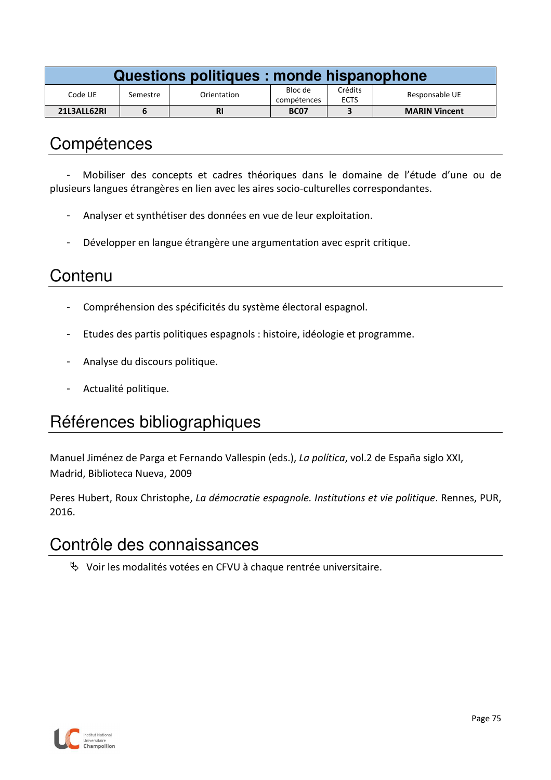| Questions politiques : monde hispanophone |          |             |                        |                        |                      |  |
|-------------------------------------------|----------|-------------|------------------------|------------------------|----------------------|--|
| Code UE                                   | Semestre | Orientation | Bloc de<br>compétences | Crédits<br><b>ECTS</b> | Responsable UE       |  |
| 21L3ALL62RI                               |          | <b>RI</b>   | <b>BC07</b>            |                        | <b>MARIN Vincent</b> |  |

- Mobiliser des concepts et cadres théoriques dans le domaine de l'étude d'une ou de plusieurs langues étrangères en lien avec les aires socio-culturelles correspondantes.

- Analyser et synthétiser des données en vue de leur exploitation.
- Développer en langue étrangère une argumentation avec esprit critique.

## **Contenu**

- Compréhension des spécificités du système électoral espagnol.
- Etudes des partis politiques espagnols : histoire, idéologie et programme.
- Analyse du discours politique.
- Actualité politique.

## Références bibliographiques

Manuel Jiménez de Parga et Fernando Vallespin (eds.), *La política*, vol.2 de España siglo XXI, Madrid, Biblioteca Nueva, 2009

Peres Hubert, Roux Christophe, *La démocratie espagnole. Institutions et vie politique*. Rennes, PUR, 2016.

#### Contrôle des connaissances

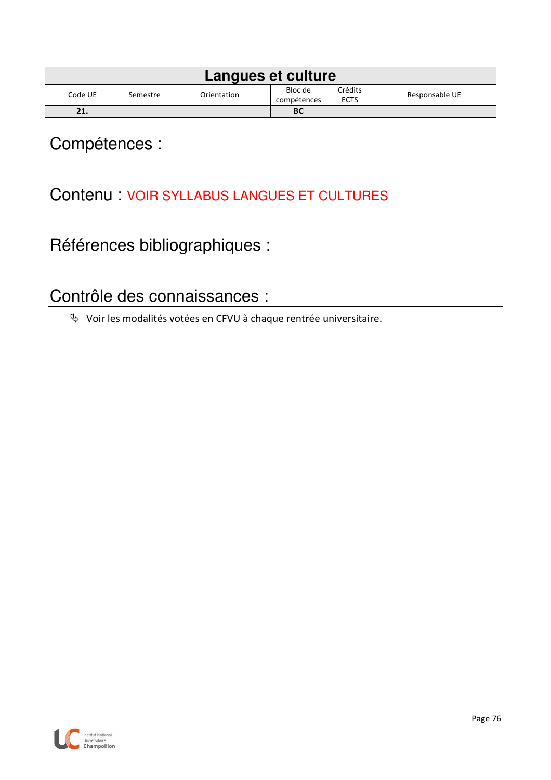| Langues et culture |                                                                                               |  |           |  |  |  |  |
|--------------------|-----------------------------------------------------------------------------------------------|--|-----------|--|--|--|--|
| Code UE            | Crédits<br>Bloc de<br>Responsable UE<br>Orientation<br>Semestre<br><b>ECTS</b><br>compétences |  |           |  |  |  |  |
| 21.                |                                                                                               |  | <b>BC</b> |  |  |  |  |

## Contenu : VOIR SYLLABUS LANGUES ET CULTURES

# Références bibliographiques :

## Contrôle des connaissances :